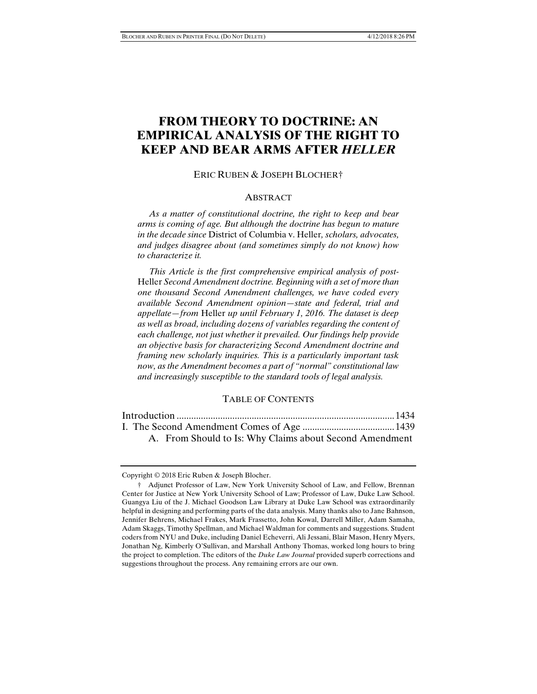# **FROM THEORY TO DOCTRINE: AN EMPIRICAL ANALYSIS OF THE RIGHT TO KEEP AND BEAR ARMS AFTER** *HELLER*

#### ERIC RUBEN & JOSEPH BLOCHER†

#### **ABSTRACT**

 *As a matter of constitutional doctrine, the right to keep and bear arms is coming of age. But although the doctrine has begun to mature in the decade since* District of Columbia v. Heller*, scholars, advocates, and judges disagree about (and sometimes simply do not know) how to characterize it.* 

 *This Article is the first comprehensive empirical analysis of post-*Heller *Second Amendment doctrine. Beginning with a set of more than one thousand Second Amendment challenges, we have coded every available Second Amendment opinion—state and federal, trial and appellate—from* Heller *up until February 1, 2016. The dataset is deep as well as broad, including dozens of variables regarding the content of each challenge, not just whether it prevailed. Our findings help provide an objective basis for characterizing Second Amendment doctrine and framing new scholarly inquiries. This is a particularly important task now, as the Amendment becomes a part of "normal" constitutional law and increasingly susceptible to the standard tools of legal analysis.* 

#### TABLE OF CONTENTS

|  | A. From Should to Is: Why Claims about Second Amendment |  |
|--|---------------------------------------------------------|--|

Copyright © 2018 Eric Ruben & Joseph Blocher.

 <sup>†</sup> Adjunct Professor of Law, New York University School of Law, and Fellow, Brennan Center for Justice at New York University School of Law; Professor of Law, Duke Law School. Guangya Liu of the J. Michael Goodson Law Library at Duke Law School was extraordinarily helpful in designing and performing parts of the data analysis. Many thanks also to Jane Bahnson, Jennifer Behrens, Michael Frakes, Mark Frassetto, John Kowal, Darrell Miller, Adam Samaha, Adam Skaggs, Timothy Spellman, and Michael Waldman for comments and suggestions. Student coders from NYU and Duke, including Daniel Echeverri, Ali Jessani, Blair Mason, Henry Myers, Jonathan Ng, Kimberly O'Sullivan, and Marshall Anthony Thomas, worked long hours to bring the project to completion. The editors of the *Duke Law Journal* provided superb corrections and suggestions throughout the process. Any remaining errors are our own.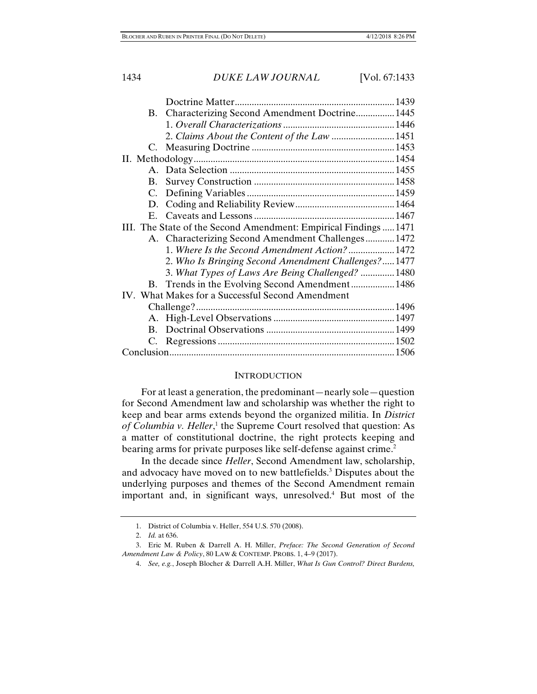|                                                                  | B. Characterizing Second Amendment Doctrine 1445    |  |  |
|------------------------------------------------------------------|-----------------------------------------------------|--|--|
|                                                                  |                                                     |  |  |
|                                                                  | 2. Claims About the Content of the Law  1451        |  |  |
|                                                                  |                                                     |  |  |
|                                                                  |                                                     |  |  |
|                                                                  |                                                     |  |  |
| <b>B.</b>                                                        |                                                     |  |  |
|                                                                  |                                                     |  |  |
|                                                                  |                                                     |  |  |
|                                                                  |                                                     |  |  |
| III. The State of the Second Amendment: Empirical Findings  1471 |                                                     |  |  |
|                                                                  | A. Characterizing Second Amendment Challenges 1472  |  |  |
|                                                                  | 1. Where Is the Second Amendment Action?1472        |  |  |
|                                                                  | 2. Who Is Bringing Second Amendment Challenges?1477 |  |  |
|                                                                  | 3. What Types of Laws Are Being Challenged?  1480   |  |  |
|                                                                  | B. Trends in the Evolving Second Amendment 1486     |  |  |
| IV. What Makes for a Successful Second Amendment                 |                                                     |  |  |
|                                                                  |                                                     |  |  |
|                                                                  |                                                     |  |  |
|                                                                  |                                                     |  |  |
|                                                                  |                                                     |  |  |
|                                                                  |                                                     |  |  |

#### **INTRODUCTION**

For at least a generation, the predominant—nearly sole—question for Second Amendment law and scholarship was whether the right to keep and bear arms extends beyond the organized militia. In *District*  of Columbia v. Heller,<sup>1</sup> the Supreme Court resolved that question: As a matter of constitutional doctrine, the right protects keeping and bearing arms for private purposes like self-defense against crime.<sup>2</sup>

In the decade since *Heller*, Second Amendment law, scholarship, and advocacy have moved on to new battlefields.<sup>3</sup> Disputes about the underlying purposes and themes of the Second Amendment remain important and, in significant ways, unresolved.4 But most of the

 <sup>1.</sup> District of Columbia v. Heller, 554 U.S. 570 (2008).

 <sup>2.</sup> *Id.* at 636.

 <sup>3.</sup> Eric M. Ruben & Darrell A. H. Miller, *Preface: The Second Generation of Second Amendment Law & Policy*, 80 LAW & CONTEMP. PROBS. 1, 4–9 (2017).

 <sup>4.</sup> *See, e.g.*, Joseph Blocher & Darrell A.H. Miller, *What Is Gun Control? Direct Burdens,*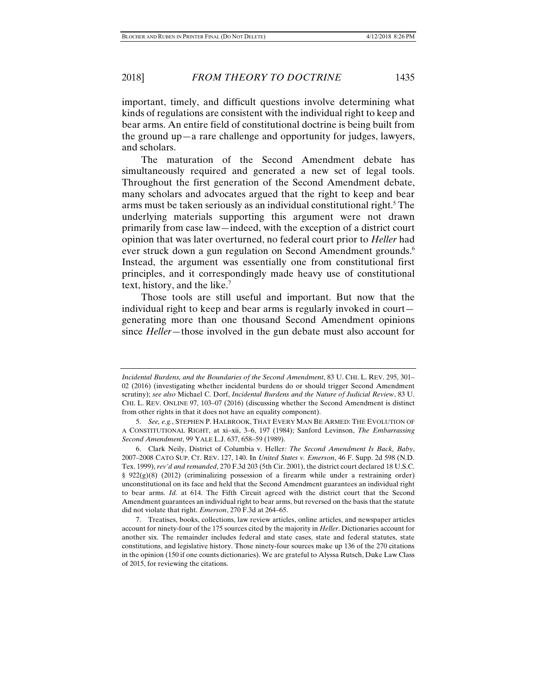important, timely, and difficult questions involve determining what kinds of regulations are consistent with the individual right to keep and bear arms. An entire field of constitutional doctrine is being built from the ground up—a rare challenge and opportunity for judges, lawyers, and scholars.

The maturation of the Second Amendment debate has simultaneously required and generated a new set of legal tools. Throughout the first generation of the Second Amendment debate, many scholars and advocates argued that the right to keep and bear arms must be taken seriously as an individual constitutional right.<sup>5</sup> The underlying materials supporting this argument were not drawn primarily from case law—indeed, with the exception of a district court opinion that was later overturned, no federal court prior to *Heller* had ever struck down a gun regulation on Second Amendment grounds.<sup>6</sup> Instead, the argument was essentially one from constitutional first principles, and it correspondingly made heavy use of constitutional text, history, and the like.<sup>7</sup>

Those tools are still useful and important. But now that the individual right to keep and bear arms is regularly invoked in court generating more than one thousand Second Amendment opinions since *Heller*—those involved in the gun debate must also account for

*Incidental Burdens, and the Boundaries of the Second Amendment*, 83 U. CHI. L. REV. 295, 301– 02 (2016) (investigating whether incidental burdens do or should trigger Second Amendment scrutiny); *see also* Michael C. Dorf, *Incidental Burdens and the Nature of Judicial Review*, 83 U. CHI. L. REV. ONLINE 97, 103–07 (2016) (discussing whether the Second Amendment is distinct from other rights in that it does not have an equality component).

 <sup>5.</sup> *See, e.g.*, STEPHEN P. HALBROOK, THAT EVERY MAN BE ARMED: THE EVOLUTION OF A CONSTITUTIONAL RIGHT, at xi–xii, 3–6, 197 (1984); Sanford Levinson, *The Embarrassing Second Amendment*, 99 YALE L.J. 637, 658–59 (1989).

 <sup>6.</sup> Clark Neily, District of Columbia v. Heller*: The Second Amendment Is Back, Baby*, 2007–2008 CATO SUP. CT. REV. 127, 140. In *United States v. Emerson*, 46 F. Supp. 2d 598 (N.D. Tex. 1999), *rev'd and remanded*, 270 F.3d 203 (5th Cir. 2001), the district court declared 18 U.S.C. § 922(g)(8) (2012) (criminalizing possession of a firearm while under a restraining order) unconstitutional on its face and held that the Second Amendment guarantees an individual right to bear arms. *Id.* at 614. The Fifth Circuit agreed with the district court that the Second Amendment guarantees an individual right to bear arms, but reversed on the basis that the statute did not violate that right. *Emerson*, 270 F.3d at 264–65.

 <sup>7.</sup> Treatises, books, collections, law review articles, online articles, and newspaper articles account for ninety-four of the 175 sources cited by the majority in *Heller*. Dictionaries account for another six. The remainder includes federal and state cases, state and federal statutes, state constitutions, and legislative history. Those ninety-four sources make up 136 of the 270 citations in the opinion (150 if one counts dictionaries). We are grateful to Alyssa Rutsch, Duke Law Class of 2015, for reviewing the citations.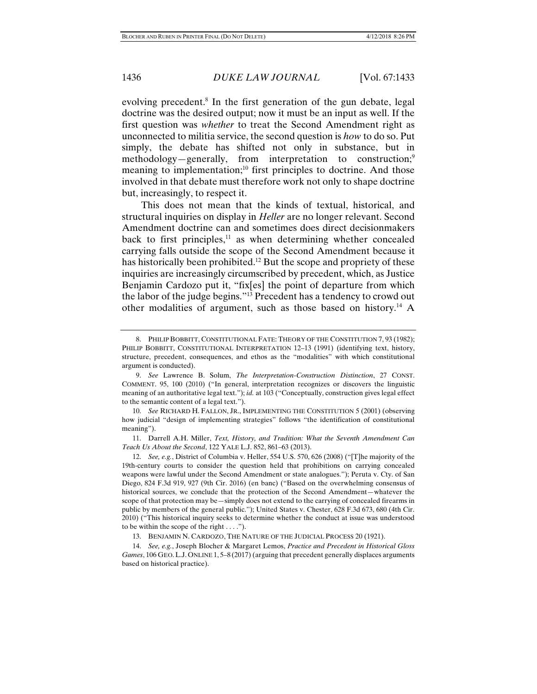evolving precedent.<sup>8</sup> In the first generation of the gun debate, legal doctrine was the desired output; now it must be an input as well. If the first question was *whether* to treat the Second Amendment right as unconnected to militia service, the second question is *how* to do so. Put simply, the debate has shifted not only in substance, but in methodology—generally, from interpretation to construction;<sup>9</sup> meaning to implementation;<sup>10</sup> first principles to doctrine. And those involved in that debate must therefore work not only to shape doctrine but, increasingly, to respect it.

This does not mean that the kinds of textual, historical, and structural inquiries on display in *Heller* are no longer relevant. Second Amendment doctrine can and sometimes does direct decisionmakers back to first principles, $11$  as when determining whether concealed carrying falls outside the scope of the Second Amendment because it has historically been prohibited.<sup>12</sup> But the scope and propriety of these inquiries are increasingly circumscribed by precedent, which, as Justice Benjamin Cardozo put it, "fix[es] the point of departure from which the labor of the judge begins."13 Precedent has a tendency to crowd out other modalities of argument, such as those based on history.14 A

 11. Darrell A.H. Miller, *Text, History, and Tradition: What the Seventh Amendment Can Teach Us About the Second*, 122 YALE L.J. 852, 861–63 (2013).

 <sup>8.</sup> PHILIP BOBBITT, CONSTITUTIONAL FATE: THEORY OF THE CONSTITUTION 7, 93 (1982); PHILIP BOBBITT, CONSTITUTIONAL INTERPRETATION 12–13 (1991) (identifying text, history, structure, precedent, consequences, and ethos as the "modalities" with which constitutional argument is conducted).

 <sup>9.</sup> *See* Lawrence B. Solum, *The Interpretation-Construction Distinction*, 27 CONST. COMMENT. 95, 100 (2010) ("In general, interpretation recognizes or discovers the linguistic meaning of an authoritative legal text."); *id.* at 103 ("Conceptually, construction gives legal effect to the semantic content of a legal text.").

 <sup>10.</sup> *See* RICHARD H. FALLON, JR., IMPLEMENTING THE CONSTITUTION 5 (2001) (observing how judicial "design of implementing strategies" follows "the identification of constitutional meaning").

 <sup>12.</sup> *See, e.g.*, District of Columbia v. Heller, 554 U.S. 570, 626 (2008) ("[T]he majority of the 19th-century courts to consider the question held that prohibitions on carrying concealed weapons were lawful under the Second Amendment or state analogues."); Peruta v. Cty. of San Diego, 824 F.3d 919, 927 (9th Cir. 2016) (en banc) ("Based on the overwhelming consensus of historical sources, we conclude that the protection of the Second Amendment—whatever the scope of that protection may be—simply does not extend to the carrying of concealed firearms in public by members of the general public."); United States v. Chester, 628 F.3d 673, 680 (4th Cir. 2010) ("This historical inquiry seeks to determine whether the conduct at issue was understood to be within the scope of the right  $\dots$ .").

 <sup>13.</sup> BENJAMIN N. CARDOZO, THE NATURE OF THE JUDICIAL PROCESS 20 (1921).

 <sup>14.</sup> *See, e.g.*, Joseph Blocher & Margaret Lemos, *Practice and Precedent in Historical Gloss Games*, 106 GEO.L.J. ONLINE 1, 5–8 (2017) (arguing that precedent generally displaces arguments based on historical practice).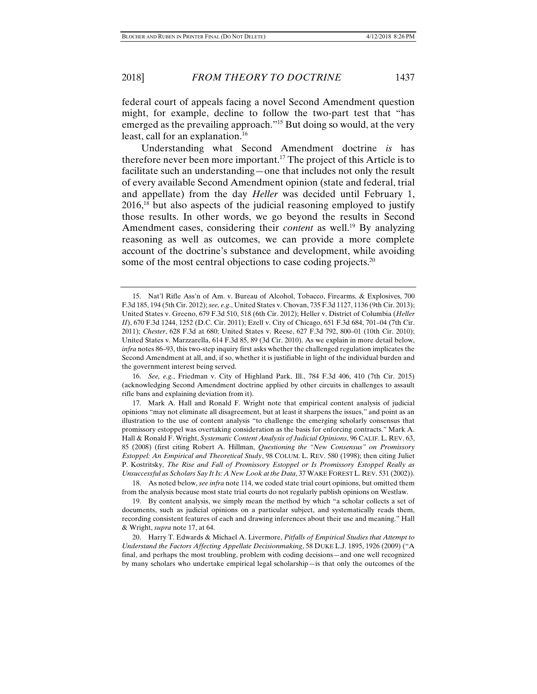federal court of appeals facing a novel Second Amendment question might, for example, decline to follow the two-part test that "has emerged as the prevailing approach."15 But doing so would, at the very least, call for an explanation.<sup>16</sup>

Understanding what Second Amendment doctrine *is* has therefore never been more important.17 The project of this Article is to facilitate such an understanding—one that includes not only the result of every available Second Amendment opinion (state and federal, trial and appellate) from the day *Heller* was decided until February 1,  $2016<sup>18</sup>$  but also aspects of the judicial reasoning employed to justify those results. In other words, we go beyond the results in Second Amendment cases, considering their *content* as well.<sup>19</sup> By analyzing reasoning as well as outcomes, we can provide a more complete account of the doctrine's substance and development, while avoiding some of the most central objections to case coding projects.<sup>20</sup>

 16. *See, e.g.*, Friedman v. City of Highland Park, Ill., 784 F.3d 406, 410 (7th Cir. 2015) (acknowledging Second Amendment doctrine applied by other circuits in challenges to assault rifle bans and explaining deviation from it).

 17. Mark A. Hall and Ronald F. Wright note that empirical content analysis of judicial opinions "may not eliminate all disagreement, but at least it sharpens the issues," and point as an illustration to the use of content analysis "to challenge the emerging scholarly consensus that promissory estoppel was overtaking consideration as the basis for enforcing contracts." Mark A. Hall & Ronald F. Wright, *Systematic Content Analysis of Judicial Opinions*, 96 CALIF. L. REV. 63, 85 (2008) (first citing Robert A. Hillman, *Questioning the "New Consensus" on Promissory Estoppel: An Empirical and Theoretical Study*, 98 COLUM. L. REV. 580 (1998); then citing Juliet P. Kostritsky, *The Rise and Fall of Promissory Estoppel or Is Promissory Estoppel Really as Unsuccessful as Scholars Say It Is: A New Look at the Data*, 37 WAKE FOREST L. REV. 531 (2002)).

 18. As noted below, *see infra* note 114, we coded state trial court opinions, but omitted them from the analysis because most state trial courts do not regularly publish opinions on Westlaw.

 19. By content analysis, we simply mean the method by which "a scholar collects a set of documents, such as judicial opinions on a particular subject, and systematically reads them, recording consistent features of each and drawing inferences about their use and meaning." Hall & Wright, *supra* note 17, at 64.

 <sup>15.</sup> Nat'l Rifle Ass'n of Am. v. Bureau of Alcohol, Tobacco, Firearms, & Explosives, 700 F.3d 185, 194 (5th Cir. 2012); *see, e.g*., United States v. Chovan, 735 F.3d 1127, 1136 (9th Cir. 2013); United States v. Greeno, 679 F.3d 510, 518 (6th Cir. 2012); Heller v. District of Columbia (*Heller II*), 670 F.3d 1244, 1252 (D.C. Cir. 2011); Ezell v. City of Chicago, 651 F.3d 684, 701–04 (7th Cir. 2011); *Chester*, 628 F.3d at 680; United States v. Reese, 627 F.3d 792, 800–01 (10th Cir. 2010); United States v. Marzzarella, 614 F.3d 85, 89 (3d Cir. 2010). As we explain in more detail below, *infra* notes 86–93, this two-step inquiry first asks whether the challenged regulation implicates the Second Amendment at all, and, if so, whether it is justifiable in light of the individual burden and the government interest being served.

 <sup>20.</sup> Harry T. Edwards & Michael A. Livermore, *Pitfalls of Empirical Studies that Attempt to Understand the Factors Affecting Appellate Decisionmaking*, 58 DUKE L.J. 1895, 1926 (2009) ("A final, and perhaps the most troubling, problem with coding decisions—and one well recognized by many scholars who undertake empirical legal scholarship—is that only the outcomes of the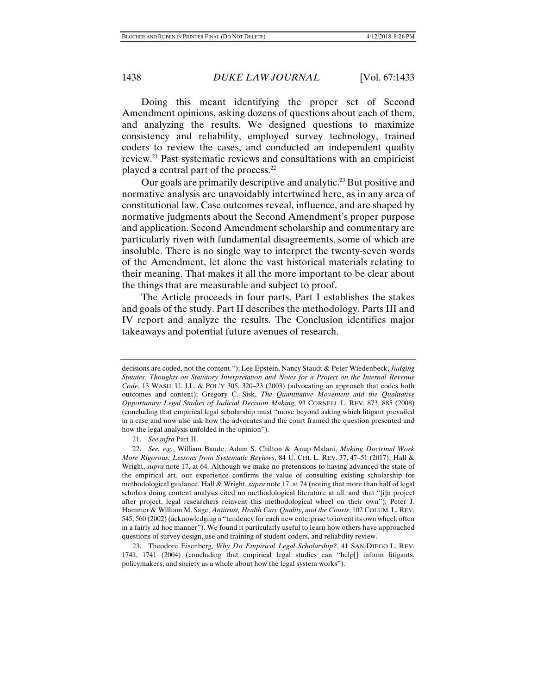Doing this meant identifying the proper set of Second Amendment opinions, asking dozens of questions about each of them, and analyzing the results. We designed questions to maximize consistency and reliability, employed survey technology, trained coders to review the cases, and conducted an independent quality review.21 Past systematic reviews and consultations with an empiricist played a central part of the process.22

Our goals are primarily descriptive and analytic.<sup>23</sup> But positive and normative analysis are unavoidably intertwined here, as in any area of constitutional law. Case outcomes reveal, influence, and are shaped by normative judgments about the Second Amendment's proper purpose and application. Second Amendment scholarship and commentary are particularly riven with fundamental disagreements, some of which are insoluble. There is no single way to interpret the twenty-seven words of the Amendment, let alone the vast historical materials relating to their meaning. That makes it all the more important to be clear about the things that are measurable and subject to proof.

The Article proceeds in four parts. Part I establishes the stakes and goals of the study. Part II describes the methodology. Parts III and IV report and analyze the results. The Conclusion identifies major takeaways and potential future avenues of research.

 23. Theodore Eisenberg, *Why Do Empirical Legal Scholarship?*, 41 SAN DIEGO L. REV. 1741, 1741 (2004) (concluding that empirical legal studies can "help[] inform litigants, policymakers, and society as a whole about how the legal system works").

decisions are coded, not the content."); Lee Epstein, Nancy Staudt & Peter Wiedenbeck, *Judging Statutes: Thoughts on Statutory Interpretation and Notes for a Project on the Internal Revenue Code*, 13 WASH. U. J.L. & POL'Y 305, 320–23 (2003) (advocating an approach that codes both outcomes and content); Gregory C. Sisk, *The Quantitative Movement and the Qualitative Opportunity: Legal Studies of Judicial Decision Making*, 93 CORNELL L. REV. 873, 885 (2008) (concluding that empirical legal scholarship must "move beyond asking which litigant prevailed in a case and now also ask how the advocates and the court framed the question presented and how the legal analysis unfolded in the opinion").

 <sup>21.</sup> *See infra* Part II.

 <sup>22.</sup> *See, e.g.*, William Baude, Adam S. Chilton & Anup Malani, *Making Doctrinal Work More Rigorous: Lessons from Systematic Reviews*, 84 U. CHI. L. REV. 37, 47–51 (2017); Hall & Wright, *supra* note 17, at 64. Although we make no pretensions to having advanced the state of the empirical art, our experience confirms the value of consulting existing scholarship for methodological guidance. Hall & Wright, *supra* note 17, at 74 (noting that more than half of legal scholars doing content analysis cited no methodological literature at all, and that "[i]n project after project, legal researchers reinvent this methodological wheel on their own"); Peter J. Hammer & William M. Sage, *Antitrust, Health Care Quality, and the Courts*, 102 COLUM. L. REV. 545, 560 (2002) (acknowledging a "tendency for each new enterprise to invent its own wheel, often in a fairly ad hoc manner"). We found it particularly useful to learn how others have approached questions of survey design, use and training of student coders, and reliability review.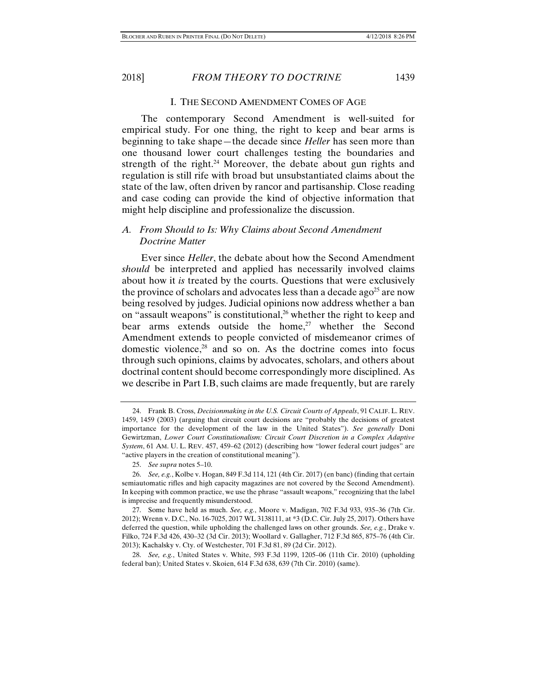#### I. THE SECOND AMENDMENT COMES OF AGE

The contemporary Second Amendment is well-suited for empirical study. For one thing, the right to keep and bear arms is beginning to take shape—the decade since *Heller* has seen more than one thousand lower court challenges testing the boundaries and strength of the right.<sup>24</sup> Moreover, the debate about gun rights and regulation is still rife with broad but unsubstantiated claims about the state of the law, often driven by rancor and partisanship. Close reading and case coding can provide the kind of objective information that might help discipline and professionalize the discussion.

# *A. From Should to Is: Why Claims about Second Amendment Doctrine Matter*

Ever since *Heller*, the debate about how the Second Amendment *should* be interpreted and applied has necessarily involved claims about how it *is* treated by the courts. Questions that were exclusively the province of scholars and advocates less than a decade ago<sup>25</sup> are now being resolved by judges. Judicial opinions now address whether a ban on "assault weapons" is constitutional, $2<sup>6</sup>$  whether the right to keep and bear arms extends outside the home, $27$  whether the Second Amendment extends to people convicted of misdemeanor crimes of domestic violence, $28$  and so on. As the doctrine comes into focus through such opinions, claims by advocates, scholars, and others about doctrinal content should become correspondingly more disciplined. As we describe in Part I.B, such claims are made frequently, but are rarely

 <sup>24.</sup> Frank B. Cross, *Decisionmaking in the U.S. Circuit Courts of Appeals*, 91 CALIF. L. REV. 1459, 1459 (2003) (arguing that circuit court decisions are "probably the decisions of greatest importance for the development of the law in the United States"). *See generally* Doni Gewirtzman, *Lower Court Constitutionalism: Circuit Court Discretion in a Complex Adaptive System*, 61 AM. U. L. REV. 457, 459–62 (2012) (describing how "lower federal court judges" are "active players in the creation of constitutional meaning").

 <sup>25.</sup> *See supra* notes 5–10.

 <sup>26.</sup> *See, e.g.*, Kolbe v. Hogan, 849 F.3d 114, 121 (4th Cir. 2017) (en banc) (finding that certain semiautomatic rifles and high capacity magazines are not covered by the Second Amendment). In keeping with common practice, we use the phrase "assault weapons," recognizing that the label is imprecise and frequently misunderstood.

 <sup>27.</sup> Some have held as much. *See, e.g.*, Moore v. Madigan, 702 F.3d 933, 935–36 (7th Cir. 2012); Wrenn v. D.C., No. 16-7025, 2017 WL 3138111, at \*3 (D.C. Cir. July 25, 2017). Others have deferred the question, while upholding the challenged laws on other grounds. *See, e.g.*, Drake v. Filko, 724 F.3d 426, 430–32 (3d Cir. 2013); Woollard v. Gallagher, 712 F.3d 865, 875–76 (4th Cir. 2013); Kachalsky v. Cty. of Westchester, 701 F.3d 81, 89 (2d Cir. 2012).

 <sup>28.</sup> *See, e.g.*, United States v. White, 593 F.3d 1199, 1205–06 (11th Cir. 2010) (upholding federal ban); United States v. Skoien, 614 F.3d 638, 639 (7th Cir. 2010) (same).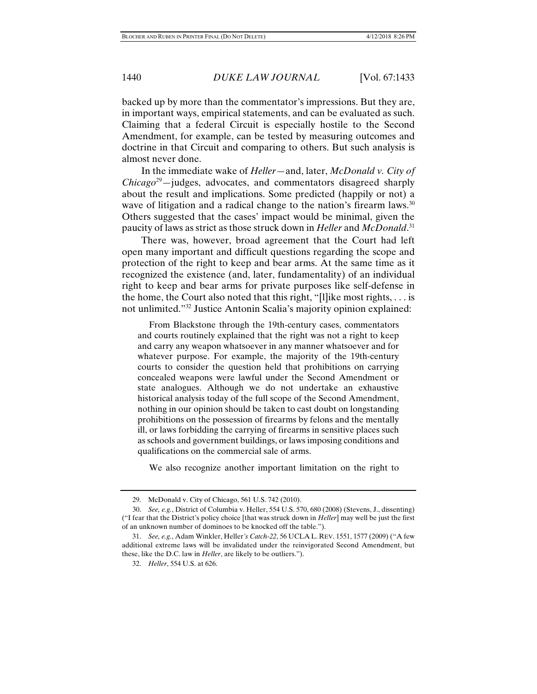backed up by more than the commentator's impressions. But they are, in important ways, empirical statements, and can be evaluated as such. Claiming that a federal Circuit is especially hostile to the Second Amendment, for example, can be tested by measuring outcomes and doctrine in that Circuit and comparing to others. But such analysis is almost never done.

In the immediate wake of *Heller*—and, later, *McDonald v. City of Chicago*29—judges, advocates, and commentators disagreed sharply about the result and implications. Some predicted (happily or not) a wave of litigation and a radical change to the nation's firearm laws.<sup>30</sup> Others suggested that the cases' impact would be minimal, given the paucity of laws as strict as those struck down in *Heller* and *McDonald*. 31

There was, however, broad agreement that the Court had left open many important and difficult questions regarding the scope and protection of the right to keep and bear arms. At the same time as it recognized the existence (and, later, fundamentality) of an individual right to keep and bear arms for private purposes like self-defense in the home, the Court also noted that this right, "[l]ike most rights, . . . is not unlimited."32 Justice Antonin Scalia's majority opinion explained:

 From Blackstone through the 19th-century cases, commentators and courts routinely explained that the right was not a right to keep and carry any weapon whatsoever in any manner whatsoever and for whatever purpose. For example, the majority of the 19th-century courts to consider the question held that prohibitions on carrying concealed weapons were lawful under the Second Amendment or state analogues. Although we do not undertake an exhaustive historical analysis today of the full scope of the Second Amendment, nothing in our opinion should be taken to cast doubt on longstanding prohibitions on the possession of firearms by felons and the mentally ill, or laws forbidding the carrying of firearms in sensitive places such as schools and government buildings, or laws imposing conditions and qualifications on the commercial sale of arms.

We also recognize another important limitation on the right to

 <sup>29.</sup> McDonald v. City of Chicago, 561 U.S. 742 (2010).

 <sup>30.</sup> *See, e.g.*, District of Columbia v. Heller, 554 U.S. 570, 680 (2008) (Stevens, J., dissenting) ("I fear that the District's policy choice [that was struck down in *Heller*] may well be just the first of an unknown number of dominoes to be knocked off the table.").

 <sup>31.</sup> *See, e.g.*, Adam Winkler, Heller*'s Catch-22*, 56 UCLA L. REV. 1551, 1577 (2009) ("A few additional extreme laws will be invalidated under the reinvigorated Second Amendment, but these, like the D.C. law in *Heller*, are likely to be outliers.").

 <sup>32.</sup> *Heller*, 554 U.S. at 626.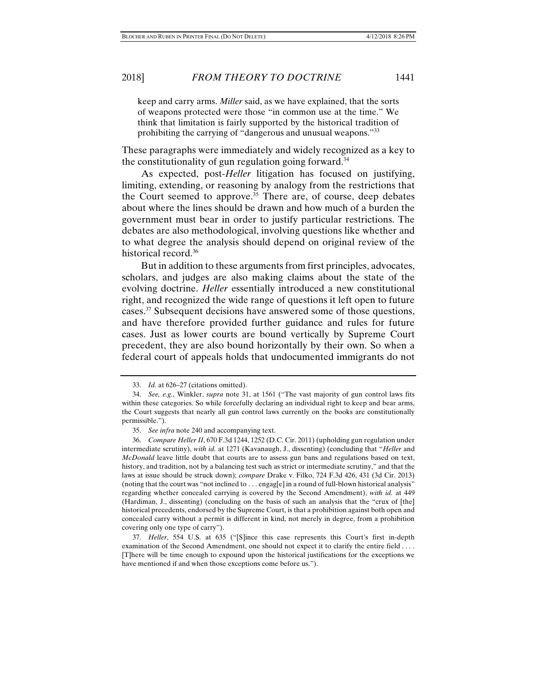keep and carry arms. *Miller* said, as we have explained, that the sorts of weapons protected were those "in common use at the time." We think that limitation is fairly supported by the historical tradition of prohibiting the carrying of "dangerous and unusual weapons."<sup>33</sup>

These paragraphs were immediately and widely recognized as a key to the constitutionality of gun regulation going forward.<sup>34</sup>

As expected, post-*Heller* litigation has focused on justifying, limiting, extending, or reasoning by analogy from the restrictions that the Court seemed to approve.<sup>35</sup> There are, of course, deep debates about where the lines should be drawn and how much of a burden the government must bear in order to justify particular restrictions. The debates are also methodological, involving questions like whether and to what degree the analysis should depend on original review of the historical record.<sup>36</sup>

But in addition to these arguments from first principles, advocates, scholars, and judges are also making claims about the state of the evolving doctrine. *Heller* essentially introduced a new constitutional right, and recognized the wide range of questions it left open to future cases.37 Subsequent decisions have answered some of those questions, and have therefore provided further guidance and rules for future cases. Just as lower courts are bound vertically by Supreme Court precedent, they are also bound horizontally by their own. So when a federal court of appeals holds that undocumented immigrants do not

 <sup>33.</sup> *Id.* at 626–27 (citations omitted).

 <sup>34.</sup> *See, e.g.*, Winkler, *supra* note 31, at 1561 ("The vast majority of gun control laws fits within these categories. So while forcefully declaring an individual right to keep and bear arms, the Court suggests that nearly all gun control laws currently on the books are constitutionally permissible.").

 <sup>35.</sup> *See infra* note 240 and accompanying text.

 <sup>36.</sup> *Compare Heller II*, 670 F.3d 1244, 1252 (D.C. Cir. 2011) (upholding gun regulation under intermediate scrutiny), *with id.* at 1271 (Kavanaugh, J., dissenting) (concluding that "*Heller* and *McDonald* leave little doubt that courts are to assess gun bans and regulations based on text, history, and tradition, not by a balancing test such as strict or intermediate scrutiny," and that the laws at issue should be struck down); *compare* Drake v. Filko, 724 F.3d 426, 431 (3d Cir. 2013) (noting that the court was "not inclined to . . . engag[e] in a round of full-blown historical analysis" regarding whether concealed carrying is covered by the Second Amendment), *with id.* at 449 (Hardiman, J., dissenting) (concluding on the basis of such an analysis that the "crux of [the] historical precedents, endorsed by the Supreme Court, is that a prohibition against both open and concealed carry without a permit is different in kind, not merely in degree, from a prohibition covering only one type of carry").

 <sup>37.</sup> *Heller*, 554 U.S. at 635 ("[S]ince this case represents this Court's first in-depth examination of the Second Amendment, one should not expect it to clarify the entire field . . . . [T]here will be time enough to expound upon the historical justifications for the exceptions we have mentioned if and when those exceptions come before us.").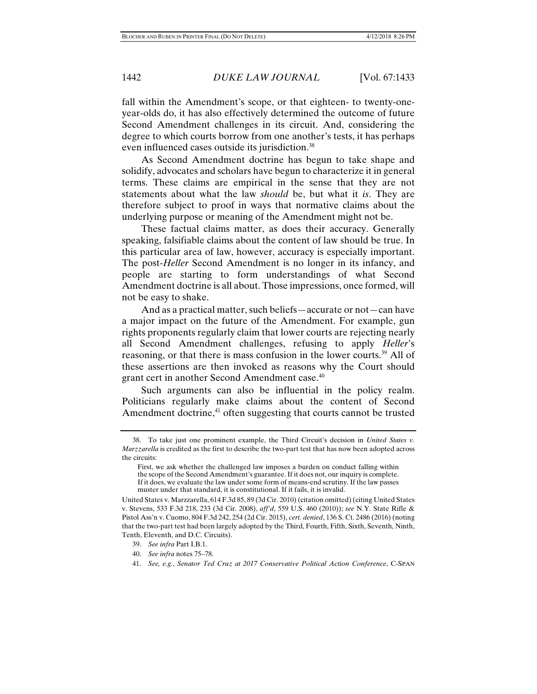fall within the Amendment's scope, or that eighteen- to twenty-oneyear-olds do, it has also effectively determined the outcome of future Second Amendment challenges in its circuit. And, considering the degree to which courts borrow from one another's tests, it has perhaps even influenced cases outside its jurisdiction.<sup>38</sup>

As Second Amendment doctrine has begun to take shape and solidify, advocates and scholars have begun to characterize it in general terms. These claims are empirical in the sense that they are not statements about what the law *should* be, but what it *is*. They are therefore subject to proof in ways that normative claims about the underlying purpose or meaning of the Amendment might not be.

These factual claims matter, as does their accuracy. Generally speaking, falsifiable claims about the content of law should be true. In this particular area of law, however, accuracy is especially important. The post-*Heller* Second Amendment is no longer in its infancy, and people are starting to form understandings of what Second Amendment doctrine is all about. Those impressions, once formed, will not be easy to shake.

And as a practical matter, such beliefs—accurate or not—can have a major impact on the future of the Amendment. For example, gun rights proponents regularly claim that lower courts are rejecting nearly all Second Amendment challenges, refusing to apply *Heller*'s reasoning, or that there is mass confusion in the lower courts.<sup>39</sup> All of these assertions are then invoked as reasons why the Court should grant cert in another Second Amendment case.<sup>40</sup>

Such arguments can also be influential in the policy realm. Politicians regularly make claims about the content of Second Amendment doctrine, $41$  often suggesting that courts cannot be trusted

40. *See infra* notes 75–78.

 <sup>38.</sup> To take just one prominent example, the Third Circuit's decision in *United States v. Marzzarella* is credited as the first to describe the two-part test that has now been adopted across the circuits:

First, we ask whether the challenged law imposes a burden on conduct falling within the scope of the Second Amendment's guarantee. If it does not, our inquiry is complete. If it does, we evaluate the law under some form of means-end scrutiny. If the law passes muster under that standard, it is constitutional. If it fails, it is invalid.

United States v. Marzzarella, 614 F.3d 85, 89 (3d Cir. 2010) (citation omitted) (citing United States v. Stevens, 533 F.3d 218, 233 (3d Cir. 2008), *aff'd*, 559 U.S. 460 (2010)); *see* N.Y. State Rifle & Pistol Ass'n v. Cuomo, 804 F.3d 242, 254 (2d Cir. 2015), *cert. denied*, 136 S. Ct. 2486 (2016) (noting that the two-part test had been largely adopted by the Third, Fourth, Fifth, Sixth, Seventh, Ninth, Tenth, Eleventh, and D.C. Circuits).

 <sup>39.</sup> *See infra* Part I.B.1.

 <sup>41.</sup> *See, e.g.*, *Senator Ted Cruz at 2017 Conservative Political Action Conference*, C-SPAN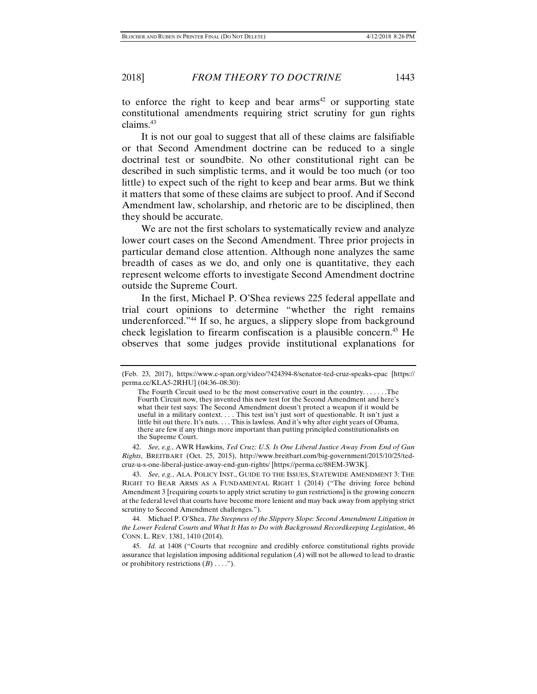to enforce the right to keep and bear arms<sup>42</sup> or supporting state constitutional amendments requiring strict scrutiny for gun rights claims.43

It is not our goal to suggest that all of these claims are falsifiable or that Second Amendment doctrine can be reduced to a single doctrinal test or soundbite. No other constitutional right can be described in such simplistic terms, and it would be too much (or too little) to expect such of the right to keep and bear arms. But we think it matters that some of these claims are subject to proof. And if Second Amendment law, scholarship, and rhetoric are to be disciplined, then they should be accurate.

We are not the first scholars to systematically review and analyze lower court cases on the Second Amendment. Three prior projects in particular demand close attention. Although none analyzes the same breadth of cases as we do, and only one is quantitative, they each represent welcome efforts to investigate Second Amendment doctrine outside the Supreme Court.

In the first, Michael P. O'Shea reviews 225 federal appellate and trial court opinions to determine "whether the right remains underenforced."<sup>44</sup> If so, he argues, a slippery slope from background check legislation to firearm confiscation is a plausible concern.45 He observes that some judges provide institutional explanations for

 42. *See, e.g.*, AWR Hawkins, *Ted Cruz: U.S. Is One Liberal Justice Away From End of Gun Rights*, BREITBART (Oct. 25, 2015), http://www.breitbart.com/big-government/2015/10/25/tedcruz-u-s-one-liberal-justice-away-end-gun-rights/ [https://perma.cc/88EM-3W3K].

 43. *See, e.g.*, ALA. POLICY INST., GUIDE TO THE ISSUES, STATEWIDE AMENDMENT 3: THE RIGHT TO BEAR ARMS AS A FUNDAMENTAL RIGHT 1 (2014) ("The driving force behind Amendment 3 [requiring courts to apply strict scrutiny to gun restrictions] is the growing concern at the federal level that courts have become more lenient and may back away from applying strict scrutiny to Second Amendment challenges.").

 44. Michael P. O'Shea, *The Steepness of the Slippery Slope: Second Amendment Litigation in the Lower Federal Courts and What It Has to Do with Background Recordkeeping Legislation*, 46 CONN. L. REV. 1381, 1410 (2014).

<sup>(</sup>Feb. 23, 2017), https://www.c-span.org/video/?424394-8/senator-ted-cruz-speaks-cpac [https:// perma.cc/KLA5-2RHU] (04:36–08:30):

The Fourth Circuit used to be the most conservative court in the country. . . . . . .The Fourth Circuit now, they invented this new test for the Second Amendment and here's what their test says: The Second Amendment doesn't protect a weapon if it would be useful in a military context. . . . This test isn't just sort of questionable. It isn't just a little bit out there. It's nuts. . . . This is lawless. And it's why after eight years of Obama, there are few if any things more important than putting principled constitutionalists on the Supreme Court.

 <sup>45.</sup> *Id.* at 1408 ("Courts that recognize and credibly enforce constitutional rights provide assurance that legislation imposing additional regulation (*A*) will not be allowed to lead to drastic or prohibitory restrictions (*B*) . . . .").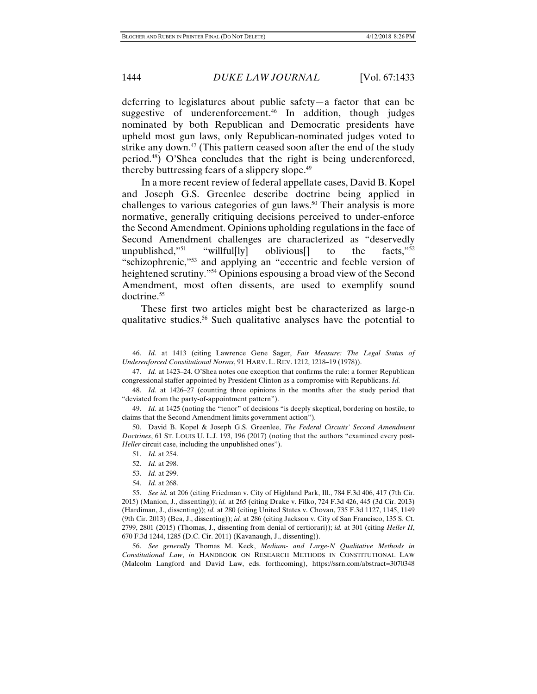deferring to legislatures about public safety—a factor that can be suggestive of underenforcement.<sup>46</sup> In addition, though judges nominated by both Republican and Democratic presidents have upheld most gun laws, only Republican-nominated judges voted to strike any down.<sup>47</sup> (This pattern ceased soon after the end of the study period.48) O'Shea concludes that the right is being underenforced, thereby buttressing fears of a slippery slope.<sup>49</sup>

In a more recent review of federal appellate cases, David B. Kopel and Joseph G.S. Greenlee describe doctrine being applied in challenges to various categories of gun laws.<sup>50</sup> Their analysis is more normative, generally critiquing decisions perceived to under-enforce the Second Amendment. Opinions upholding regulations in the face of Second Amendment challenges are characterized as "deservedly unpublished,"<sup>51</sup> "willful[ly] oblivious[] to the facts,"<sup>52</sup> "schizophrenic,"53 and applying an "eccentric and feeble version of heightened scrutiny."<sup>54</sup> Opinions espousing a broad view of the Second Amendment, most often dissents, are used to exemplify sound doctrine.<sup>55</sup>

These first two articles might best be characterized as large-n qualitative studies.56 Such qualitative analyses have the potential to

54. *Id.* at 268.

 56. *See generally* Thomas M. Keck, *Medium- and Large-N Qualitative Methods in Constitutional Law*, *in* HANDBOOK ON RESEARCH METHODS IN CONSTITUTIONAL LAW (Malcolm Langford and David Law, eds. forthcoming), https://ssrn.com/abstract=3070348

 <sup>46.</sup> *Id.* at 1413 (citing Lawrence Gene Sager, *Fair Measure: The Legal Status of Underenforced Constitutional Norms*, 91 HARV. L. REV. 1212, 1218–19 (1978)).

 <sup>47.</sup> *Id.* at 1423–24. O'Shea notes one exception that confirms the rule: a former Republican congressional staffer appointed by President Clinton as a compromise with Republicans. *Id.*

 <sup>48.</sup> *Id.* at 1426–27 (counting three opinions in the months after the study period that "deviated from the party-of-appointment pattern").

 <sup>49.</sup> *Id.* at 1425 (noting the "tenor" of decisions "is deeply skeptical, bordering on hostile, to claims that the Second Amendment limits government action").

 <sup>50.</sup> David B. Kopel & Joseph G.S. Greenlee, *The Federal Circuits' Second Amendment Doctrines*, 61 ST. LOUIS U. L.J. 193, 196 (2017) (noting that the authors "examined every post-*Heller* circuit case, including the unpublished ones").

 <sup>51.</sup> *Id.* at 254.

 <sup>52.</sup> *Id.* at 298.

 <sup>53.</sup> *Id.* at 299.

 <sup>55.</sup> *See id.* at 206 (citing Friedman v. City of Highland Park, Ill., 784 F.3d 406, 417 (7th Cir. 2015) (Manion, J., dissenting)); *id.* at 265 (citing Drake v. Filko, 724 F.3d 426, 445 (3d Cir. 2013) (Hardiman, J., dissenting)); *id.* at 280 (citing United States v. Chovan, 735 F.3d 1127, 1145, 1149 (9th Cir. 2013) (Bea, J., dissenting)); *id.* at 286 (citing Jackson v. City of San Francisco, 135 S. Ct. 2799, 2801 (2015) (Thomas, J., dissenting from denial of certiorari)); *id.* at 301 (citing *Heller II*, 670 F.3d 1244, 1285 (D.C. Cir. 2011) (Kavanaugh, J., dissenting)).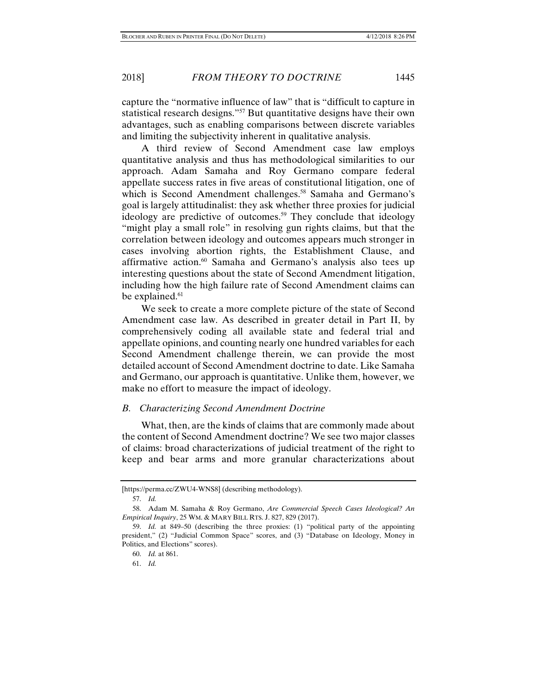capture the "normative influence of law" that is "difficult to capture in statistical research designs."57 But quantitative designs have their own advantages, such as enabling comparisons between discrete variables and limiting the subjectivity inherent in qualitative analysis.

A third review of Second Amendment case law employs quantitative analysis and thus has methodological similarities to our approach. Adam Samaha and Roy Germano compare federal appellate success rates in five areas of constitutional litigation, one of which is Second Amendment challenges.<sup>58</sup> Samaha and Germano's goal is largely attitudinalist: they ask whether three proxies for judicial ideology are predictive of outcomes.<sup>59</sup> They conclude that ideology "might play a small role" in resolving gun rights claims, but that the correlation between ideology and outcomes appears much stronger in cases involving abortion rights, the Establishment Clause, and affirmative action. $60$  Samaha and Germano's analysis also tees up interesting questions about the state of Second Amendment litigation, including how the high failure rate of Second Amendment claims can be explained.<sup>61</sup>

We seek to create a more complete picture of the state of Second Amendment case law. As described in greater detail in Part II, by comprehensively coding all available state and federal trial and appellate opinions, and counting nearly one hundred variables for each Second Amendment challenge therein, we can provide the most detailed account of Second Amendment doctrine to date. Like Samaha and Germano, our approach is quantitative. Unlike them, however, we make no effort to measure the impact of ideology.

#### *B. Characterizing Second Amendment Doctrine*

What, then, are the kinds of claims that are commonly made about the content of Second Amendment doctrine? We see two major classes of claims: broad characterizations of judicial treatment of the right to keep and bear arms and more granular characterizations about

<sup>[</sup>https://perma.cc/ZWU4-WNS8] (describing methodology).

 <sup>57.</sup> *Id.*

 <sup>58.</sup> Adam M. Samaha & Roy Germano, *Are Commercial Speech Cases Ideological? An Empirical Inquiry*, 25 WM. & MARY BILL RTS. J. 827, 829 (2017).

 <sup>59.</sup> *Id.* at 849–50 (describing the three proxies: (1) "political party of the appointing president," (2) "Judicial Common Space" scores, and (3) "Database on Ideology, Money in Politics, and Elections" scores).

 <sup>60.</sup> *Id.* at 861.

 <sup>61.</sup> *Id.*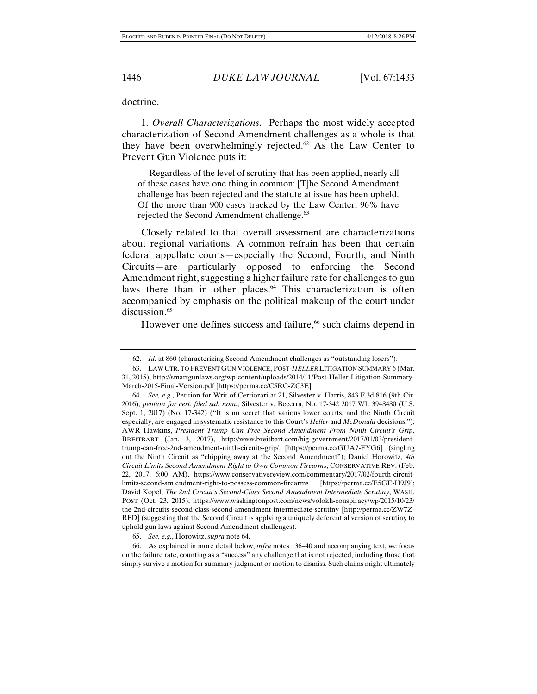doctrine.

1. *Overall Characterizations*. Perhaps the most widely accepted characterization of Second Amendment challenges as a whole is that they have been overwhelmingly rejected.<sup>62</sup> As the Law Center to Prevent Gun Violence puts it:

 Regardless of the level of scrutiny that has been applied, nearly all of these cases have one thing in common: [T]he Second Amendment challenge has been rejected and the statute at issue has been upheld. Of the more than 900 cases tracked by the Law Center, 96% have rejected the Second Amendment challenge.<sup>63</sup>

Closely related to that overall assessment are characterizations about regional variations. A common refrain has been that certain federal appellate courts—especially the Second, Fourth, and Ninth Circuits—are particularly opposed to enforcing the Second Amendment right, suggesting a higher failure rate for challenges to gun laws there than in other places.<sup>64</sup> This characterization is often accompanied by emphasis on the political makeup of the court under discussion.<sup>65</sup>

However one defines success and failure,<sup>66</sup> such claims depend in

 <sup>62.</sup> *Id.* at 860 (characterizing Second Amendment challenges as "outstanding losers").

 <sup>63.</sup> LAW CTR. TO PREVENT GUN VIOLENCE, POST-*HELLER* LITIGATION SUMMARY 6 (Mar. 31, 2015), http://smartgunlaws.org/wp-content/uploads/2014/11/Post-Heller-Litigation-Summary-March-2015-Final-Version.pdf [https://perma.cc/C5RC-ZC3E].

 <sup>64.</sup> *See, e.g.*, Petition for Writ of Certiorari at 21, Silvester v. Harris, 843 F.3d 816 (9th Cir. 2016), *petition for cert. filed sub nom.*, Silvester v. Becerra, No. 17-342 2017 WL 3948480 (U.S. Sept. 1, 2017) (No. 17-342) ("It is no secret that various lower courts, and the Ninth Circuit especially, are engaged in systematic resistance to this Court's *Heller* and *McDonald* decisions."); AWR Hawkins, *President Trump Can Free Second Amendment From Ninth Circuit's Grip*, BREITBART (Jan. 3, 2017), http://www.breitbart.com/big-government/2017/01/03/presidenttrump-can-free-2nd-amendment-ninth-circuits-grip/ [https://perma.cc/GUA7-FYG6] (singling out the Ninth Circuit as "chipping away at the Second Amendment"); Daniel Horowitz, *4th Circuit Limits Second Amendment Right to Own Common Firearms*, CONSERVATIVE REV. (Feb. 22, 2017, 6:00 AM), https://www.conservativereview.com/commentary/2017/02/fourth-circuitlimits-second-am endment-right-to-possess-common-firearms [https://perma.cc/E5GE-H9J9]; David Kopel, *The 2nd Circuit's Second-Class Second Amendment Intermediate Scrutiny*, WASH. POST (Oct. 23, 2015), https://www.washingtonpost.com/news/volokh-conspiracy/wp/2015/10/23/ the-2nd-circuits-second-class-second-amendment-intermediate-scrutiny [http://perma.cc/ZW7Z-RFD] (suggesting that the Second Circuit is applying a uniquely deferential version of scrutiny to uphold gun laws against Second Amendment challenges).

 <sup>65.</sup> *See, e.g.*, Horowitz, *supra* note 64.

 <sup>66.</sup> As explained in more detail below, *infra* notes 136–40 and accompanying text, we focus on the failure rate, counting as a "success" any challenge that is not rejected, including those that simply survive a motion for summary judgment or motion to dismiss. Such claims might ultimately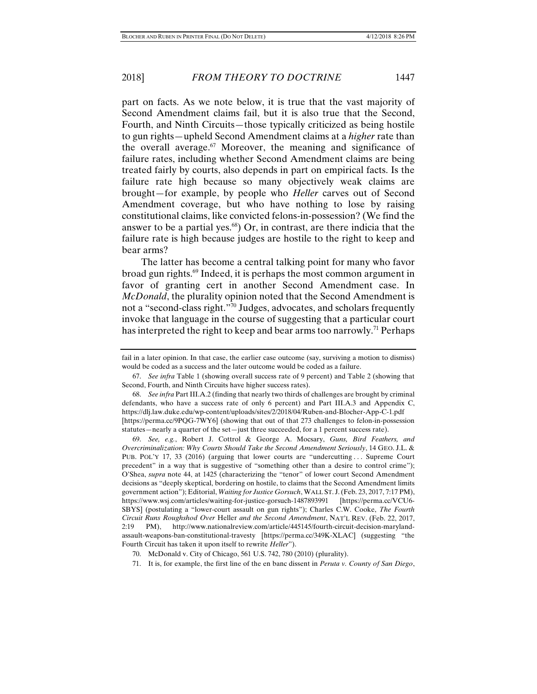part on facts. As we note below, it is true that the vast majority of Second Amendment claims fail, but it is also true that the Second, Fourth, and Ninth Circuits—those typically criticized as being hostile to gun rights—upheld Second Amendment claims at a *higher* rate than the overall average.<sup>67</sup> Moreover, the meaning and significance of failure rates, including whether Second Amendment claims are being treated fairly by courts, also depends in part on empirical facts. Is the failure rate high because so many objectively weak claims are brought—for example, by people who *Heller* carves out of Second Amendment coverage, but who have nothing to lose by raising constitutional claims, like convicted felons-in-possession? (We find the answer to be a partial yes.68) Or, in contrast, are there indicia that the failure rate is high because judges are hostile to the right to keep and bear arms?

The latter has become a central talking point for many who favor broad gun rights.69 Indeed, it is perhaps the most common argument in favor of granting cert in another Second Amendment case. In *McDonald*, the plurality opinion noted that the Second Amendment is not a "second-class right."70 Judges, advocates, and scholars frequently invoke that language in the course of suggesting that a particular court has interpreted the right to keep and bear arms too narrowly.<sup>71</sup> Perhaps

fail in a later opinion. In that case, the earlier case outcome (say, surviving a motion to dismiss) would be coded as a success and the later outcome would be coded as a failure.

 <sup>67.</sup> *See infra* Table 1 (showing overall success rate of 9 percent) and Table 2 (showing that Second, Fourth, and Ninth Circuits have higher success rates).

 <sup>68.</sup> *See infra* Part III.A.2 (finding that nearly two thirds of challenges are brought by criminal defendants, who have a success rate of only 6 percent) and Part III.A.3 and Appendix C, https://dlj.law.duke.edu/wp-content/uploads/sites/2/2018/04/Ruben-and-Blocher-App-C-1.pdf [https://perma.cc/9PQG-7WY6] (showing that out of that 273 challenges to felon-in-possession statutes—nearly a quarter of the set—just three succeeded, for a 1 percent success rate).

 <sup>69.</sup> *See, e.g.*, Robert J. Cottrol & George A. Mocsary, *Guns, Bird Feathers, and Overcriminalization: Why Courts Should Take the Second Amendment Seriously*, 14 GEO. J.L. & PUB. POL'Y 17, 33 (2016) (arguing that lower courts are "undercutting ... Supreme Court precedent" in a way that is suggestive of "something other than a desire to control crime"); O'Shea, *supra* note 44, at 1425 (characterizing the "tenor" of lower court Second Amendment decisions as "deeply skeptical, bordering on hostile, to claims that the Second Amendment limits government action"); Editorial, *Waiting for Justice Gorsuch*, WALL ST. J.(Feb. 23, 2017, 7:17 PM), https://www.wsj.com/articles/waiting-for-justice-gorsuch-1487893991 [https://perma.cc/VCU6- SBYS] (postulating a "lower-court assault on gun rights"); Charles C.W. Cooke, *The Fourth Circuit Runs Roughshod Over* Heller *and the Second Amendment*, NAT'L REV. (Feb. 22, 2017, 2:19 PM), http://www.nationalreview.com/article/445145/fourth-circuit-decision-marylandassault-weapons-ban-constitutional-travesty [https://perma.cc/349K-XLAC] (suggesting "the Fourth Circuit has taken it upon itself to rewrite *Heller*").

 <sup>70.</sup> McDonald v. City of Chicago, 561 U.S. 742, 780 (2010) (plurality).

 <sup>71.</sup> It is, for example, the first line of the en banc dissent in *Peruta v. County of San Diego*,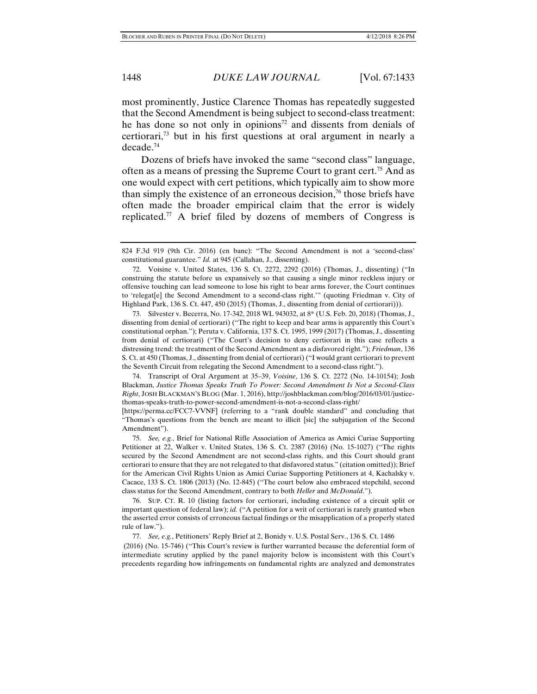most prominently, Justice Clarence Thomas has repeatedly suggested that the Second Amendment is being subject to second-class treatment: he has done so not only in opinions<sup>72</sup> and dissents from denials of certiorari,73 but in his first questions at oral argument in nearly a decade.74

Dozens of briefs have invoked the same "second class" language, often as a means of pressing the Supreme Court to grant cert.<sup>75</sup> And as one would expect with cert petitions, which typically aim to show more than simply the existence of an erroneous decision,<sup>76</sup> those briefs have often made the broader empirical claim that the error is widely replicated.77 A brief filed by dozens of members of Congress is

 73. Silvester v. Becerra, No. 17-342, 2018 WL 943032, at 8\* (U.S. Feb. 20, 2018) (Thomas, J., dissenting from denial of certiorari) ("The right to keep and bear arms is apparently this Court's constitutional orphan."); Peruta v. California, 137 S. Ct. 1995, 1999 (2017) (Thomas, J., dissenting from denial of certiorari) ("The Court's decision to deny certiorari in this case reflects a distressing trend: the treatment of the Second Amendment as a disfavored right."); *Friedman*, 136 S. Ct. at 450 (Thomas, J., dissenting from denial of certiorari) ("I would grant certiorari to prevent the Seventh Circuit from relegating the Second Amendment to a second-class right.").

 74. Transcript of Oral Argument at 35–39, *Voisine*, 136 S. Ct. 2272 (No. 14-10154); Josh Blackman, *Justice Thomas Speaks Truth To Power: Second Amendment Is Not a Second-Class Right*, JOSH BLACKMAN'S BLOG (Mar. 1, 2016), http://joshblackman.com/blog/2016/03/01/justicethomas-speaks-truth-to-power-second-amendment-is-not-a-second-class-right/

[https://perma.cc/FCC7-VVNF] (referring to a "rank double standard" and concluding that "Thomas's questions from the bench are meant to illicit [sic] the subjugation of the Second Amendment").

 75. *See, e.g.*, Brief for National Rifle Association of America as Amici Curiae Supporting Petitioner at 22, Walker v. United States, 136 S. Ct. 2387 (2016) (No. 15-1027) ("The rights secured by the Second Amendment are not second-class rights, and this Court should grant certiorari to ensure that they are not relegated to that disfavored status." (citation omitted)); Brief for the American Civil Rights Union as Amici Curiae Supporting Petitioners at 4, Kachalsky v. Cacace, 133 S. Ct. 1806 (2013) (No. 12-845) ("The court below also embraced stepchild, second class status for the Second Amendment, contrary to both *Heller* and *McDonald*.").

 76. SUP. CT. R. 10 (listing factors for certiorari, including existence of a circuit split or important question of federal law); *id.* ("A petition for a writ of certiorari is rarely granted when the asserted error consists of erroneous factual findings or the misapplication of a properly stated rule of law.").

77. *See, e.g.*, Petitioners' Reply Brief at 2, Bonidy v. U.S. Postal Serv., 136 S. Ct. 1486

 (2016) (No. 15-746) ("This Court's review is further warranted because the deferential form of intermediate scrutiny applied by the panel majority below is inconsistent with this Court's precedents regarding how infringements on fundamental rights are analyzed and demonstrates

<sup>824</sup> F.3d 919 (9th Cir. 2016) (en banc): "The Second Amendment is not a 'second-class' constitutional guarantee." *Id.* at 945 (Callahan, J., dissenting).

 <sup>72.</sup> Voisine v. United States, 136 S. Ct. 2272, 2292 (2016) (Thomas, J., dissenting) ("In construing the statute before us expansively so that causing a single minor reckless injury or offensive touching can lead someone to lose his right to bear arms forever, the Court continues to 'relegat[e] the Second Amendment to a second-class right.'" (quoting Friedman v. City of Highland Park, 136 S. Ct. 447, 450 (2015) (Thomas, J., dissenting from denial of certiorari))).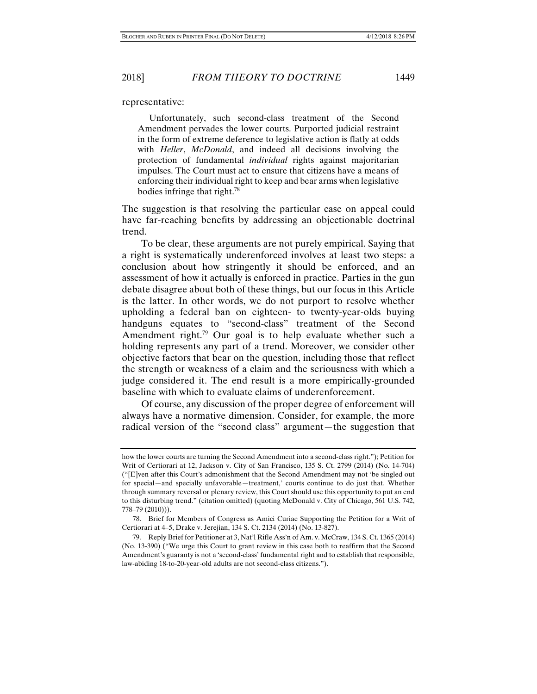representative:

 Unfortunately, such second-class treatment of the Second Amendment pervades the lower courts. Purported judicial restraint in the form of extreme deference to legislative action is flatly at odds with *Heller*, *McDonald*, and indeed all decisions involving the protection of fundamental *individual* rights against majoritarian impulses. The Court must act to ensure that citizens have a means of enforcing their individual right to keep and bear arms when legislative bodies infringe that right.78

The suggestion is that resolving the particular case on appeal could have far-reaching benefits by addressing an objectionable doctrinal trend.

To be clear, these arguments are not purely empirical. Saying that a right is systematically underenforced involves at least two steps: a conclusion about how stringently it should be enforced, and an assessment of how it actually is enforced in practice. Parties in the gun debate disagree about both of these things, but our focus in this Article is the latter. In other words, we do not purport to resolve whether upholding a federal ban on eighteen- to twenty-year-olds buying handguns equates to "second-class" treatment of the Second Amendment right.<sup>79</sup> Our goal is to help evaluate whether such a holding represents any part of a trend. Moreover, we consider other objective factors that bear on the question, including those that reflect the strength or weakness of a claim and the seriousness with which a judge considered it. The end result is a more empirically-grounded baseline with which to evaluate claims of underenforcement.

Of course, any discussion of the proper degree of enforcement will always have a normative dimension. Consider, for example, the more radical version of the "second class" argument—the suggestion that

how the lower courts are turning the Second Amendment into a second-class right."); Petition for Writ of Certiorari at 12, Jackson v. City of San Francisco, 135 S. Ct. 2799 (2014) (No. 14-704) ("[E]ven after this Court's admonishment that the Second Amendment may not 'be singled out for special—and specially unfavorable—treatment,' courts continue to do just that. Whether through summary reversal or plenary review, this Court should use this opportunity to put an end to this disturbing trend." (citation omitted) (quoting McDonald v. City of Chicago, 561 U.S. 742, 778–79 (2010))).

 <sup>78.</sup> Brief for Members of Congress as Amici Curiae Supporting the Petition for a Writ of Certiorari at 4–5, Drake v. Jerejian, 134 S. Ct. 2134 (2014) (No. 13-827).

 <sup>79.</sup> Reply Brief for Petitioner at 3, Nat'l Rifle Ass'n of Am. v. McCraw, 134 S. Ct. 1365 (2014) (No. 13-390) ("We urge this Court to grant review in this case both to reaffirm that the Second Amendment's guaranty is not a 'second-class' fundamental right and to establish that responsible, law-abiding 18-to-20-year-old adults are not second-class citizens.").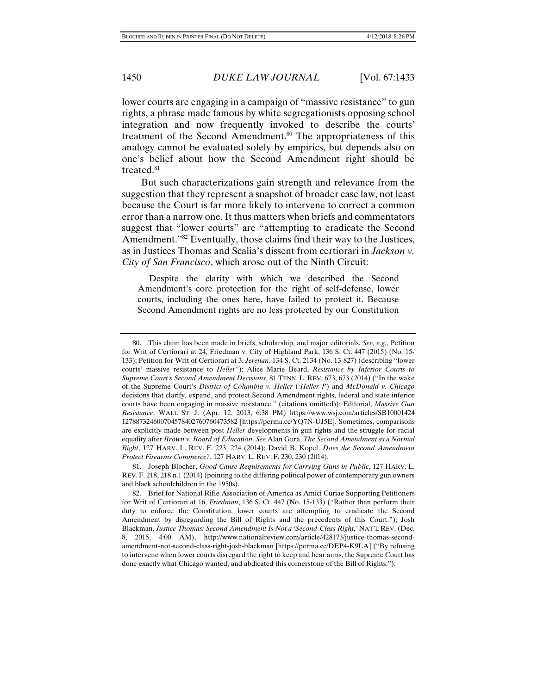lower courts are engaging in a campaign of "massive resistance" to gun rights, a phrase made famous by white segregationists opposing school integration and now frequently invoked to describe the courts' treatment of the Second Amendment.<sup>80</sup> The appropriateness of this analogy cannot be evaluated solely by empirics, but depends also on one's belief about how the Second Amendment right should be treated.<sup>81</sup>

But such characterizations gain strength and relevance from the suggestion that they represent a snapshot of broader case law, not least because the Court is far more likely to intervene to correct a common error than a narrow one. It thus matters when briefs and commentators suggest that "lower courts" are "attempting to eradicate the Second Amendment.<sup>782</sup> Eventually, those claims find their way to the Justices, as in Justices Thomas and Scalia's dissent from certiorari in *Jackson v. City of San Francisco*, which arose out of the Ninth Circuit:

 Despite the clarity with which we described the Second Amendment's core protection for the right of self-defense, lower courts, including the ones here, have failed to protect it. Because Second Amendment rights are no less protected by our Constitution

 <sup>80.</sup> This claim has been made in briefs, scholarship, and major editorials. *See, e.g.*, Petition for Writ of Certiorari at 24, Friedman v. City of Highland Park, 136 S. Ct. 447 (2015) (No. 15- 133); Petition for Writ of Certiorari at 3, *Jerejian*, 134 S. Ct. 2134 (No. 13-827) (describing "lower courts' massive resistance to *Heller*"); Alice Marie Beard, *Resistance by Inferior Courts to Supreme Court's Second Amendment Decisions*, 81 TENN. L. REV. 673, 673 (2014) ("In the wake of the Supreme Court's *District of Columbia v. Heller* ('*Heller I*') and *McDonald v. Chicago* decisions that clarify, expand, and protect Second Amendment rights, federal and state inferior courts have been engaging in massive resistance." (citations omitted)); Editorial, *Massive Gun Resistance*, WALL ST. J. (Apr. 12, 2013, 6:38 PM) https://www.wsj.com/articles/SB10001424 127887324600704578402760760473582 [https://perma.cc/YQ7N-UJ5E]. Sometimes, comparisons are explicitly made between post-*Heller* developments in gun rights and the struggle for racial equality after *Brown v. Board of Education*. *See* Alan Gura, *The Second Amendment as a Normal Right*, 127 HARV. L. REV. F. 223, 224 (2014); David B. Kopel, *Does the Second Amendment Protect Firearms Commerce?*, 127 HARV. L. REV. F. 230, 230 (2014).

 <sup>81.</sup> Joseph Blocher, *Good Cause Requirements for Carrying Guns in Public*, 127 HARV. L. REV. F. 218, 218 n.1 (2014) (pointing to the differing political power of contemporary gun owners and black schoolchildren in the 1950s).

 <sup>82.</sup> Brief for National Rifle Association of America as Amici Curiae Supporting Petitioners for Writ of Certiorari at 16, *Friedman*, 136 S. Ct. 447 (No. 15-133) ("Rather than perform their duty to enforce the Constitution, lower courts are attempting to eradicate the Second Amendment by disregarding the Bill of Rights and the precedents of this Court."); Josh Blackman, *Justice Thomas: Second Amendment Is Not a 'Second-Class Right*,*'* NAT'L REV. (Dec. 8, 2015, 4:00 AM), http://www.nationalreview.com/article/428173/justice-thomas-secondamendment-not-second-class-right-josh-blackman [https://perma.cc/DEP4-K9LA] ("By refusing to intervene when lower courts disregard the right to keep and bear arms, the Supreme Court has done exactly what Chicago wanted, and abdicated this cornerstone of the Bill of Rights.").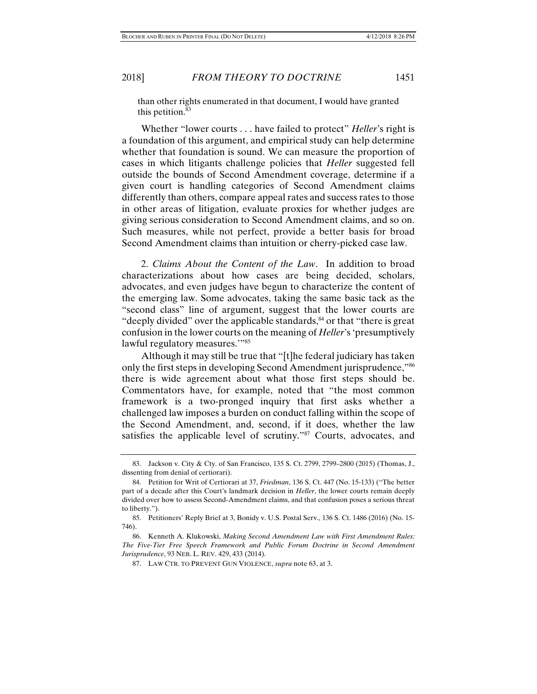than other rights enumerated in that document, I would have granted this petition. $83$ 

Whether "lower courts . . . have failed to protect" *Heller*'s right is a foundation of this argument, and empirical study can help determine whether that foundation is sound. We can measure the proportion of cases in which litigants challenge policies that *Heller* suggested fell outside the bounds of Second Amendment coverage, determine if a given court is handling categories of Second Amendment claims differently than others, compare appeal rates and success rates to those in other areas of litigation, evaluate proxies for whether judges are giving serious consideration to Second Amendment claims, and so on. Such measures, while not perfect, provide a better basis for broad Second Amendment claims than intuition or cherry-picked case law.

2. *Claims About the Content of the Law*. In addition to broad characterizations about how cases are being decided, scholars, advocates, and even judges have begun to characterize the content of the emerging law. Some advocates, taking the same basic tack as the "second class" line of argument, suggest that the lower courts are "deeply divided" over the applicable standards, $84$  or that "there is great confusion in the lower courts on the meaning of *Heller*'s 'presumptively lawful regulatory measures."<sup>85</sup>

Although it may still be true that "[t]he federal judiciary has taken only the first steps in developing Second Amendment jurisprudence,"86 there is wide agreement about what those first steps should be. Commentators have, for example, noted that "the most common framework is a two-pronged inquiry that first asks whether a challenged law imposes a burden on conduct falling within the scope of the Second Amendment, and, second, if it does, whether the law satisfies the applicable level of scrutiny."<sup>87</sup> Courts, advocates, and

 <sup>83.</sup> Jackson v. City & Cty. of San Francisco, 135 S. Ct. 2799, 2799–2800 (2015) (Thomas, J., dissenting from denial of certiorari).

 <sup>84.</sup> Petition for Writ of Certiorari at 37, *Friedman*, 136 S. Ct. 447 (No. 15-133) ("The better part of a decade after this Court's landmark decision in *Heller*, the lower courts remain deeply divided over how to assess Second-Amendment claims, and that confusion poses a serious threat to liberty.").

 <sup>85.</sup> Petitioners' Reply Brief at 3, Bonidy v. U.S. Postal Serv., 136 S. Ct. 1486 (2016) (No. 15- 746).

 <sup>86.</sup> Kenneth A. Klukowski, *Making Second Amendment Law with First Amendment Rules: The Five-Tier Free Speech Framework and Public Forum Doctrine in Second Amendment Jurisprudence*, 93 NEB. L. REV. 429, 433 (2014).

 <sup>87.</sup> LAW CTR. TO PREVENT GUN VIOLENCE, *supra* note 63, at 3.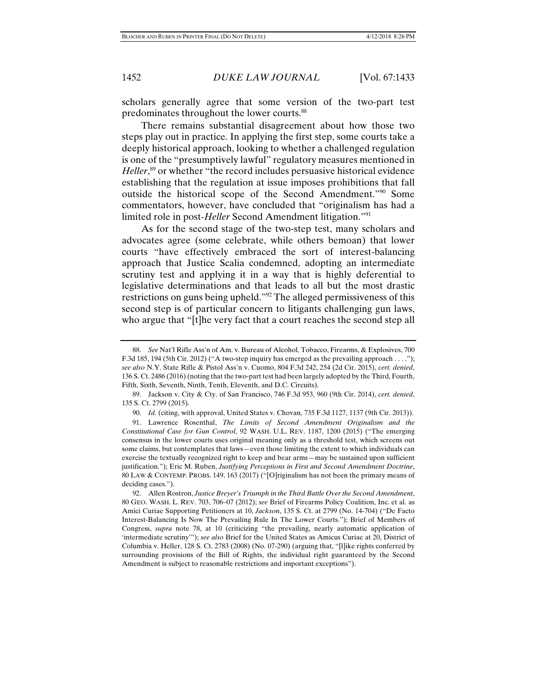scholars generally agree that some version of the two-part test predominates throughout the lower courts.<sup>88</sup>

There remains substantial disagreement about how those two steps play out in practice. In applying the first step, some courts take a deeply historical approach, looking to whether a challenged regulation is one of the "presumptively lawful" regulatory measures mentioned in Heller,<sup>89</sup> or whether "the record includes persuasive historical evidence establishing that the regulation at issue imposes prohibitions that fall outside the historical scope of the Second Amendment."90 Some commentators, however, have concluded that "originalism has had a limited role in post-*Heller* Second Amendment litigation."91

As for the second stage of the two-step test, many scholars and advocates agree (some celebrate, while others bemoan) that lower courts "have effectively embraced the sort of interest-balancing approach that Justice Scalia condemned, adopting an intermediate scrutiny test and applying it in a way that is highly deferential to legislative determinations and that leads to all but the most drastic restrictions on guns being upheld."92 The alleged permissiveness of this second step is of particular concern to litigants challenging gun laws, who argue that "[t]he very fact that a court reaches the second step all

 <sup>88.</sup> *See* Nat'l Rifle Ass'n of Am. v. Bureau of Alcohol, Tobacco, Firearms, & Explosives, 700 F.3d 185, 194 (5th Cir. 2012) ("A two-step inquiry has emerged as the prevailing approach . . . ."); *see also* N.Y. State Rifle & Pistol Ass'n v. Cuomo, 804 F.3d 242, 254 (2d Cir. 2015), *cert. denied*, 136 S. Ct. 2486 (2016) (noting that the two-part test had been largely adopted by the Third, Fourth, Fifth, Sixth, Seventh, Ninth, Tenth, Eleventh, and D.C. Circuits).

 <sup>89.</sup> Jackson v. City & Cty. of San Francisco, 746 F.3d 953, 960 (9th Cir. 2014), *cert. denied*, 135 S. Ct. 2799 (2015).

 <sup>90.</sup> *Id.* (citing, with approval, United States v. Chovan*,* 735 F.3d 1127, 1137 (9th Cir. 2013)).

 <sup>91.</sup> Lawrence Rosenthal, *The Limits of Second Amendment Originalism and the Constitutional Case for Gun Control*, 92 WASH. U.L. REV. 1187, 1200 (2015) ("The emerging consensus in the lower courts uses original meaning only as a threshold test, which screens out some claims, but contemplates that laws—even those limiting the extent to which individuals can exercise the textually recognized right to keep and bear arms—may be sustained upon sufficient justification."); Eric M. Ruben, *Justifying Perceptions in First and Second Amendment Doctrine*, 80 LAW & CONTEMP. PROBS. 149, 163 (2017) ("[O]riginalism has not been the primary means of deciding cases.").

 <sup>92.</sup> Allen Rostron, *Justice Breyer's Triumph in the Third Battle Over the Second Amendment*, 80 GEO. WASH. L. REV. 703, 706–07 (2012); *see* Brief of Firearms Policy Coalition, Inc. et al. as Amici Curiae Supporting Petitioners at 10, *Jackson*, 135 S. Ct. at 2799 (No. 14-704) ("De Facto Interest-Balancing Is Now The Prevailing Rule In The Lower Courts."); Brief of Members of Congress, *supra* note 78, at 10 (criticizing "the prevailing, nearly automatic application of 'intermediate scrutiny'"); *see also* Brief for the United States as Amicus Curiae at 20, District of Columbia v. Heller, 128 S. Ct. 2783 (2008) (No. 07-290) (arguing that, "[l]ike rights conferred by surrounding provisions of the Bill of Rights, the individual right guaranteed by the Second Amendment is subject to reasonable restrictions and important exceptions").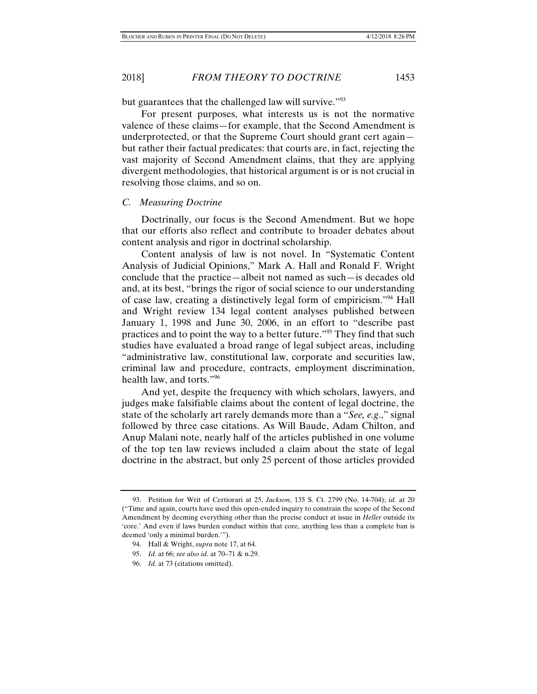but guarantees that the challenged law will survive."<sup>93</sup>

For present purposes, what interests us is not the normative valence of these claims—for example, that the Second Amendment is underprotected, or that the Supreme Court should grant cert again but rather their factual predicates: that courts are, in fact, rejecting the vast majority of Second Amendment claims, that they are applying divergent methodologies, that historical argument is or is not crucial in resolving those claims, and so on.

#### *C. Measuring Doctrine*

Doctrinally, our focus is the Second Amendment. But we hope that our efforts also reflect and contribute to broader debates about content analysis and rigor in doctrinal scholarship.

Content analysis of law is not novel. In "Systematic Content Analysis of Judicial Opinions," Mark A. Hall and Ronald F. Wright conclude that the practice—albeit not named as such—is decades old and, at its best, "brings the rigor of social science to our understanding of case law, creating a distinctively legal form of empiricism."94 Hall and Wright review 134 legal content analyses published between January 1, 1998 and June 30, 2006, in an effort to "describe past practices and to point the way to a better future."95 They find that such studies have evaluated a broad range of legal subject areas, including "administrative law, constitutional law, corporate and securities law, criminal law and procedure, contracts, employment discrimination, health law, and torts."96

And yet, despite the frequency with which scholars, lawyers, and judges make falsifiable claims about the content of legal doctrine, the state of the scholarly art rarely demands more than a "*See, e.g*.," signal followed by three case citations. As Will Baude, Adam Chilton, and Anup Malani note, nearly half of the articles published in one volume of the top ten law reviews included a claim about the state of legal doctrine in the abstract, but only 25 percent of those articles provided

 <sup>93.</sup> Petition for Writ of Certiorari at 25, *Jackson*, 135 S. Ct. 2799 (No. 14-704); *id.* at 20 ("Time and again, courts have used this open-ended inquiry to constrain the scope of the Second Amendment by deeming everything other than the precise conduct at issue in *Heller* outside its 'core.' And even if laws burden conduct within that core, anything less than a complete ban is deemed 'only a minimal burden.'").

 <sup>94.</sup> Hall & Wright, *supra* note 17, at 64.

 <sup>95.</sup> *Id.* at 66; *see also id.* at 70–71 & n.29.

 <sup>96.</sup> *Id.* at 73 (citations omitted).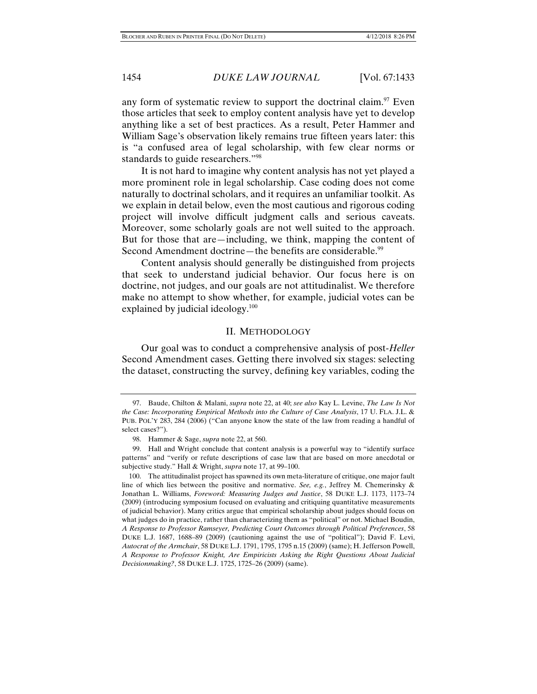any form of systematic review to support the doctrinal claim.<sup>97</sup> Even those articles that seek to employ content analysis have yet to develop anything like a set of best practices. As a result, Peter Hammer and William Sage's observation likely remains true fifteen years later: this is "a confused area of legal scholarship, with few clear norms or standards to guide researchers."98

It is not hard to imagine why content analysis has not yet played a more prominent role in legal scholarship. Case coding does not come naturally to doctrinal scholars, and it requires an unfamiliar toolkit. As we explain in detail below, even the most cautious and rigorous coding project will involve difficult judgment calls and serious caveats. Moreover, some scholarly goals are not well suited to the approach. But for those that are—including, we think, mapping the content of Second Amendment doctrine—the benefits are considerable.<sup>99</sup>

Content analysis should generally be distinguished from projects that seek to understand judicial behavior. Our focus here is on doctrine, not judges, and our goals are not attitudinalist. We therefore make no attempt to show whether, for example, judicial votes can be explained by judicial ideology.<sup>100</sup>

#### II. METHODOLOGY

Our goal was to conduct a comprehensive analysis of post-*Heller* Second Amendment cases. Getting there involved six stages: selecting the dataset, constructing the survey, defining key variables, coding the

 <sup>97.</sup> Baude, Chilton & Malani, *supra* note 22, at 40; *see also* Kay L. Levine, *The Law Is Not the Case: Incorporating Empirical Methods into the Culture of Case Analysis*, 17 U. FLA. J.L. & PUB. POL'Y 283, 284 (2006) ("Can anyone know the state of the law from reading a handful of select cases?").

 <sup>98.</sup> Hammer & Sage, *supra* note 22, at 560.

 <sup>99.</sup> Hall and Wright conclude that content analysis is a powerful way to "identify surface patterns" and "verify or refute descriptions of case law that are based on more anecdotal or subjective study." Hall & Wright, *supra* note 17, at 99–100.

 <sup>100.</sup> The attitudinalist project has spawned its own meta-literature of critique, one major fault line of which lies between the positive and normative. *See, e.g.*, Jeffrey M. Chemerinsky & Jonathan L. Williams, *Foreword: Measuring Judges and Justice*, 58 DUKE L.J. 1173, 1173–74 (2009) (introducing symposium focused on evaluating and critiquing quantitative measurements of judicial behavior). Many critics argue that empirical scholarship about judges should focus on what judges do in practice, rather than characterizing them as "political" or not. Michael Boudin, *A Response to Professor Ramseyer, Predicting Court Outcomes through Political Preferences*, 58 DUKE L.J. 1687, 1688–89 (2009) (cautioning against the use of "political"); David F. Levi, *Autocrat of the Armchair*, 58 DUKE L.J. 1791, 1795, 1795 n.15 (2009) (same); H. Jefferson Powell, *A Response to Professor Knight, Are Empiricists Asking the Right Questions About Judicial Decisionmaking?*, 58 DUKE L.J. 1725, 1725–26 (2009) (same).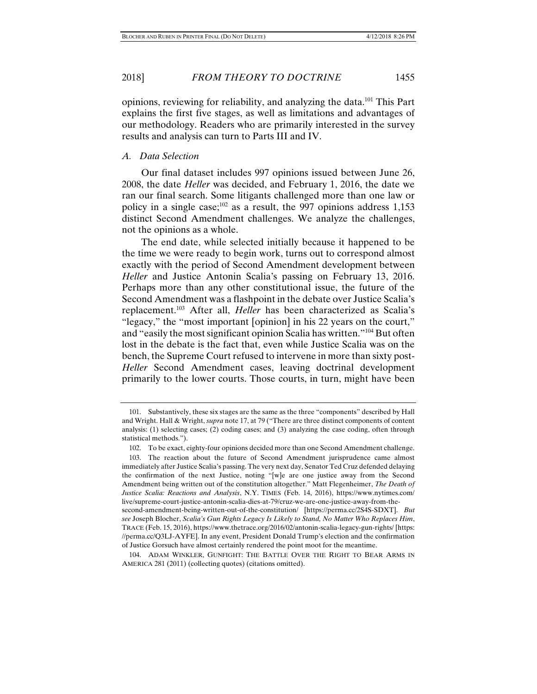opinions, reviewing for reliability, and analyzing the data.101 This Part

explains the first five stages, as well as limitations and advantages of our methodology. Readers who are primarily interested in the survey results and analysis can turn to Parts III and IV.

# *A. Data Selection*

Our final dataset includes 997 opinions issued between June 26, 2008, the date *Heller* was decided, and February 1, 2016, the date we ran our final search. Some litigants challenged more than one law or policy in a single case; $102$  as a result, the 997 opinions address 1,153 distinct Second Amendment challenges. We analyze the challenges, not the opinions as a whole.

The end date, while selected initially because it happened to be the time we were ready to begin work, turns out to correspond almost exactly with the period of Second Amendment development between *Heller* and Justice Antonin Scalia's passing on February 13, 2016. Perhaps more than any other constitutional issue, the future of the Second Amendment was a flashpoint in the debate over Justice Scalia's replacement.103 After all, *Heller* has been characterized as Scalia's "legacy," the "most important [opinion] in his 22 years on the court," and "easily the most significant opinion Scalia has written."104 But often lost in the debate is the fact that, even while Justice Scalia was on the bench, the Supreme Court refused to intervene in more than sixty post-*Heller* Second Amendment cases, leaving doctrinal development primarily to the lower courts. Those courts, in turn, might have been

 <sup>101.</sup> Substantively, these six stages are the same as the three "components" described by Hall and Wright. Hall & Wright, *supra* note 17, at 79 ("There are three distinct components of content analysis: (1) selecting cases; (2) coding cases; and (3) analyzing the case coding, often through statistical methods.").

 <sup>102.</sup> To be exact, eighty-four opinions decided more than one Second Amendment challenge.

 <sup>103.</sup> The reaction about the future of Second Amendment jurisprudence came almost immediately after Justice Scalia's passing. The very next day, Senator Ted Cruz defended delaying the confirmation of the next Justice, noting "[w]e are one justice away from the Second Amendment being written out of the constitution altogether." Matt Flegenheimer, *The Death of Justice Scalia: Reactions and Analysis*, N.Y. TIMES (Feb. 14, 2016), https://www.nytimes.com/ live/supreme-court-justice-antonin-scalia-dies-at-79/cruz-we-are-one-justice-away-from-thesecond-amendment-being-written-out-of-the-constitution/ [https://perma.cc/2S4S-SDXT]. *But see* Joseph Blocher, *Scalia's Gun Rights Legacy Is Likely to Stand, No Matter Who Replaces Him*, TRACE (Feb. 15, 2016), https://www.thetrace.org/2016/02/antonin-scalia-legacy-gun-rights/ [https: //perma.cc/Q3LJ-AYFE]. In any event, President Donald Trump's election and the confirmation of Justice Gorsuch have almost certainly rendered the point moot for the meantime.

 <sup>104.</sup> ADAM WINKLER, GUNFIGHT: THE BATTLE OVER THE RIGHT TO BEAR ARMS IN AMERICA 281 (2011) (collecting quotes) (citations omitted).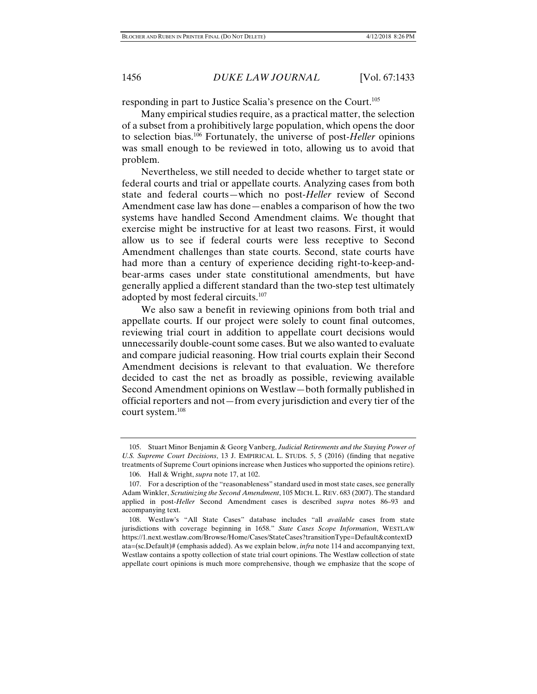responding in part to Justice Scalia's presence on the Court.105

Many empirical studies require, as a practical matter, the selection of a subset from a prohibitively large population, which opens the door to selection bias.106 Fortunately, the universe of post-*Heller* opinions was small enough to be reviewed in toto, allowing us to avoid that problem.

Nevertheless, we still needed to decide whether to target state or federal courts and trial or appellate courts. Analyzing cases from both state and federal courts—which no post-*Heller* review of Second Amendment case law has done—enables a comparison of how the two systems have handled Second Amendment claims. We thought that exercise might be instructive for at least two reasons. First, it would allow us to see if federal courts were less receptive to Second Amendment challenges than state courts. Second, state courts have had more than a century of experience deciding right-to-keep-andbear-arms cases under state constitutional amendments, but have generally applied a different standard than the two-step test ultimately adopted by most federal circuits.107

We also saw a benefit in reviewing opinions from both trial and appellate courts. If our project were solely to count final outcomes, reviewing trial court in addition to appellate court decisions would unnecessarily double-count some cases. But we also wanted to evaluate and compare judicial reasoning. How trial courts explain their Second Amendment decisions is relevant to that evaluation. We therefore decided to cast the net as broadly as possible, reviewing available Second Amendment opinions on Westlaw—both formally published in official reporters and not—from every jurisdiction and every tier of the court system.108

 <sup>105.</sup> Stuart Minor Benjamin & Georg Vanberg, *Judicial Retirements and the Staying Power of U.S. Supreme Court Decisions*, 13 J. EMPIRICAL L. STUDS. 5, 5 (2016) (finding that negative treatments of Supreme Court opinions increase when Justices who supported the opinions retire).

 <sup>106.</sup> Hall & Wright, *supra* note 17, at 102.

 <sup>107.</sup> For a description of the "reasonableness" standard used in most state cases, see generally Adam Winkler, *Scrutinizing the Second Amendment*, 105 MICH. L. REV. 683 (2007). The standard applied in post-*Heller* Second Amendment cases is described *supra* notes 86–93 and accompanying text.

 <sup>108.</sup> Westlaw's "All State Cases" database includes "all *available* cases from state jurisdictions with coverage beginning in 1658." *State Cases Scope Information*, WESTLAW https://1.next.westlaw.com/Browse/Home/Cases/StateCases?transitionType=Default&contextD ata=(sc.Default)# (emphasis added). As we explain below, *infra* note 114 and accompanying text, Westlaw contains a spotty collection of state trial court opinions. The Westlaw collection of state appellate court opinions is much more comprehensive, though we emphasize that the scope of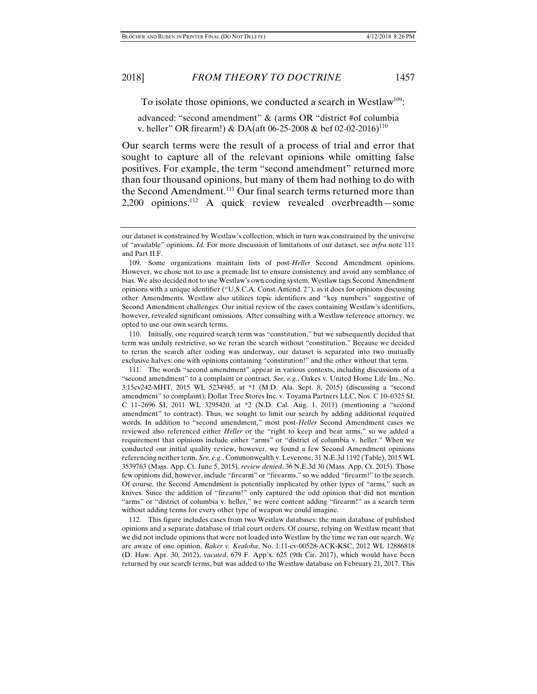advanced: "second amendment" & (arms OR "district #of columbia v. heller" OR firearm!) & DA(aft 06-25-2008 & bef 02-02-2016)<sup>110</sup>

Our search terms were the result of a process of trial and error that sought to capture all of the relevant opinions while omitting false positives. For example, the term "second amendment" returned more than four thousand opinions, but many of them had nothing to do with the Second Amendment.<sup>111</sup> Our final search terms returned more than 2,200 opinions.112 A quick review revealed overbreadth—some

 110. Initially, one required search term was "constitution," but we subsequently decided that term was unduly restrictive, so we reran the search without "constitution." Because we decided to rerun the search after coding was underway, our dataset is separated into two mutually exclusive halves: one with opinions containing "constitution!" and the other without that term.

 111. The words "second amendment" appear in various contexts, including discussions of a "second amendment" to a complaint or contract. *See, e.g.*, Oakes v. United Home Life Ins., No. 3:15cv242-MHT, 2015 WL 5234945, at \*1 (M.D. Ala. Sept. 8, 2015) (discussing a "second amendment" to complaint); Dollar Tree Stores Inc. v. Toyama Partners LLC, Nos. C 10–0325 SI, C 11–2696 SI, 2011 WL 3295420, at \*2 (N.D. Cal. Aug. 1, 2011) (mentioning a "second amendment" to contract). Thus, we sought to limit our search by adding additional required words. In addition to "second amendment," most post-*Heller* Second Amendment cases we reviewed also referenced either *Heller* or the "right to keep and bear arms," so we added a requirement that opinions include either "arms" or "district of columbia v. heller." When we conducted our initial quality review, however, we found a few Second Amendment opinions referencing neither term. *See, e.g.*, Commonwealth v. Leverone, 31 N.E.3d 1192 (Table), 2015 WL 3539763 (Mass. App. Ct. June 5, 2015), *review denied*, 36 N.E.3d 30 (Mass. App. Ct. 2015). Those few opinions did, however, include "firearm" or "firearms," so we added "firearm!" to the search. Of course, the Second Amendment is potentially implicated by other types of "arms," such as knives. Since the addition of "firearm!" only captured the odd opinion that did not mention "arms" or "district of columbia v. heller," we were content adding "firearm!" as a search term without adding terms for every other type of weapon we could imagine.

 112. This figure includes cases from two Westlaw databases: the main database of published opinions and a separate database of trial court orders. Of course, relying on Westlaw meant that we did not include opinions that were not loaded into Westlaw by the time we ran our search. We are aware of one opinion, *Baker v. Kealoha*, No. 1:11-cv-00528-ACK-KSC, 2012 WL 12886818 (D. Haw. Apr. 30, 2012), *vacated*, 679 F. App'x. 625 (9th Cir. 2017), which would have been returned by our search terms, but was added to the Westlaw database on February 21, 2017. This

our dataset is constrained by Westlaw's collection, which in turn was constrained by the universe of "available" opinions. *Id.* For more discussion of limitations of our dataset, see *infra* note 111 and Part II.F.

 <sup>109.</sup> Some organizations maintain lists of post-*Heller* Second Amendment opinions. However, we chose not to use a premade list to ensure consistency and avoid any semblance of bias. We also decided not to use Westlaw's own coding system. Westlaw tags Second Amendment opinions with a unique identifier ("U.S.C.A. Const.Amend. 2"), as it does for opinions discussing other Amendments. Westlaw also utilizes topic identifiers and "key numbers" suggestive of Second Amendment challenges. Our initial review of the cases containing Westlaw's identifiers, however, revealed significant omissions. After consulting with a Westlaw reference attorney, we opted to use our own search terms.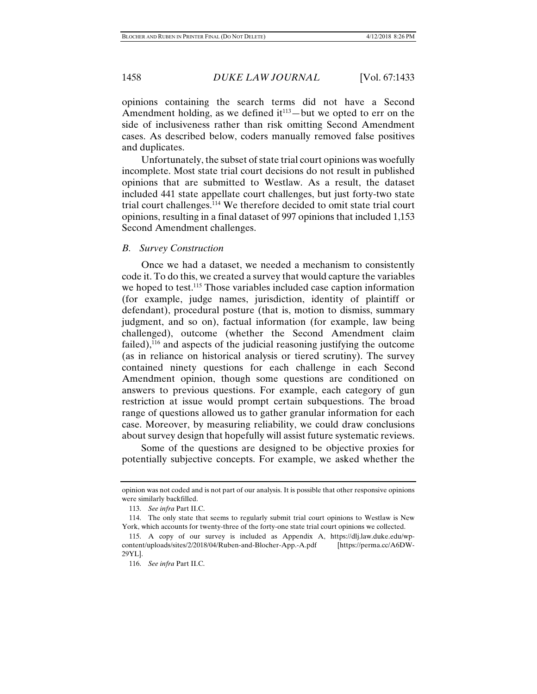opinions containing the search terms did not have a Second Amendment holding, as we defined  $it^{113}$ —but we opted to err on the side of inclusiveness rather than risk omitting Second Amendment cases. As described below, coders manually removed false positives and duplicates.

Unfortunately, the subset of state trial court opinions was woefully incomplete. Most state trial court decisions do not result in published opinions that are submitted to Westlaw. As a result, the dataset included 441 state appellate court challenges, but just forty-two state trial court challenges.114 We therefore decided to omit state trial court opinions, resulting in a final dataset of 997 opinions that included 1,153 Second Amendment challenges.

### *B. Survey Construction*

Once we had a dataset, we needed a mechanism to consistently code it. To do this, we created a survey that would capture the variables we hoped to test.<sup>115</sup> Those variables included case caption information (for example, judge names, jurisdiction, identity of plaintiff or defendant), procedural posture (that is, motion to dismiss, summary judgment, and so on), factual information (for example, law being challenged), outcome (whether the Second Amendment claim failed), $^{116}$  and aspects of the judicial reasoning justifying the outcome (as in reliance on historical analysis or tiered scrutiny). The survey contained ninety questions for each challenge in each Second Amendment opinion, though some questions are conditioned on answers to previous questions. For example, each category of gun restriction at issue would prompt certain subquestions. The broad range of questions allowed us to gather granular information for each case. Moreover, by measuring reliability, we could draw conclusions about survey design that hopefully will assist future systematic reviews.

Some of the questions are designed to be objective proxies for potentially subjective concepts. For example, we asked whether the

opinion was not coded and is not part of our analysis. It is possible that other responsive opinions were similarly backfilled.

 <sup>113.</sup> *See infra* Part II.C.

 <sup>114.</sup> The only state that seems to regularly submit trial court opinions to Westlaw is New York, which accounts for twenty-three of the forty-one state trial court opinions we collected.

 <sup>115.</sup> A copy of our survey is included as Appendix A, https://dlj.law.duke.edu/wpcontent/uploads/sites/2/2018/04/Ruben-and-Blocher-App.-A.pdf [https://perma.cc/A6DW-29YL].

 <sup>116.</sup> *See infra* Part II.C.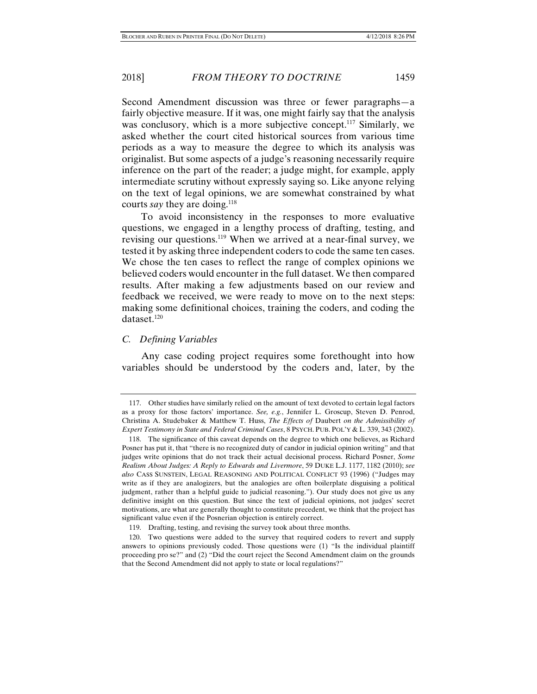Second Amendment discussion was three or fewer paragraphs—a fairly objective measure. If it was, one might fairly say that the analysis was conclusory, which is a more subjective concept.<sup>117</sup> Similarly, we asked whether the court cited historical sources from various time periods as a way to measure the degree to which its analysis was originalist. But some aspects of a judge's reasoning necessarily require inference on the part of the reader; a judge might, for example, apply intermediate scrutiny without expressly saying so. Like anyone relying on the text of legal opinions, we are somewhat constrained by what courts *say* they are doing.<sup>118</sup>

To avoid inconsistency in the responses to more evaluative questions, we engaged in a lengthy process of drafting, testing, and revising our questions.<sup>119</sup> When we arrived at a near-final survey, we tested it by asking three independent coders to code the same ten cases. We chose the ten cases to reflect the range of complex opinions we believed coders would encounter in the full dataset. We then compared results. After making a few adjustments based on our review and feedback we received, we were ready to move on to the next steps: making some definitional choices, training the coders, and coding the dataset.<sup>120</sup>

# *C. Defining Variables*

Any case coding project requires some forethought into how variables should be understood by the coders and, later, by the

 <sup>117.</sup> Other studies have similarly relied on the amount of text devoted to certain legal factors as a proxy for those factors' importance. *See, e.g.*, Jennifer L. Groscup, Steven D. Penrod, Christina A. Studebaker & Matthew T. Huss, *The Effects of* Daubert *on the Admissibility of Expert Testimony in State and Federal Criminal Cases*, 8 PSYCH. PUB. POL'Y & L. 339, 343 (2002).

 <sup>118.</sup> The significance of this caveat depends on the degree to which one believes, as Richard Posner has put it, that "there is no recognized duty of candor in judicial opinion writing" and that judges write opinions that do not track their actual decisional process. Richard Posner, *Some Realism About Judges: A Reply to Edwards and Livermore*, 59 DUKE L.J. 1177, 1182 (2010); *see also* CASS SUNSTEIN, LEGAL REASONING AND POLITICAL CONFLICT 93 (1996) ("Judges may write as if they are analogizers, but the analogies are often boilerplate disguising a political judgment, rather than a helpful guide to judicial reasoning."). Our study does not give us any definitive insight on this question. But since the text of judicial opinions, not judges' secret motivations, are what are generally thought to constitute precedent, we think that the project has significant value even if the Posnerian objection is entirely correct.

 <sup>119.</sup> Drafting, testing, and revising the survey took about three months.

 <sup>120.</sup> Two questions were added to the survey that required coders to revert and supply answers to opinions previously coded. Those questions were (1) "Is the individual plaintiff proceeding pro se?" and (2) "Did the court reject the Second Amendment claim on the grounds that the Second Amendment did not apply to state or local regulations?"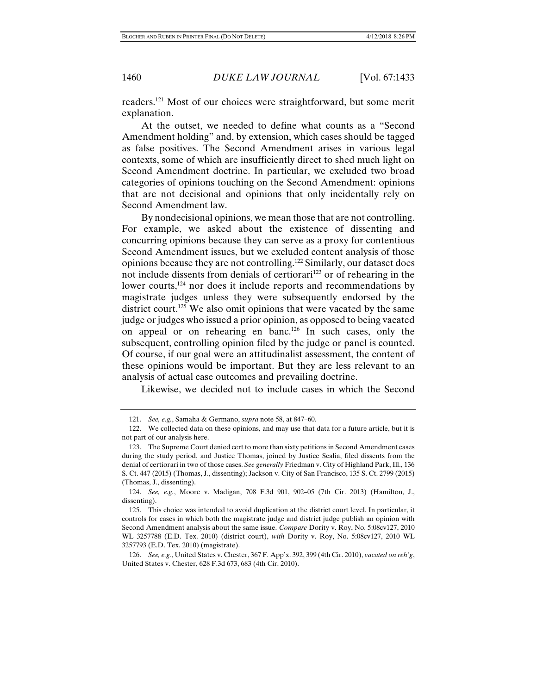readers.121 Most of our choices were straightforward, but some merit explanation.

At the outset, we needed to define what counts as a "Second Amendment holding" and, by extension, which cases should be tagged as false positives. The Second Amendment arises in various legal contexts, some of which are insufficiently direct to shed much light on Second Amendment doctrine. In particular, we excluded two broad categories of opinions touching on the Second Amendment: opinions that are not decisional and opinions that only incidentally rely on Second Amendment law.

By nondecisional opinions, we mean those that are not controlling. For example, we asked about the existence of dissenting and concurring opinions because they can serve as a proxy for contentious Second Amendment issues, but we excluded content analysis of those opinions because they are not controlling.122 Similarly, our dataset does not include dissents from denials of certiorari<sup>123</sup> or of rehearing in the lower courts,<sup>124</sup> nor does it include reports and recommendations by magistrate judges unless they were subsequently endorsed by the district court.<sup>125</sup> We also omit opinions that were vacated by the same judge or judges who issued a prior opinion, as opposed to being vacated on appeal or on rehearing en banc.<sup>126</sup> In such cases, only the subsequent, controlling opinion filed by the judge or panel is counted. Of course, if our goal were an attitudinalist assessment, the content of these opinions would be important. But they are less relevant to an analysis of actual case outcomes and prevailing doctrine.

Likewise, we decided not to include cases in which the Second

 <sup>121.</sup> *See, e.g.*, Samaha & Germano, *supra* note 58, at 847–60.

 <sup>122.</sup> We collected data on these opinions, and may use that data for a future article, but it is not part of our analysis here.

 <sup>123.</sup> The Supreme Court denied cert to more than sixty petitions in Second Amendment cases during the study period, and Justice Thomas, joined by Justice Scalia, filed dissents from the denial of certiorari in two of those cases. *See generally* Friedman v. City of Highland Park, Ill., 136 S. Ct. 447 (2015) (Thomas, J., dissenting); Jackson v. City of San Francisco, 135 S. Ct. 2799 (2015) (Thomas, J., dissenting).

 <sup>124.</sup> *See, e.g.*, Moore v. Madigan, 708 F.3d 901, 902–05 (7th Cir. 2013) (Hamilton, J., dissenting).

 <sup>125.</sup> This choice was intended to avoid duplication at the district court level. In particular, it controls for cases in which both the magistrate judge and district judge publish an opinion with Second Amendment analysis about the same issue. *Compare* Dority v. Roy, No. 5:08cv127, 2010 WL 3257788 (E.D. Tex. 2010) (district court), *with* Dority v. Roy, No. 5:08cv127, 2010 WL 3257793 (E.D. Tex. 2010) (magistrate).

 <sup>126.</sup> *See, e.g.*, United States v. Chester, 367 F. App'x. 392, 399 (4th Cir. 2010), *vacated on reh'g*, United States v. Chester, 628 F.3d 673, 683 (4th Cir. 2010).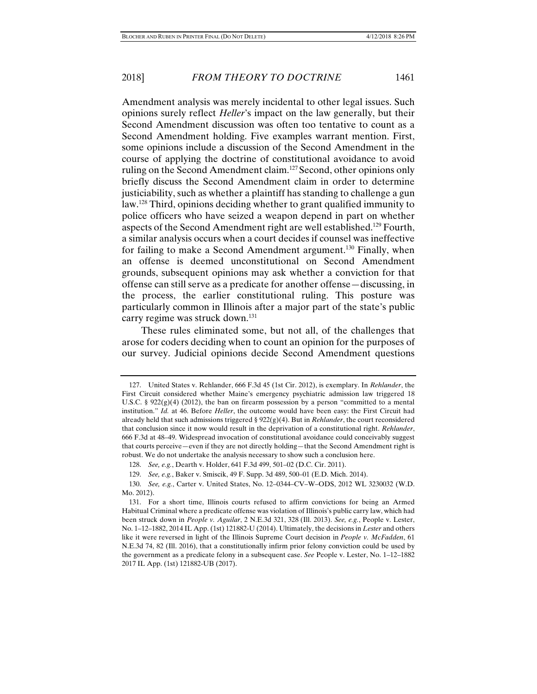Amendment analysis was merely incidental to other legal issues. Such opinions surely reflect *Heller*'s impact on the law generally, but their Second Amendment discussion was often too tentative to count as a Second Amendment holding. Five examples warrant mention. First, some opinions include a discussion of the Second Amendment in the course of applying the doctrine of constitutional avoidance to avoid ruling on the Second Amendment claim.<sup>127</sup> Second, other opinions only briefly discuss the Second Amendment claim in order to determine justiciability, such as whether a plaintiff has standing to challenge a gun law.128 Third, opinions deciding whether to grant qualified immunity to police officers who have seized a weapon depend in part on whether aspects of the Second Amendment right are well established.129 Fourth, a similar analysis occurs when a court decides if counsel was ineffective for failing to make a Second Amendment argument.<sup>130</sup> Finally, when an offense is deemed unconstitutional on Second Amendment grounds, subsequent opinions may ask whether a conviction for that offense can still serve as a predicate for another offense—discussing, in the process, the earlier constitutional ruling. This posture was particularly common in Illinois after a major part of the state's public carry regime was struck down.<sup>131</sup>

These rules eliminated some, but not all, of the challenges that arose for coders deciding when to count an opinion for the purposes of our survey. Judicial opinions decide Second Amendment questions

 <sup>127.</sup> United States v. Rehlander, 666 F.3d 45 (1st Cir. 2012), is exemplary. In *Rehlander*, the First Circuit considered whether Maine's emergency psychiatric admission law triggered 18 U.S.C. §  $922(g)(4)$  (2012), the ban on firearm possession by a person "committed to a mental institution." *Id.* at 46. Before *Heller*, the outcome would have been easy: the First Circuit had already held that such admissions triggered § 922(g)(4). But in *Rehlander*, the court reconsidered that conclusion since it now would result in the deprivation of a constitutional right. *Rehlander*, 666 F.3d at 48–49. Widespread invocation of constitutional avoidance could conceivably suggest that courts perceive—even if they are not directly holding—that the Second Amendment right is robust. We do not undertake the analysis necessary to show such a conclusion here.

 <sup>128.</sup> *See, e.g.*, Dearth v. Holder, 641 F.3d 499, 501–02 (D.C. Cir. 2011).

 <sup>129.</sup> *See, e.g.*, Baker v. Smiscik, 49 F. Supp. 3d 489, 500–01 (E.D. Mich. 2014).

 <sup>130.</sup> *See, e.g.*, Carter v. United States, No. 12–0344–CV–W–ODS, 2012 WL 3230032 (W.D. Mo. 2012).

 <sup>131.</sup> For a short time, Illinois courts refused to affirm convictions for being an Armed Habitual Criminal where a predicate offense was violation of Illinois's public carry law, which had been struck down in *People v. Aguilar*, 2 N.E.3d 321, 328 (Ill. 2013). *See, e.g.*, People v. Lester, No. 1–12–1882, 2014 IL App. (1st) 121882-U (2014). Ultimately, the decisions in *Lester* and others like it were reversed in light of the Illinois Supreme Court decision in *People v. McFadden*, 61 N.E.3d 74, 82 (Ill. 2016), that a constitutionally infirm prior felony conviction could be used by the government as a predicate felony in a subsequent case. *See* People v. Lester, No. 1–12–1882 2017 IL App. (1st) 121882-UB (2017).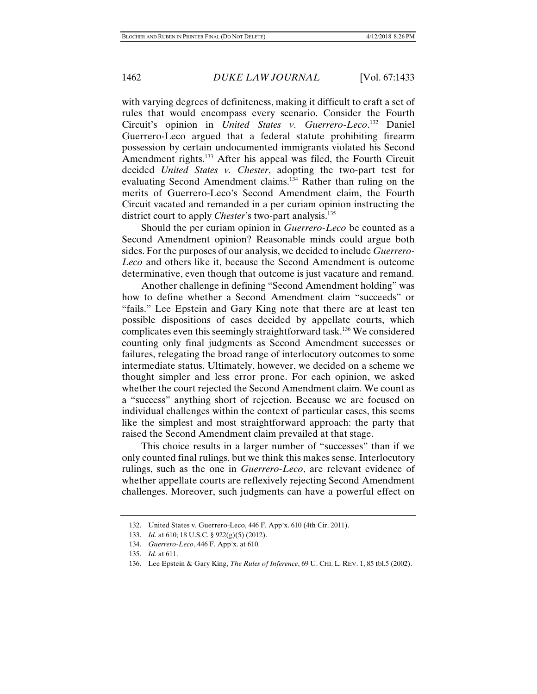with varying degrees of definiteness, making it difficult to craft a set of rules that would encompass every scenario. Consider the Fourth Circuit's opinion in *United States v. Guerrero-Leco*. 132 Daniel Guerrero-Leco argued that a federal statute prohibiting firearm possession by certain undocumented immigrants violated his Second Amendment rights.133 After his appeal was filed, the Fourth Circuit decided *United States v. Chester*, adopting the two-part test for evaluating Second Amendment claims.134 Rather than ruling on the merits of Guerrero-Leco's Second Amendment claim, the Fourth Circuit vacated and remanded in a per curiam opinion instructing the district court to apply *Chester*'s two-part analysis.<sup>135</sup>

Should the per curiam opinion in *Guerrero-Leco* be counted as a Second Amendment opinion? Reasonable minds could argue both sides. For the purposes of our analysis, we decided to include *Guerrero-Leco* and others like it, because the Second Amendment is outcome determinative, even though that outcome is just vacature and remand.

Another challenge in defining "Second Amendment holding" was how to define whether a Second Amendment claim "succeeds" or "fails." Lee Epstein and Gary King note that there are at least ten possible dispositions of cases decided by appellate courts, which complicates even this seemingly straightforward task.136 We considered counting only final judgments as Second Amendment successes or failures, relegating the broad range of interlocutory outcomes to some intermediate status. Ultimately, however, we decided on a scheme we thought simpler and less error prone. For each opinion, we asked whether the court rejected the Second Amendment claim. We count as a "success" anything short of rejection. Because we are focused on individual challenges within the context of particular cases, this seems like the simplest and most straightforward approach: the party that raised the Second Amendment claim prevailed at that stage.

This choice results in a larger number of "successes" than if we only counted final rulings, but we think this makes sense. Interlocutory rulings, such as the one in *Guerrero-Leco*, are relevant evidence of whether appellate courts are reflexively rejecting Second Amendment challenges. Moreover, such judgments can have a powerful effect on

 <sup>132.</sup> United States v. Guerrero-Leco, 446 F. App'x. 610 (4th Cir. 2011).

 <sup>133.</sup> *Id.* at 610; 18 U.S.C. § 922(g)(5) (2012).

 <sup>134.</sup> *Guerrero-Leco*, 446 F. App'x. at 610.

 <sup>135.</sup> *Id.* at 611.

 <sup>136.</sup> Lee Epstein & Gary King, *The Rules of Inference*, 69 U. CHI. L. REV. 1, 85 tbl.5 (2002).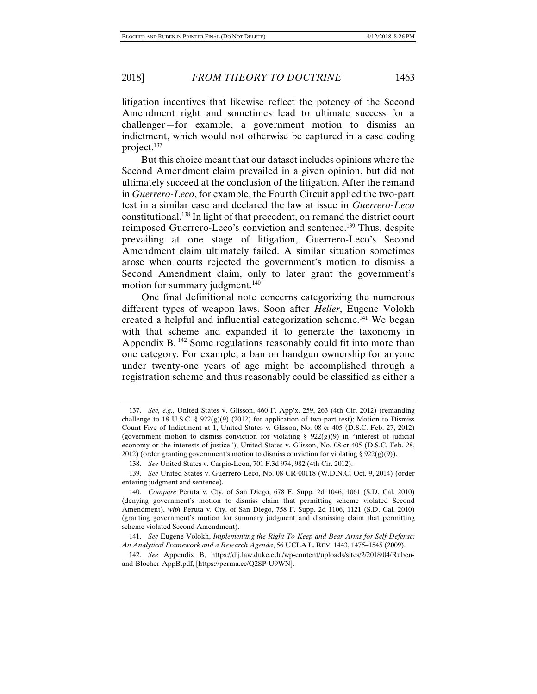litigation incentives that likewise reflect the potency of the Second Amendment right and sometimes lead to ultimate success for a challenger—for example, a government motion to dismiss an indictment, which would not otherwise be captured in a case coding project.137

But this choice meant that our dataset includes opinions where the Second Amendment claim prevailed in a given opinion, but did not ultimately succeed at the conclusion of the litigation. After the remand in *Guerrero-Leco*, for example, the Fourth Circuit applied the two-part test in a similar case and declared the law at issue in *Guerrero-Leco* constitutional.138 In light of that precedent, on remand the district court reimposed Guerrero-Leco's conviction and sentence.<sup>139</sup> Thus, despite prevailing at one stage of litigation, Guerrero-Leco's Second Amendment claim ultimately failed. A similar situation sometimes arose when courts rejected the government's motion to dismiss a Second Amendment claim, only to later grant the government's motion for summary judgment.<sup>140</sup>

One final definitional note concerns categorizing the numerous different types of weapon laws. Soon after *Heller*, Eugene Volokh created a helpful and influential categorization scheme.141 We began with that scheme and expanded it to generate the taxonomy in Appendix B.<sup>142</sup> Some regulations reasonably could fit into more than one category. For example, a ban on handgun ownership for anyone under twenty-one years of age might be accomplished through a registration scheme and thus reasonably could be classified as either a

 <sup>137.</sup> *See, e.g.*, United States v. Glisson, 460 F. App'x. 259, 263 (4th Cir. 2012) (remanding challenge to 18 U.S.C. §  $922(g)(9)$  (2012) for application of two-part test); Motion to Dismiss Count Five of Indictment at 1, United States v. Glisson, No. 08-cr-405 (D.S.C. Feb. 27, 2012) (government motion to dismiss conviction for violating §  $922(g)(9)$  in "interest of judicial economy or the interests of justice"); United States v. Glisson, No. 08-cr-405 (D.S.C. Feb. 28, 2012) (order granting government's motion to dismiss conviction for violating § 922(g)(9)).

 <sup>138.</sup> *See* United States v. Carpio-Leon, 701 F.3d 974, 982 (4th Cir. 2012).

 <sup>139.</sup> *See* United States v. Guerrero-Leco, No. 08-CR-00118 (W.D.N.C. Oct. 9, 2014) (order entering judgment and sentence).

 <sup>140.</sup> *Compare* Peruta v. Cty. of San Diego, 678 F. Supp. 2d 1046, 1061 (S.D. Cal. 2010) (denying government's motion to dismiss claim that permitting scheme violated Second Amendment), *with* Peruta v. Cty. of San Diego, 758 F. Supp. 2d 1106, 1121 (S.D. Cal. 2010) (granting government's motion for summary judgment and dismissing claim that permitting scheme violated Second Amendment).

 <sup>141.</sup> *See* Eugene Volokh, *Implementing the Right To Keep and Bear Arms for Self-Defense: An Analytical Framework and a Research Agenda*, 56 UCLA L. REV. 1443, 1475–1545 (2009).

 <sup>142.</sup> *See* Appendix B, https://dlj.law.duke.edu/wp-content/uploads/sites/2/2018/04/Rubenand-Blocher-AppB.pdf, [https://perma.cc/Q2SP-U9WN].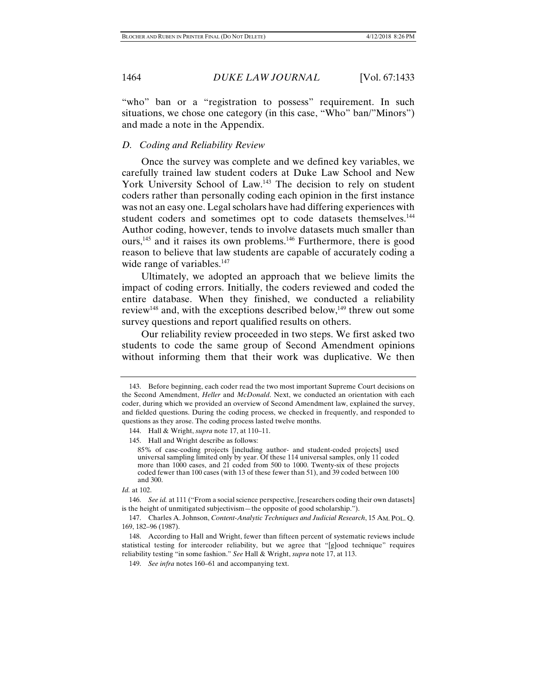"who" ban or a "registration to possess" requirement. In such situations, we chose one category (in this case, "Who" ban/"Minors") and made a note in the Appendix.

# *D. Coding and Reliability Review*

Once the survey was complete and we defined key variables, we carefully trained law student coders at Duke Law School and New York University School of Law.143 The decision to rely on student coders rather than personally coding each opinion in the first instance was not an easy one. Legal scholars have had differing experiences with student coders and sometimes opt to code datasets themselves.<sup>144</sup> Author coding, however, tends to involve datasets much smaller than ours,145 and it raises its own problems.146 Furthermore, there is good reason to believe that law students are capable of accurately coding a wide range of variables.<sup>147</sup>

Ultimately, we adopted an approach that we believe limits the impact of coding errors. Initially, the coders reviewed and coded the entire database. When they finished, we conducted a reliability review<sup>148</sup> and, with the exceptions described below,<sup>149</sup> threw out some survey questions and report qualified results on others.

Our reliability review proceeded in two steps. We first asked two students to code the same group of Second Amendment opinions without informing them that their work was duplicative. We then

 <sup>143.</sup> Before beginning, each coder read the two most important Supreme Court decisions on the Second Amendment, *Heller* and *McDonald*. Next, we conducted an orientation with each coder, during which we provided an overview of Second Amendment law, explained the survey, and fielded questions. During the coding process, we checked in frequently, and responded to questions as they arose. The coding process lasted twelve months.

 <sup>144.</sup> Hall & Wright, *supra* note 17, at 110–11.

 <sup>145.</sup> Hall and Wright describe as follows:

<sup>85%</sup> of case-coding projects [including author- and student-coded projects] used universal sampling limited only by year. Of these 114 universal samples, only 11 coded more than 1000 cases, and 21 coded from 500 to 1000. Twenty-six of these projects coded fewer than 100 cases (with 13 of these fewer than 51), and 39 coded between 100 and 300.

*Id.* at 102.

 <sup>146.</sup> *See id.* at 111 ("From a social science perspective, [researchers coding their own datasets] is the height of unmitigated subjectivism—the opposite of good scholarship.").

 <sup>147.</sup> Charles A. Johnson, *Content-Analytic Techniques and Judicial Research*, 15 AM. POL. Q. 169, 182–96 (1987).

 <sup>148.</sup> According to Hall and Wright, fewer than fifteen percent of systematic reviews include statistical testing for intercoder reliability, but we agree that "[g]ood technique" requires reliability testing "in some fashion." *See* Hall & Wright, *supra* note 17, at 113.

 <sup>149.</sup> *See infra* notes 160–61 and accompanying text.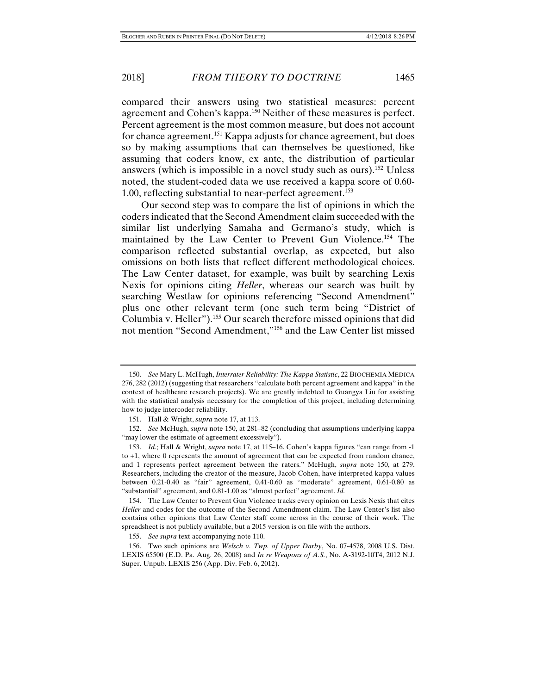assuming that coders know, ex ante, the distribution of particular answers (which is impossible in a novel study such as ours).<sup>152</sup> Unless noted, the student-coded data we use received a kappa score of 0.60- 1.00, reflecting substantial to near-perfect agreement.153

Our second step was to compare the list of opinions in which the coders indicated that the Second Amendment claim succeeded with the similar list underlying Samaha and Germano's study, which is maintained by the Law Center to Prevent Gun Violence.<sup>154</sup> The comparison reflected substantial overlap, as expected, but also omissions on both lists that reflect different methodological choices. The Law Center dataset, for example, was built by searching Lexis Nexis for opinions citing *Heller*, whereas our search was built by searching Westlaw for opinions referencing "Second Amendment" plus one other relevant term (one such term being "District of Columbia v. Heller").155 Our search therefore missed opinions that did not mention "Second Amendment,"156 and the Law Center list missed

 <sup>150.</sup> *See* Mary L. McHugh, *Interrater Reliability: The Kappa Statistic*, 22 BIOCHEMIA MEDICA 276, 282 (2012) (suggesting that researchers "calculate both percent agreement and kappa" in the context of healthcare research projects). We are greatly indebted to Guangya Liu for assisting with the statistical analysis necessary for the completion of this project, including determining how to judge intercoder reliability.

 <sup>151.</sup> Hall & Wright, *supra* note 17, at 113.

 <sup>152.</sup> *See* McHugh, *supra* note 150, at 281–82 (concluding that assumptions underlying kappa "may lower the estimate of agreement excessively").

 <sup>153.</sup> *Id.*; Hall & Wright, *supra* note 17, at 115–16. Cohen's kappa figures "can range from -1 to +1, where 0 represents the amount of agreement that can be expected from random chance, and 1 represents perfect agreement between the raters." McHugh, *supra* note 150, at 279. Researchers, including the creator of the measure, Jacob Cohen, have interpreted kappa values between 0.21-0.40 as "fair" agreement, 0.41-0.60 as "moderate" agreement, 0.61-0.80 as "substantial" agreement, and 0.81-1.00 as "almost perfect" agreement. *Id.*

 <sup>154.</sup> The Law Center to Prevent Gun Violence tracks every opinion on Lexis Nexis that cites *Heller* and codes for the outcome of the Second Amendment claim. The Law Center's list also contains other opinions that Law Center staff come across in the course of their work. The spreadsheet is not publicly available, but a 2015 version is on file with the authors.

 <sup>155.</sup> *See supra* text accompanying note 110.

 <sup>156.</sup> Two such opinions are *Welsch v. Twp. of Upper Darby*, No. 07-4578, 2008 U.S. Dist. LEXIS 65500 (E.D. Pa. Aug. 26, 2008) and *In re Weapons of A.S.*, No. A-3192-10T4, 2012 N.J. Super. Unpub. LEXIS 256 (App. Div. Feb. 6, 2012).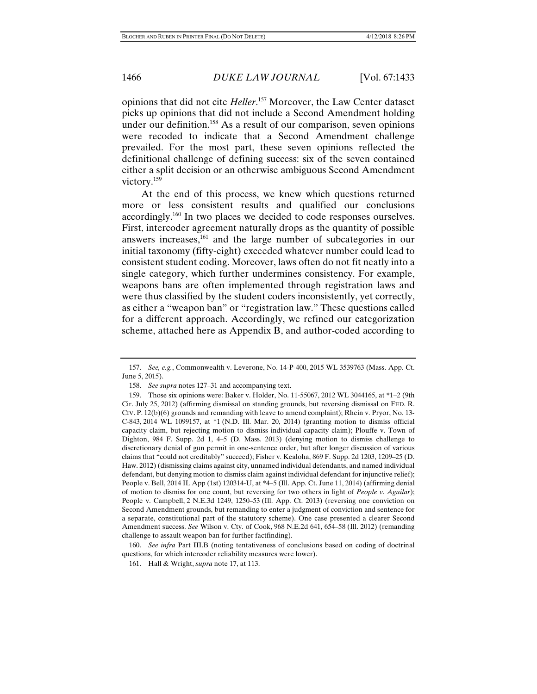opinions that did not cite *Heller*. 157 Moreover, the Law Center dataset picks up opinions that did not include a Second Amendment holding under our definition.<sup>158</sup> As a result of our comparison, seven opinions were recoded to indicate that a Second Amendment challenge prevailed. For the most part, these seven opinions reflected the definitional challenge of defining success: six of the seven contained either a split decision or an otherwise ambiguous Second Amendment victory.159

At the end of this process, we knew which questions returned more or less consistent results and qualified our conclusions accordingly.160 In two places we decided to code responses ourselves. First, intercoder agreement naturally drops as the quantity of possible answers increases,161 and the large number of subcategories in our initial taxonomy (fifty-eight) exceeded whatever number could lead to consistent student coding. Moreover, laws often do not fit neatly into a single category, which further undermines consistency. For example, weapons bans are often implemented through registration laws and were thus classified by the student coders inconsistently, yet correctly, as either a "weapon ban" or "registration law." These questions called for a different approach. Accordingly, we refined our categorization scheme, attached here as Appendix B, and author-coded according to

 <sup>157.</sup> *See, e.g.*, Commonwealth v. Leverone, No. 14-P-400, 2015 WL 3539763 (Mass. App. Ct. June 5, 2015).

 <sup>158.</sup> *See supra* notes 127–31 and accompanying text.

 <sup>159.</sup> Those six opinions were: Baker v. Holder, No. 11-55067, 2012 WL 3044165, at \*1–2 (9th Cir. July 25, 2012) (affirming dismissal on standing grounds, but reversing dismissal on FED. R. CIV. P. 12(b)(6) grounds and remanding with leave to amend complaint); Rhein v. Pryor, No. 13- C-843, 2014 WL 1099157, at \*1 (N.D. Ill. Mar. 20, 2014) (granting motion to dismiss official capacity claim, but rejecting motion to dismiss individual capacity claim); Plouffe v. Town of Dighton, 984 F. Supp. 2d 1, 4–5 (D. Mass. 2013) (denying motion to dismiss challenge to discretionary denial of gun permit in one-sentence order, but after longer discussion of various claims that "could not creditably" succeed); Fisher v. Kealoha, 869 F. Supp. 2d 1203, 1209–25 (D. Haw. 2012) (dismissing claims against city, unnamed individual defendants, and named individual defendant, but denying motion to dismiss claim against individual defendant for injunctive relief); People v. Bell, 2014 IL App (1st) 120314-U, at \*4–5 (Ill. App. Ct. June 11, 2014) (affirming denial of motion to dismiss for one count, but reversing for two others in light of *People v. Aguilar*); People v. Campbell, 2 N.E.3d 1249, 1250–53 (Ill. App. Ct. 2013) (reversing one conviction on Second Amendment grounds, but remanding to enter a judgment of conviction and sentence for a separate, constitutional part of the statutory scheme). One case presented a clearer Second Amendment success. *See* Wilson v. Cty. of Cook, 968 N.E.2d 641, 654–58 (Ill. 2012) (remanding challenge to assault weapon ban for further factfinding).

 <sup>160.</sup> *See infra* Part III.B (noting tentativeness of conclusions based on coding of doctrinal questions, for which intercoder reliability measures were lower).

 <sup>161.</sup> Hall & Wright, *supra* note 17, at 113.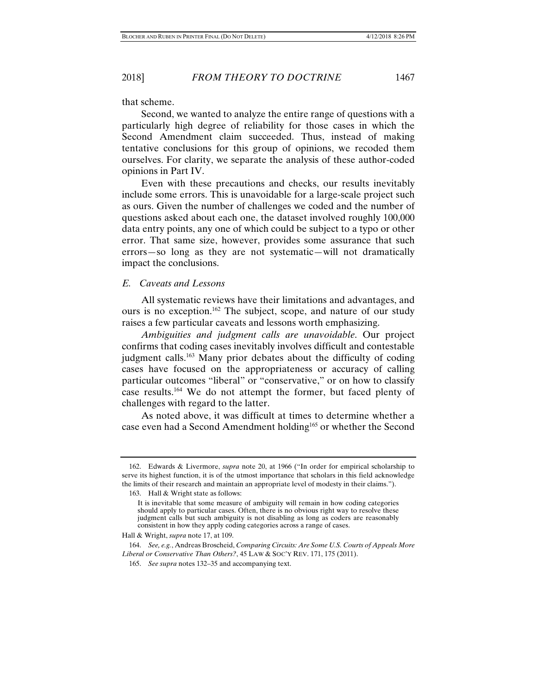that scheme.

Second, we wanted to analyze the entire range of questions with a particularly high degree of reliability for those cases in which the Second Amendment claim succeeded. Thus, instead of making tentative conclusions for this group of opinions, we recoded them ourselves. For clarity, we separate the analysis of these author-coded opinions in Part IV.

Even with these precautions and checks, our results inevitably include some errors. This is unavoidable for a large-scale project such as ours. Given the number of challenges we coded and the number of questions asked about each one, the dataset involved roughly 100,000 data entry points, any one of which could be subject to a typo or other error. That same size, however, provides some assurance that such errors—so long as they are not systematic—will not dramatically impact the conclusions.

## *E. Caveats and Lessons*

All systematic reviews have their limitations and advantages, and ours is no exception.162 The subject, scope, and nature of our study raises a few particular caveats and lessons worth emphasizing.

*Ambiguities and judgment calls are unavoidable*. Our project confirms that coding cases inevitably involves difficult and contestable judgment calls.163 Many prior debates about the difficulty of coding cases have focused on the appropriateness or accuracy of calling particular outcomes "liberal" or "conservative," or on how to classify case results.164 We do not attempt the former, but faced plenty of challenges with regard to the latter.

As noted above, it was difficult at times to determine whether a case even had a Second Amendment holding<sup>165</sup> or whether the Second

163. Hall & Wright state as follows:

 <sup>162.</sup> Edwards & Livermore, *supra* note 20, at 1966 ("In order for empirical scholarship to serve its highest function, it is of the utmost importance that scholars in this field acknowledge the limits of their research and maintain an appropriate level of modesty in their claims.").

It is inevitable that some measure of ambiguity will remain in how coding categories should apply to particular cases. Often, there is no obvious right way to resolve these judgment calls but such ambiguity is not disabling as long as coders are reasonably consistent in how they apply coding categories across a range of cases.

Hall & Wright, *supra* note 17, at 109.

 <sup>164.</sup> *See, e.g.*, Andreas Broscheid, *Comparing Circuits: Are Some U.S. Courts of Appeals More Liberal or Conservative Than Others?*, 45 LAW & SOC'Y REV. 171, 175 (2011).

 <sup>165.</sup> *See supra* notes 132–35 and accompanying text.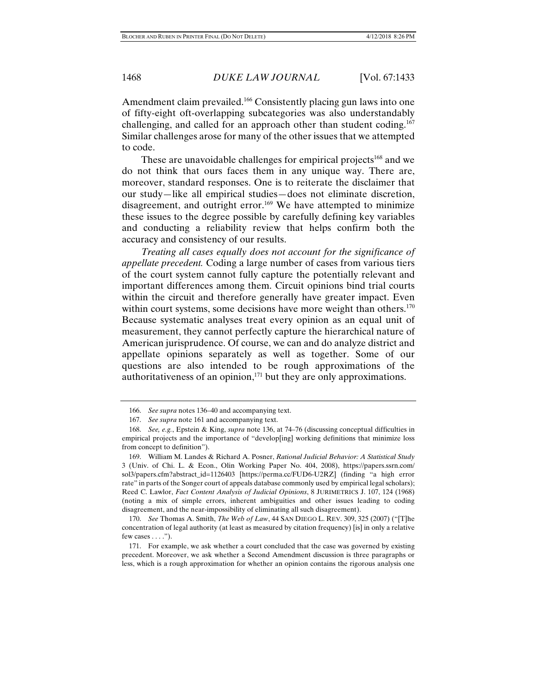Amendment claim prevailed.<sup>166</sup> Consistently placing gun laws into one of fifty-eight oft-overlapping subcategories was also understandably challenging, and called for an approach other than student coding.<sup>167</sup> Similar challenges arose for many of the other issues that we attempted to code.

These are unavoidable challenges for empirical projects<sup>168</sup> and we do not think that ours faces them in any unique way. There are, moreover, standard responses. One is to reiterate the disclaimer that our study—like all empirical studies—does not eliminate discretion, disagreement, and outright error.<sup>169</sup> We have attempted to minimize these issues to the degree possible by carefully defining key variables and conducting a reliability review that helps confirm both the accuracy and consistency of our results.

*Treating all cases equally does not account for the significance of appellate precedent.* Coding a large number of cases from various tiers of the court system cannot fully capture the potentially relevant and important differences among them. Circuit opinions bind trial courts within the circuit and therefore generally have greater impact. Even within court systems, some decisions have more weight than others.<sup>170</sup> Because systematic analyses treat every opinion as an equal unit of measurement, they cannot perfectly capture the hierarchical nature of American jurisprudence. Of course, we can and do analyze district and appellate opinions separately as well as together. Some of our questions are also intended to be rough approximations of the authoritativeness of an opinion,<sup>171</sup> but they are only approximations.

 <sup>166.</sup> *See supra* notes 136–40 and accompanying text.

 <sup>167.</sup> *See supra* note 161 and accompanying text.

 <sup>168.</sup> *See, e.g.*, Epstein & King, *supra* note 136, at 74–76 (discussing conceptual difficulties in empirical projects and the importance of "develop[ing] working definitions that minimize loss from concept to definition").

 <sup>169.</sup> William M. Landes & Richard A. Posner, *Rational Judicial Behavior: A Statistical Study*  3 (Univ. of Chi. L. & Econ., Olin Working Paper No. 404, 2008), https://papers.ssrn.com/ sol3/papers.cfm?abstract\_id=1126403 [https://perma.cc/FUD6-U2RZ] (finding "a high error rate" in parts of the Songer court of appeals database commonly used by empirical legal scholars); Reed C. Lawlor, *Fact Content Analysis of Judicial Opinions*, 8 JURIMETRICS J. 107, 124 (1968) (noting a mix of simple errors, inherent ambiguities and other issues leading to coding disagreement, and the near-impossibility of eliminating all such disagreement).

 <sup>170.</sup> *See* Thomas A. Smith, *The Web of Law*, 44 SAN DIEGO L. REV. 309, 325 (2007) ("[T]he concentration of legal authority (at least as measured by citation frequency) [is] in only a relative few cases  $\dots$ .").

 <sup>171.</sup> For example, we ask whether a court concluded that the case was governed by existing precedent. Moreover, we ask whether a Second Amendment discussion is three paragraphs or less, which is a rough approximation for whether an opinion contains the rigorous analysis one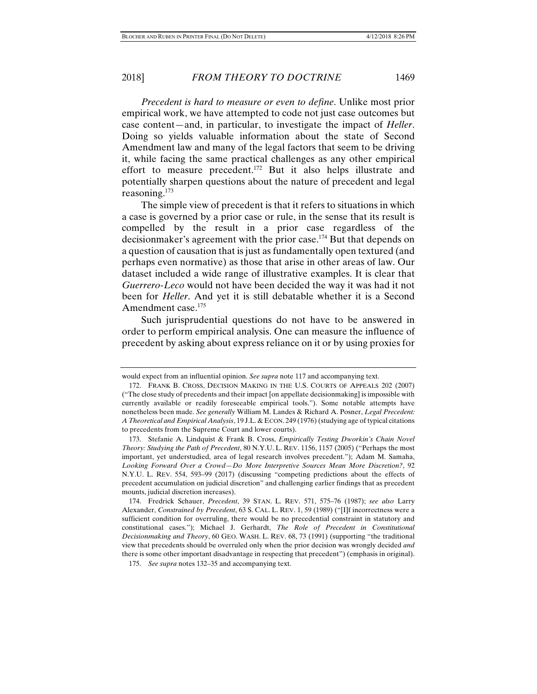*Precedent is hard to measure or even to define*. Unlike most prior empirical work, we have attempted to code not just case outcomes but case content—and, in particular, to investigate the impact of *Heller*. Doing so yields valuable information about the state of Second Amendment law and many of the legal factors that seem to be driving it, while facing the same practical challenges as any other empirical effort to measure precedent.172 But it also helps illustrate and potentially sharpen questions about the nature of precedent and legal reasoning.173

The simple view of precedent is that it refers to situations in which a case is governed by a prior case or rule, in the sense that its result is compelled by the result in a prior case regardless of the decisionmaker's agreement with the prior case.174 But that depends on a question of causation that is just as fundamentally open textured (and perhaps even normative) as those that arise in other areas of law. Our dataset included a wide range of illustrative examples. It is clear that *Guerrero-Leco* would not have been decided the way it was had it not been for *Heller*. And yet it is still debatable whether it is a Second Amendment case.<sup>175</sup>

Such jurisprudential questions do not have to be answered in order to perform empirical analysis. One can measure the influence of precedent by asking about express reliance on it or by using proxies for

would expect from an influential opinion. *See supra* note 117 and accompanying text.

 <sup>172.</sup> FRANK B. CROSS, DECISION MAKING IN THE U.S. COURTS OF APPEALS 202 (2007) ("The close study of precedents and their impact [on appellate decisionmaking] is impossible with currently available or readily foreseeable empirical tools."). Some notable attempts have nonetheless been made. *See generally* William M. Landes & Richard A. Posner, *Legal Precedent: A Theoretical and Empirical Analysis*, 19 J.L. & ECON. 249 (1976) (studying age of typical citations to precedents from the Supreme Court and lower courts).

 <sup>173.</sup> Stefanie A. Lindquist & Frank B. Cross, *Empirically Testing Dworkin's Chain Novel Theory: Studying the Path of Precedent*, 80 N.Y.U. L. REV. 1156, 1157 (2005) ("Perhaps the most important, yet understudied, area of legal research involves precedent."); Adam M. Samaha, *Looking Forward Over a Crowd—Do More Interpretive Sources Mean More Discretion?*, 92 N.Y.U. L. REV. 554, 593–99 (2017) (discussing "competing predictions about the effects of precedent accumulation on judicial discretion" and challenging earlier findings that as precedent mounts, judicial discretion increases).

 <sup>174.</sup> Fredrick Schauer, *Precedent*, 39 STAN. L. REV. 571, 575–76 (1987); *see also* Larry Alexander, *Constrained by Precedent*, 63 S. CAL. L. REV. 1, 59 (1989) ("[I]f incorrectness were a sufficient condition for overruling, there would be no precedential constraint in statutory and constitutional cases."); Michael J. Gerhardt, *The Role of Precedent in Constitutional Decisionmaking and Theory*, 60 GEO. WASH. L. REV. 68, 73 (1991) (supporting "the traditional view that precedents should be overruled only when the prior decision was wrongly decided *and* there is some other important disadvantage in respecting that precedent") (emphasis in original).

 <sup>175.</sup> *See supra* notes 132–35 and accompanying text.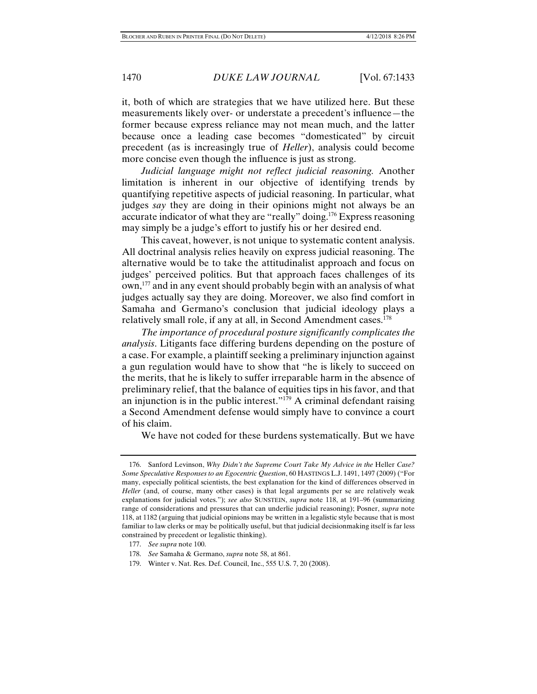it, both of which are strategies that we have utilized here. But these measurements likely over- or understate a precedent's influence—the former because express reliance may not mean much, and the latter because once a leading case becomes "domesticated" by circuit precedent (as is increasingly true of *Heller*), analysis could become more concise even though the influence is just as strong.

*Judicial language might not reflect judicial reasoning.* Another limitation is inherent in our objective of identifying trends by quantifying repetitive aspects of judicial reasoning. In particular, what judges *say* they are doing in their opinions might not always be an accurate indicator of what they are "really" doing.176 Express reasoning may simply be a judge's effort to justify his or her desired end.

This caveat, however, is not unique to systematic content analysis. All doctrinal analysis relies heavily on express judicial reasoning. The alternative would be to take the attitudinalist approach and focus on judges' perceived politics. But that approach faces challenges of its own,<sup>177</sup> and in any event should probably begin with an analysis of what judges actually say they are doing. Moreover, we also find comfort in Samaha and Germano's conclusion that judicial ideology plays a relatively small role, if any at all, in Second Amendment cases.<sup>178</sup>

*The importance of procedural posture significantly complicates the analysis*. Litigants face differing burdens depending on the posture of a case. For example, a plaintiff seeking a preliminary injunction against a gun regulation would have to show that "he is likely to succeed on the merits, that he is likely to suffer irreparable harm in the absence of preliminary relief, that the balance of equities tips in his favor, and that an injunction is in the public interest." $1^{79}$  A criminal defendant raising a Second Amendment defense would simply have to convince a court of his claim.

We have not coded for these burdens systematically. But we have

179. Winter v. Nat. Res. Def. Council, Inc., 555 U.S. 7, 20 (2008).

<sup>176.</sup> Sanford Levinson, *Why Didn't the Supreme Court Take My Advice in the Heller Case? Some Speculative Responses to an Egocentric Question*, 60 HASTINGS L.J. 1491, 1497 (2009) ("For many, especially political scientists, the best explanation for the kind of differences observed in *Heller* (and, of course, many other cases) is that legal arguments per se are relatively weak explanations for judicial votes."); *see also* SUNSTEIN, *supra* note 118, at 191–96 (summarizing range of considerations and pressures that can underlie judicial reasoning); Posner, *supra* note 118, at 1182 (arguing that judicial opinions may be written in a legalistic style because that is most familiar to law clerks or may be politically useful, but that judicial decisionmaking itself is far less constrained by precedent or legalistic thinking).

 <sup>177.</sup> *See supra* note 100.

 <sup>178.</sup> *See* Samaha & Germano, *supra* note 58, at 861.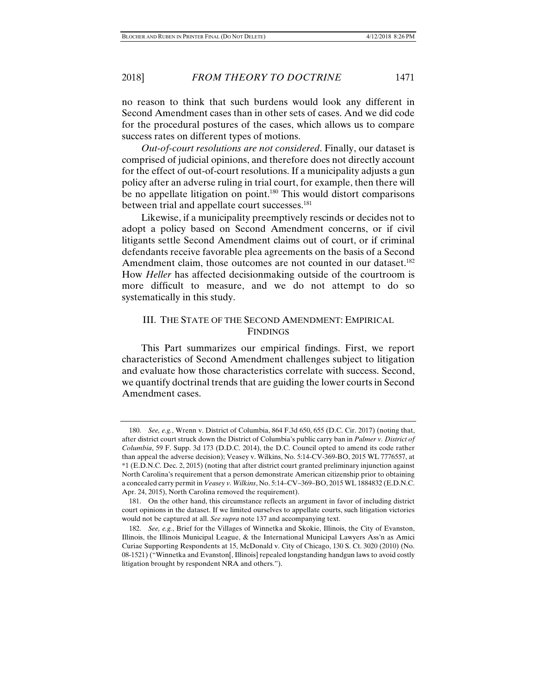no reason to think that such burdens would look any different in Second Amendment cases than in other sets of cases. And we did code for the procedural postures of the cases, which allows us to compare success rates on different types of motions.

*Out-of-court resolutions are not considered*. Finally, our dataset is comprised of judicial opinions, and therefore does not directly account for the effect of out-of-court resolutions. If a municipality adjusts a gun policy after an adverse ruling in trial court, for example, then there will be no appellate litigation on point.<sup>180</sup> This would distort comparisons between trial and appellate court successes.<sup>181</sup>

Likewise, if a municipality preemptively rescinds or decides not to adopt a policy based on Second Amendment concerns, or if civil litigants settle Second Amendment claims out of court, or if criminal defendants receive favorable plea agreements on the basis of a Second Amendment claim, those outcomes are not counted in our dataset.<sup>182</sup> How *Heller* has affected decisionmaking outside of the courtroom is more difficult to measure, and we do not attempt to do so systematically in this study.

## III. THE STATE OF THE SECOND AMENDMENT: EMPIRICAL FINDINGS

This Part summarizes our empirical findings. First, we report characteristics of Second Amendment challenges subject to litigation and evaluate how those characteristics correlate with success. Second, we quantify doctrinal trends that are guiding the lower courts in Second Amendment cases.

 <sup>180.</sup> *See, e.g.*, Wrenn v. District of Columbia, 864 F.3d 650, 655 (D.C. Cir. 2017) (noting that, after district court struck down the District of Columbia's public carry ban in *Palmer v. District of Columbia*, 59 F. Supp. 3d 173 (D.D.C. 2014), the D.C. Council opted to amend its code rather than appeal the adverse decision); Veasey v. Wilkins, No. 5:14-CV-369-BO, 2015 WL 7776557, at \*1 (E.D.N.C. Dec. 2, 2015) (noting that after district court granted preliminary injunction against North Carolina's requirement that a person demonstrate American citizenship prior to obtaining a concealed carry permit in *Veasey v. Wilkins*, No. 5:14–CV–369–BO, 2015 WL 1884832 (E.D.N.C. Apr. 24, 2015), North Carolina removed the requirement).

 <sup>181.</sup> On the other hand, this circumstance reflects an argument in favor of including district court opinions in the dataset. If we limited ourselves to appellate courts, such litigation victories would not be captured at all. *See supra* note 137 and accompanying text.

 <sup>182.</sup> *See, e.g.*, Brief for the Villages of Winnetka and Skokie, Illinois, the City of Evanston, Illinois, the Illinois Municipal League, & the International Municipal Lawyers Ass'n as Amici Curiae Supporting Respondents at 15, McDonald v. City of Chicago, 130 S. Ct. 3020 (2010) (No. 08-1521) ("Winnetka and Evanston[, Illinois] repealed longstanding handgun laws to avoid costly litigation brought by respondent NRA and others.").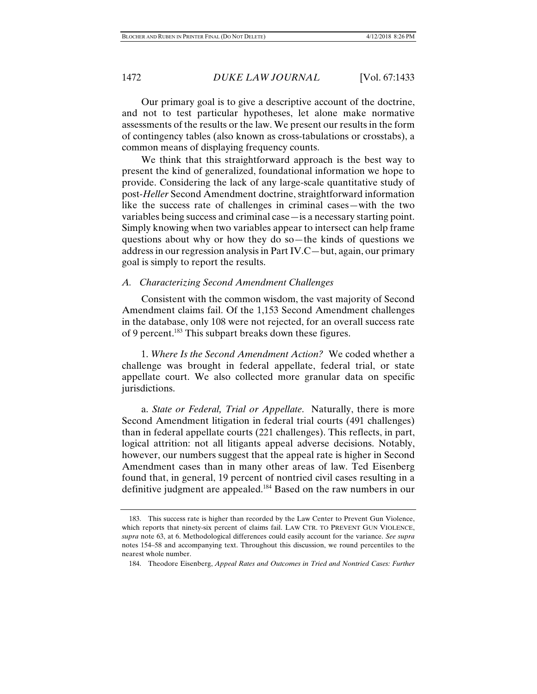Our primary goal is to give a descriptive account of the doctrine, and not to test particular hypotheses, let alone make normative assessments of the results or the law. We present our results in the form of contingency tables (also known as cross-tabulations or crosstabs), a common means of displaying frequency counts.

We think that this straightforward approach is the best way to present the kind of generalized, foundational information we hope to provide. Considering the lack of any large-scale quantitative study of post-*Heller* Second Amendment doctrine, straightforward information like the success rate of challenges in criminal cases—with the two variables being success and criminal case—is a necessary starting point. Simply knowing when two variables appear to intersect can help frame questions about why or how they do so—the kinds of questions we address in our regression analysis in Part IV.C—but, again, our primary goal is simply to report the results.

#### *A. Characterizing Second Amendment Challenges*

Consistent with the common wisdom, the vast majority of Second Amendment claims fail. Of the 1,153 Second Amendment challenges in the database, only 108 were not rejected, for an overall success rate of 9 percent.<sup>183</sup> This subpart breaks down these figures.

1. *Where Is the Second Amendment Action?* We coded whether a challenge was brought in federal appellate, federal trial, or state appellate court. We also collected more granular data on specific jurisdictions.

a. *State or Federal, Trial or Appellate*. Naturally, there is more Second Amendment litigation in federal trial courts (491 challenges) than in federal appellate courts (221 challenges). This reflects, in part, logical attrition: not all litigants appeal adverse decisions. Notably, however, our numbers suggest that the appeal rate is higher in Second Amendment cases than in many other areas of law. Ted Eisenberg found that, in general, 19 percent of nontried civil cases resulting in a definitive judgment are appealed.184 Based on the raw numbers in our

 <sup>183.</sup> This success rate is higher than recorded by the Law Center to Prevent Gun Violence, which reports that ninety-six percent of claims fail. LAW CTR. TO PREVENT GUN VIOLENCE, *supra* note 63, at 6. Methodological differences could easily account for the variance. *See supra*  notes 154–58 and accompanying text. Throughout this discussion, we round percentiles to the nearest whole number.

 <sup>184.</sup> Theodore Eisenberg, *Appeal Rates and Outcomes in Tried and Nontried Cases: Further*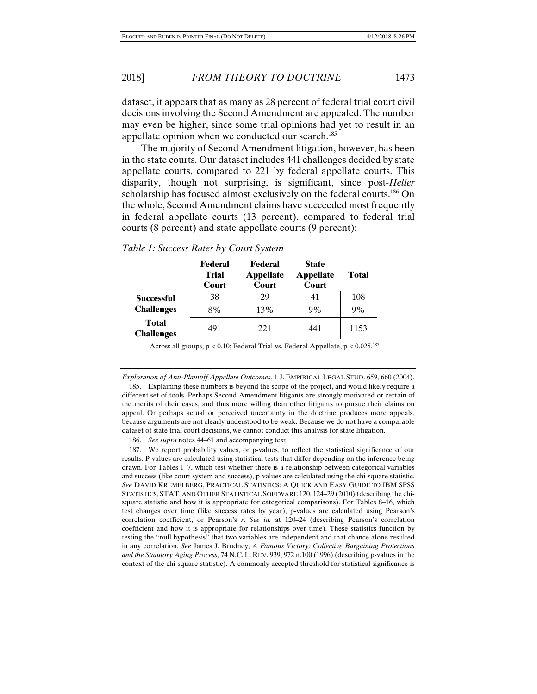dataset, it appears that as many as 28 percent of federal trial court civil decisions involving the Second Amendment are appealed. The number may even be higher, since some trial opinions had yet to result in an appellate opinion when we conducted our search.<sup>185</sup>

The majority of Second Amendment litigation, however, has been in the state courts. Our dataset includes 441 challenges decided by state appellate courts, compared to 221 by federal appellate courts. This disparity, though not surprising, is significant, since post-*Heller* scholarship has focused almost exclusively on the federal courts.<sup>186</sup> On the whole, Second Amendment claims have succeeded most frequently in federal appellate courts (13 percent), compared to federal trial courts (8 percent) and state appellate courts (9 percent):

|                                   | Federal<br><b>Trial</b><br>Court | Federal<br>Appellate<br>Court | <b>State</b><br><b>Appellate</b><br>Court | <b>Total</b> |
|-----------------------------------|----------------------------------|-------------------------------|-------------------------------------------|--------------|
| Successful                        | 38                               | 29                            | 41                                        | 108          |
| <b>Challenges</b>                 | 8%                               | 13%                           | 9%                                        | 9%           |
| <b>Total</b><br><b>Challenges</b> | 491                              | 221                           | 441                                       | 1153         |

#### *Table 1: Success Rates by Court System*

Across all groups,  $p < 0.10$ ; Federal Trial vs. Federal Appellate,  $p < 0.025$ .<sup>187</sup>

*Exploration of Anti-Plaintiff Appellate Outcomes*, 1 J. EMPIRICAL LEGAL STUD. 659, 660 (2004).

 185. Explaining these numbers is beyond the scope of the project, and would likely require a different set of tools. Perhaps Second Amendment litigants are strongly motivated or certain of the merits of their cases, and thus more willing than other litigants to pursue their claims on appeal. Or perhaps actual or perceived uncertainty in the doctrine produces more appeals, because arguments are not clearly understood to be weak. Because we do not have a comparable dataset of state trial court decisions, we cannot conduct this analysis for state litigation.

186. *See supra* notes 44–61 and accompanying text.

 187. We report probability values, or p-values, to reflect the statistical significance of our results. P-values are calculated using statistical tests that differ depending on the inference being drawn. For Tables 1–7, which test whether there is a relationship between categorical variables and success (like court system and success), p-values are calculated using the chi-square statistic. *See* DAVID KREMELBERG, PRACTICAL STATISTICS: A QUICK AND EASY GUIDE TO IBM SPSS STATISTICS, STAT, AND OTHER STATISTICAL SOFTWARE 120, 124–29 (2010) (describing the chisquare statistic and how it is appropriate for categorical comparisons). For Tables 8–16, which test changes over time (like success rates by year), p-values are calculated using Pearson's correlation coefficient, or Pearson's *r*. *See id.* at 120–24 (describing Pearson's correlation coefficient and how it is appropriate for relationships over time). These statistics function by testing the "null hypothesis" that two variables are independent and that chance alone resulted in any correlation. *See* James J. Brudney, *A Famous Victory: Collective Bargaining Protections and the Statutory Aging Process*, 74 N.C. L. REV. 939, 972 n.100 (1996) (describing p-values in the context of the chi-square statistic). A commonly accepted threshold for statistical significance is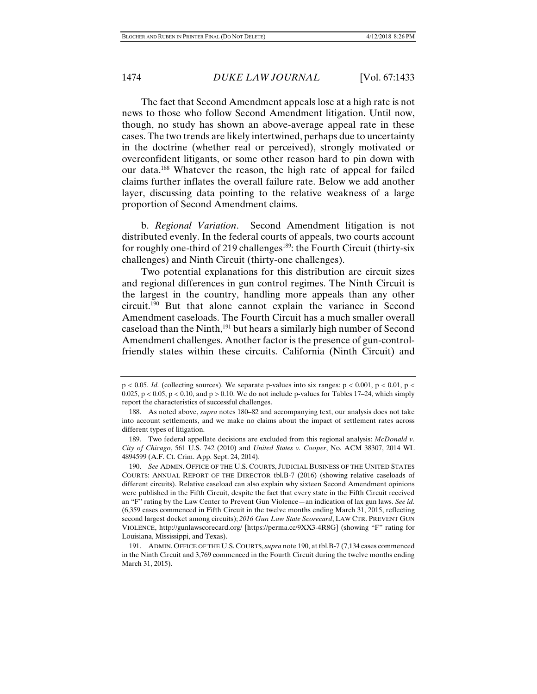The fact that Second Amendment appeals lose at a high rate is not news to those who follow Second Amendment litigation. Until now, though, no study has shown an above-average appeal rate in these cases. The two trends are likely intertwined, perhaps due to uncertainty in the doctrine (whether real or perceived), strongly motivated or overconfident litigants, or some other reason hard to pin down with our data.188 Whatever the reason, the high rate of appeal for failed claims further inflates the overall failure rate. Below we add another layer, discussing data pointing to the relative weakness of a large proportion of Second Amendment claims.

b. *Regional Variation*. Second Amendment litigation is not distributed evenly. In the federal courts of appeals, two courts account for roughly one-third of 219 challenges<sup>189</sup>: the Fourth Circuit (thirty-six challenges) and Ninth Circuit (thirty-one challenges).

Two potential explanations for this distribution are circuit sizes and regional differences in gun control regimes. The Ninth Circuit is the largest in the country, handling more appeals than any other circuit.190 But that alone cannot explain the variance in Second Amendment caseloads. The Fourth Circuit has a much smaller overall caseload than the Ninth,<sup>191</sup> but hears a similarly high number of Second Amendment challenges. Another factor is the presence of gun-controlfriendly states within these circuits. California (Ninth Circuit) and

 $p < 0.05$ . *Id.* (collecting sources). We separate p-values into six ranges:  $p < 0.001$ ,  $p < 0.01$ ,  $p < 0.01$ 0.025,  $p < 0.05$ ,  $p < 0.10$ , and  $p > 0.10$ . We do not include p-values for Tables 17–24, which simply report the characteristics of successful challenges.

 <sup>188.</sup> As noted above, *supra* notes 180–82 and accompanying text, our analysis does not take into account settlements, and we make no claims about the impact of settlement rates across different types of litigation.

 <sup>189.</sup> Two federal appellate decisions are excluded from this regional analysis: *McDonald v. City of Chicago*, 561 U.S. 742 (2010) and *United States v. Cooper*, No. ACM 38307, 2014 WL 4894599 (A.F. Ct. Crim. App. Sept. 24, 2014).

 <sup>190.</sup> *See* ADMIN. OFFICE OF THE U.S. COURTS, JUDICIAL BUSINESS OF THE UNITED STATES COURTS: ANNUAL REPORT OF THE DIRECTOR tbl.B-7 (2016) (showing relative caseloads of different circuits). Relative caseload can also explain why sixteen Second Amendment opinions were published in the Fifth Circuit, despite the fact that every state in the Fifth Circuit received an "F" rating by the Law Center to Prevent Gun Violence—an indication of lax gun laws. *See id.*  (6,359 cases commenced in Fifth Circuit in the twelve months ending March 31, 2015, reflecting second largest docket among circuits); *2016 Gun Law State Scorecard*, LAW CTR. PREVENT GUN VIOLENCE, http://gunlawscorecard.org/ [https://perma.cc/9XX3-4R8G] (showing "F" rating for Louisiana, Mississippi, and Texas).

 <sup>191.</sup> ADMIN. OFFICE OF THE U.S. COURTS,*supra* note 190, at tbl.B-7 (7,134 cases commenced in the Ninth Circuit and 3,769 commenced in the Fourth Circuit during the twelve months ending March 31, 2015).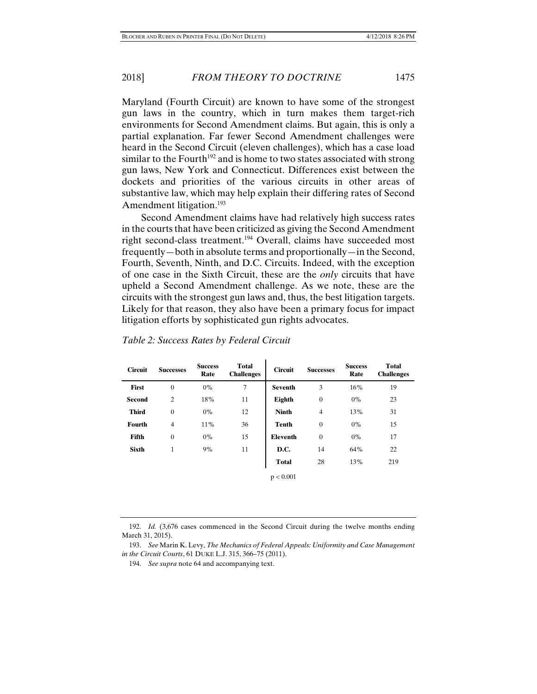Maryland (Fourth Circuit) are known to have some of the strongest gun laws in the country, which in turn makes them target-rich environments for Second Amendment claims. But again, this is only a partial explanation. Far fewer Second Amendment challenges were heard in the Second Circuit (eleven challenges), which has a case load similar to the Fourth<sup>192</sup> and is home to two states associated with strong gun laws, New York and Connecticut. Differences exist between the dockets and priorities of the various circuits in other areas of substantive law, which may help explain their differing rates of Second Amendment litigation.<sup>193</sup>

Second Amendment claims have had relatively high success rates in the courts that have been criticized as giving the Second Amendment right second-class treatment.194 Overall, claims have succeeded most frequently—both in absolute terms and proportionally—in the Second, Fourth, Seventh, Ninth, and D.C. Circuits. Indeed, with the exception of one case in the Sixth Circuit, these are the *only* circuits that have upheld a Second Amendment challenge. As we note, these are the circuits with the strongest gun laws and, thus, the best litigation targets. Likely for that reason, they also have been a primary focus for impact litigation efforts by sophisticated gun rights advocates.

| <b>Circuit</b> | <b>Successes</b> | <b>Success</b><br>Rate | <b>Total</b><br><b>Challenges</b> | <b>Circuit</b>  | <b>Successes</b> | <b>Success</b><br>Rate | <b>Total</b><br><b>Challenges</b> |
|----------------|------------------|------------------------|-----------------------------------|-----------------|------------------|------------------------|-----------------------------------|
| <b>First</b>   | $\overline{0}$   | $0\%$                  | 7                                 | <b>Seventh</b>  | 3                | 16%                    | 19                                |
| Second         | $\overline{c}$   | 18%                    | 11                                | Eighth          | $\mathbf{0}$     | $0\%$                  | 23                                |
| <b>Third</b>   | $\overline{0}$   | $0\%$                  | 12                                | <b>Ninth</b>    | $\overline{4}$   | 13%                    | 31                                |
| <b>Fourth</b>  | $\overline{4}$   | 11%                    | 36                                | <b>Tenth</b>    | $\overline{0}$   | $0\%$                  | 15                                |
| Fifth          | $\overline{0}$   | $0\%$                  | 15                                | <b>Eleventh</b> | $\overline{0}$   | $0\%$                  | 17                                |
| <b>Sixth</b>   | $\mathbf{1}$     | 9%                     | 11                                | D.C.            | 14               | 64%                    | 22                                |
|                |                  |                        |                                   | <b>Total</b>    | 28               | 13%                    | 219                               |
|                |                  |                        |                                   | p < 0.001       |                  |                        |                                   |

|  |  | Table 2: Success Rates by Federal Circuit |  |
|--|--|-------------------------------------------|--|
|  |  |                                           |  |

 192. *Id.* (3,676 cases commenced in the Second Circuit during the twelve months ending March 31, 2015).

 <sup>193.</sup> *See* Marin K. Levy, *The Mechanics of Federal Appeals: Uniformity and Case Management in the Circuit Courts*, 61 DUKE L.J. 315, 366–75 (2011).

 <sup>194.</sup> *See supra* note 64 and accompanying text.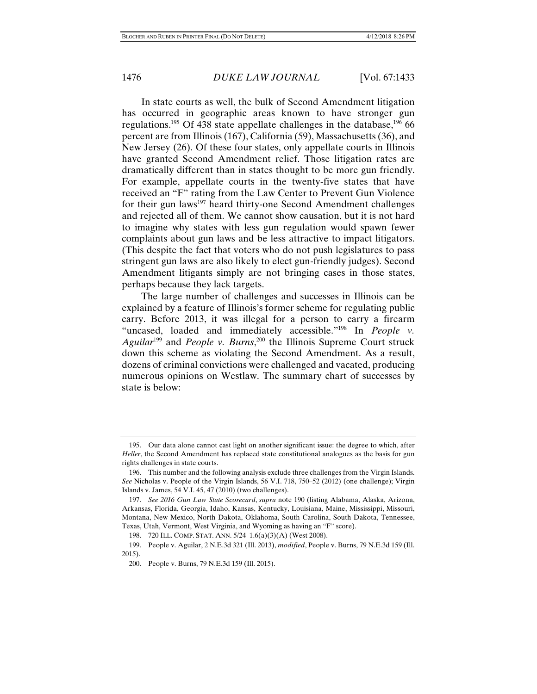In state courts as well, the bulk of Second Amendment litigation has occurred in geographic areas known to have stronger gun regulations.<sup>195</sup> Of 438 state appellate challenges in the database,<sup>196</sup> 66 percent are from Illinois (167), California (59), Massachusetts (36), and New Jersey (26). Of these four states, only appellate courts in Illinois have granted Second Amendment relief. Those litigation rates are dramatically different than in states thought to be more gun friendly. For example, appellate courts in the twenty-five states that have received an "F" rating from the Law Center to Prevent Gun Violence for their gun laws<sup>197</sup> heard thirty-one Second Amendment challenges and rejected all of them. We cannot show causation, but it is not hard to imagine why states with less gun regulation would spawn fewer complaints about gun laws and be less attractive to impact litigators. (This despite the fact that voters who do not push legislatures to pass stringent gun laws are also likely to elect gun-friendly judges). Second Amendment litigants simply are not bringing cases in those states, perhaps because they lack targets.

The large number of challenges and successes in Illinois can be explained by a feature of Illinois's former scheme for regulating public carry. Before 2013, it was illegal for a person to carry a firearm "uncased, loaded and immediately accessible."<sup>198</sup> In *People v*. *Aguilar*199 and *People v. Burns*, 200 the Illinois Supreme Court struck down this scheme as violating the Second Amendment. As a result, dozens of criminal convictions were challenged and vacated, producing numerous opinions on Westlaw. The summary chart of successes by state is below:

 <sup>195.</sup> Our data alone cannot cast light on another significant issue: the degree to which, after *Heller*, the Second Amendment has replaced state constitutional analogues as the basis for gun rights challenges in state courts.

 <sup>196.</sup> This number and the following analysis exclude three challenges from the Virgin Islands. *See* Nicholas v. People of the Virgin Islands, 56 V.I. 718, 750–52 (2012) (one challenge); Virgin Islands v. James, 54 V.I. 45, 47 (2010) (two challenges).

 <sup>197.</sup> *See 2016 Gun Law State Scorecard*, *supra* note 190 (listing Alabama, Alaska, Arizona, Arkansas, Florida, Georgia, Idaho, Kansas, Kentucky, Louisiana, Maine, Mississippi, Missouri, Montana, New Mexico, North Dakota, Oklahoma, South Carolina, South Dakota, Tennessee, Texas, Utah, Vermont, West Virginia, and Wyoming as having an "F" score).

 <sup>198. 720</sup> ILL. COMP. STAT. ANN. 5/24–1.6(a)(3)(A) (West 2008).

 <sup>199.</sup> People v. Aguilar, 2 N.E.3d 321 (Ill. 2013), *modified*, People v. Burns, 79 N.E.3d 159 (Ill. 2015).

 <sup>200.</sup> People v. Burns, 79 N.E.3d 159 (Ill. 2015).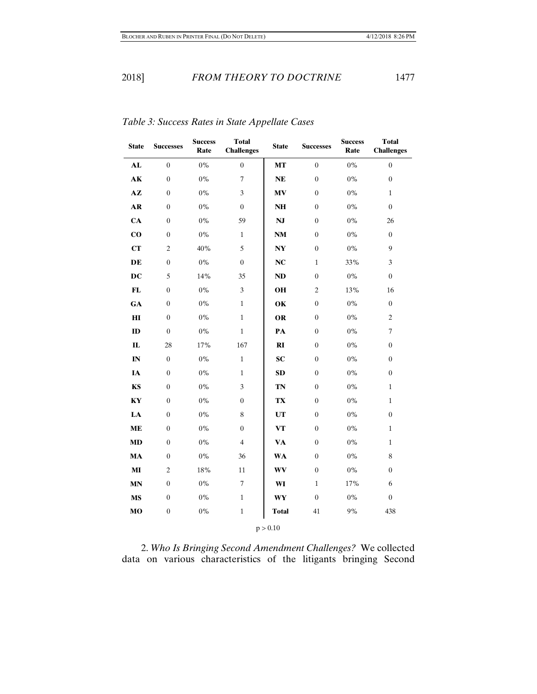| <b>State</b>  | <b>Successes</b> | <b>Success</b><br>Rate | <b>Total</b><br><b>Challenges</b> | <b>State</b>           | <b>Successes</b> | <b>Success</b><br>Rate | <b>Total</b><br><b>Challenges</b> |
|---------------|------------------|------------------------|-----------------------------------|------------------------|------------------|------------------------|-----------------------------------|
| AL            | $\boldsymbol{0}$ | $0\%$                  | $\boldsymbol{0}$                  | <b>MT</b>              | $\overline{0}$   | $0\%$                  | $\boldsymbol{0}$                  |
| $\mathbf{AK}$ | $\overline{0}$   | $0\%$                  | $\boldsymbol{7}$                  | NE                     | $\boldsymbol{0}$ | $0\%$                  | $\boldsymbol{0}$                  |
| $A\mathbf{Z}$ | $\overline{0}$   | $0\%$                  | 3                                 | <b>MV</b>              | $\mathbf{0}$     | $0\%$                  | $\mathbf{1}$                      |
| $\mathbf{AR}$ | $\theta$         | $0\%$                  | $\overline{0}$                    | <b>NH</b>              | $\mathbf{0}$     | $0\%$                  | $\overline{0}$                    |
| CA            | $\overline{0}$   | $0\%$                  | 59                                | $\mathbf{N}\mathbf{J}$ | $\boldsymbol{0}$ | $0\%$                  | 26                                |
| $\bf{CO}$     | $\boldsymbol{0}$ | $0\%$                  | $\mathbf{1}$                      | <b>NM</b>              | $\boldsymbol{0}$ | $0\%$                  | $\boldsymbol{0}$                  |
| CT            | $\overline{c}$   | 40%                    | 5                                 | <b>NY</b>              | $\mathbf{0}$     | $0\%$                  | 9                                 |
| DE            | $\overline{0}$   | $0\%$                  | $\overline{0}$                    | NC                     | $\mathbf{1}$     | 33%                    | 3                                 |
| DC            | 5                | 14%                    | 35                                | ND                     | $\mathbf{0}$     | $0\%$                  | $\overline{0}$                    |
| $\mathbf{FL}$ | $\boldsymbol{0}$ | $0\%$                  | 3                                 | OH                     | $\mathfrak{2}$   | 13%                    | 16                                |
| GA            | $\overline{0}$   | $0\%$                  | $\mathbf{1}$                      | OK                     | $\boldsymbol{0}$ | $0\%$                  | $\boldsymbol{0}$                  |
| $\mathbf{H}$  | $\overline{0}$   | $0\%$                  | $\mathbf{1}$                      | <b>OR</b>              | $\mathbf{0}$     | $0\%$                  | $\overline{c}$                    |
| ID            | $\overline{0}$   | $0\%$                  | $\mathbf{1}$                      | PA                     | $\mathbf{0}$     | $0\%$                  | $\tau$                            |
| $\mathbf{L}$  | 28               | 17%                    | 167                               | RI                     | $\mathbf{0}$     | $0\%$                  | $\overline{0}$                    |
| IN            | $\overline{0}$   | $0\%$                  | $\mathbf{1}$                      | <b>SC</b>              | $\mathbf{0}$     | $0\%$                  | $\overline{0}$                    |
| IA            | $\overline{0}$   | $0\%$                  | $\mathbf{1}$                      | <b>SD</b>              | $\mathbf{0}$     | $0\%$                  | $\boldsymbol{0}$                  |
| KS            | $\overline{0}$   | $0\%$                  | 3                                 | TN                     | $\boldsymbol{0}$ | $0\%$                  | $\mathbf{1}$                      |
| KY            | $\overline{0}$   | $0\%$                  | $\boldsymbol{0}$                  | TX                     | $\mathbf{0}$     | $0\%$                  | $\mathbf{1}$                      |
| LA            | $\overline{0}$   | $0\%$                  | 8                                 | <b>UT</b>              | $\mathbf{0}$     | $0\%$                  | $\boldsymbol{0}$                  |
| <b>ME</b>     | $\theta$         | $0\%$                  | $\overline{0}$                    | <b>VT</b>              | $\mathbf{0}$     | 0%                     | $\mathbf{1}$                      |
| $\bf MD$      | $\overline{0}$   | $0\%$                  | $\overline{4}$                    | <b>VA</b>              | $\boldsymbol{0}$ | $0\%$                  | $\mathbf{1}$                      |
| MA            | $\overline{0}$   | $0\%$                  | 36                                | <b>WA</b>              | $\boldsymbol{0}$ | $0\%$                  | $\,$ 8 $\,$                       |
| $\bf{MI}$     | $\overline{c}$   | 18%                    | 11                                | WV                     | $\boldsymbol{0}$ | $0\%$                  | $\boldsymbol{0}$                  |
| <b>MN</b>     | $\overline{0}$   | $0\%$                  | $\tau$                            | WI                     | $\mathbf{1}$     | 17%                    | 6                                 |
| <b>MS</b>     | $\theta$         | $0\%$                  | $\mathbf{1}$                      | <b>WY</b>              | $\mathbf{0}$     | $0\%$                  | $\overline{0}$                    |
| MO            | $\boldsymbol{0}$ | $0\%$                  | $\mathbf{1}$                      | <b>Total</b>           | 41               | $9\%$                  | 438                               |
|               |                  |                        |                                   | p > 0.10               |                  |                        |                                   |

*Table 3: Success Rates in State Appellate Cases* 

2. *Who Is Bringing Second Amendment Challenges?* We collected data on various characteristics of the litigants bringing Second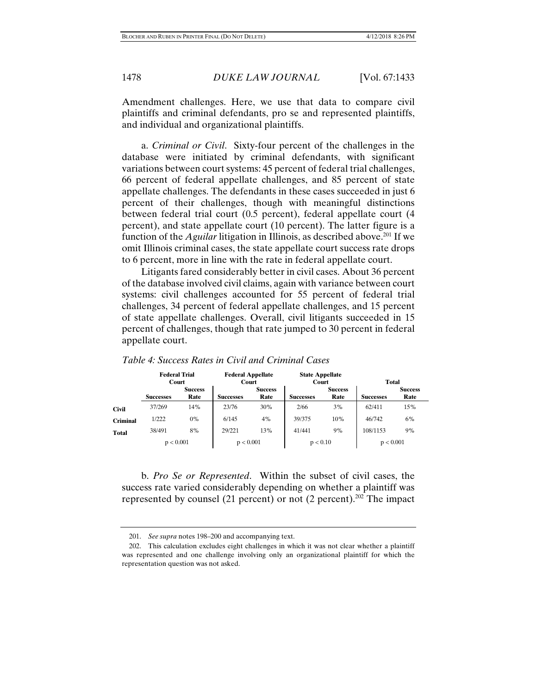Amendment challenges. Here, we use that data to compare civil plaintiffs and criminal defendants, pro se and represented plaintiffs, and individual and organizational plaintiffs.

a. *Criminal or Civil*. Sixty-four percent of the challenges in the database were initiated by criminal defendants, with significant variations between court systems: 45 percent of federal trial challenges, 66 percent of federal appellate challenges, and 85 percent of state appellate challenges. The defendants in these cases succeeded in just 6 percent of their challenges, though with meaningful distinctions between federal trial court (0.5 percent), federal appellate court (4 percent), and state appellate court (10 percent). The latter figure is a function of the *Aguilar* litigation in Illinois, as described above.<sup>201</sup> If we omit Illinois criminal cases, the state appellate court success rate drops to 6 percent, more in line with the rate in federal appellate court.

Litigants fared considerably better in civil cases. About 36 percent of the database involved civil claims, again with variance between court systems: civil challenges accounted for 55 percent of federal trial challenges, 34 percent of federal appellate challenges, and 15 percent of state appellate challenges. Overall, civil litigants succeeded in 15 percent of challenges, though that rate jumped to 30 percent in federal appellate court.

|                 | <b>Federal Trial</b><br>Court |                        | <b>Federal Appellate</b><br>Court |                        | <b>State Appellate</b><br>Court |                        | <b>Total</b>     |                        |  |
|-----------------|-------------------------------|------------------------|-----------------------------------|------------------------|---------------------------------|------------------------|------------------|------------------------|--|
|                 | <b>Successes</b>              | <b>Success</b><br>Rate | <b>Successes</b>                  | <b>Success</b><br>Rate | <b>Successes</b>                | <b>Success</b><br>Rate | <b>Successes</b> | <b>Success</b><br>Rate |  |
| <b>Civil</b>    | 37/269                        | 14%                    | 23/76                             | 30%                    | 2/66                            | 3%                     | 62/411           | 15%                    |  |
| <b>Criminal</b> | 1/222                         | $0\%$                  | 6/145                             | 4%                     | 39/375                          | 10%                    | 46/742           | 6%                     |  |
| Total           | 38/491                        | 8%                     | 29/221                            | 13%                    | 41/441                          | 9%                     | 108/1153         | 9%                     |  |
|                 | p < 0.001                     |                        | p < 0.001                         |                        | p < 0.10                        |                        | p < 0.001        |                        |  |

| Table 4: Success Rates in Civil and Criminal Cases |  |  |  |  |
|----------------------------------------------------|--|--|--|--|
|----------------------------------------------------|--|--|--|--|

b. *Pro Se or Represented*. Within the subset of civil cases, the success rate varied considerably depending on whether a plaintiff was represented by counsel (21 percent) or not (2 percent).202 The impact

 <sup>201.</sup> *See supra* notes 198–200 and accompanying text.

 <sup>202.</sup> This calculation excludes eight challenges in which it was not clear whether a plaintiff was represented and one challenge involving only an organizational plaintiff for which the representation question was not asked.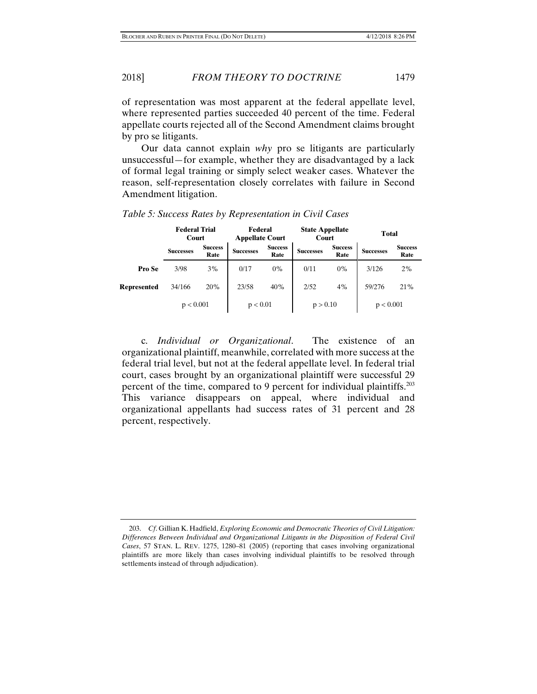of representation was most apparent at the federal appellate level, where represented parties succeeded 40 percent of the time. Federal appellate courts rejected all of the Second Amendment claims brought by pro se litigants.

Our data cannot explain *why* pro se litigants are particularly unsuccessful—for example, whether they are disadvantaged by a lack of formal legal training or simply select weaker cases. Whatever the reason, self-representation closely correlates with failure in Second Amendment litigation.

|                    | <b>Federal Trial</b><br>Court |                        | Federal<br><b>Appellate Court</b> |                        | <b>State Appellate</b><br>Court |                        | <b>Total</b>     |                        |
|--------------------|-------------------------------|------------------------|-----------------------------------|------------------------|---------------------------------|------------------------|------------------|------------------------|
|                    | <b>Successes</b>              | <b>Success</b><br>Rate | <b>Successes</b>                  | <b>Success</b><br>Rate | <b>Successes</b>                | <b>Success</b><br>Rate | <b>Successes</b> | <b>Success</b><br>Rate |
| Pro Se             | 3/98                          | $3\%$                  | 0/17                              | $0\%$                  | 0/11                            | 0%                     | 3/126            | 2%                     |
| <b>Represented</b> | 34/166                        | 20%                    | 23/58                             | 40%                    | 2/52                            | 4%                     | 59/276           | 21%                    |
|                    | p < 0.001                     |                        | p < 0.01                          |                        | p > 0.10                        |                        | p < 0.001        |                        |

*Table 5: Success Rates by Representation in Civil Cases* 

c. *Individual or Organizational*. The existence of an organizational plaintiff, meanwhile, correlated with more success at the federal trial level, but not at the federal appellate level. In federal trial court, cases brought by an organizational plaintiff were successful 29 percent of the time, compared to 9 percent for individual plaintiffs.203 This variance disappears on appeal, where individual and organizational appellants had success rates of 31 percent and 28 percent, respectively.

 <sup>203.</sup> *Cf*. Gillian K. Hadfield, *Exploring Economic and Democratic Theories of Civil Litigation: Differences Between Individual and Organizational Litigants in the Disposition of Federal Civil Cases*, 57 STAN. L. REV. 1275, 1280–81 (2005) (reporting that cases involving organizational plaintiffs are more likely than cases involving individual plaintiffs to be resolved through settlements instead of through adjudication).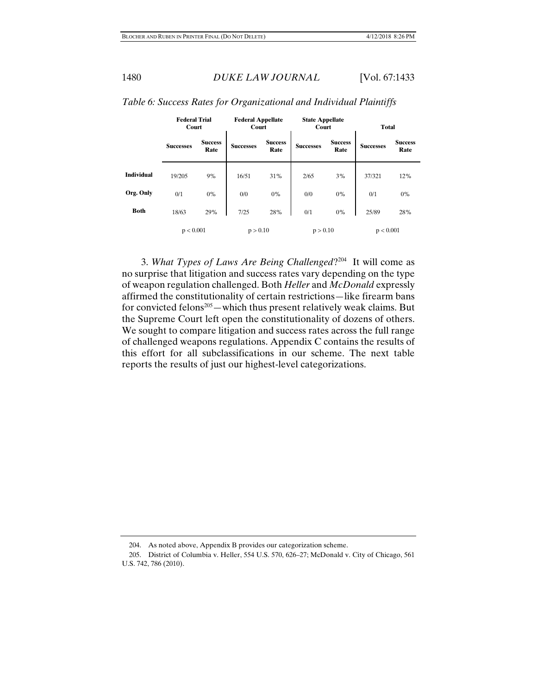|                   | <b>Federal Trial</b><br>Court |                        | <b>Federal Appellate</b><br>Court |                        | <b>State Appellate</b><br>Court |                        | <b>Total</b>     |                        |
|-------------------|-------------------------------|------------------------|-----------------------------------|------------------------|---------------------------------|------------------------|------------------|------------------------|
|                   | <b>Successes</b>              | <b>Success</b><br>Rate | <b>Successes</b>                  | <b>Success</b><br>Rate | <b>Successes</b>                | <b>Success</b><br>Rate | <b>Successes</b> | <b>Success</b><br>Rate |
| <b>Individual</b> | 19/205                        | 9%                     | 16/51                             | 31%                    | 2/65                            | 3%                     | 37/321           | 12%                    |
| Org. Only         | 0/1                           | 0%                     | 0/0                               | $0\%$                  | 0/0                             | 0%                     | 0/1              | 0%                     |
| <b>Both</b>       | 18/63                         | 29%                    | 7/25                              | 28%                    | 0/1                             | $0\%$                  | 25/89            | 28%                    |
|                   | p < 0.001                     |                        | p > 0.10                          |                        | p > 0.10                        |                        | p < 0.001        |                        |

## *Table 6: Success Rates for Organizational and Individual Plaintiffs*

3. *What Types of Laws Are Being Challenged*?204 It will come as no surprise that litigation and success rates vary depending on the type of weapon regulation challenged. Both *Heller* and *McDonald* expressly affirmed the constitutionality of certain restrictions—like firearm bans for convicted felons<sup>205</sup>—which thus present relatively weak claims. But the Supreme Court left open the constitutionality of dozens of others. We sought to compare litigation and success rates across the full range of challenged weapons regulations. Appendix C contains the results of this effort for all subclassifications in our scheme. The next table reports the results of just our highest-level categorizations.

 <sup>204.</sup> As noted above, Appendix B provides our categorization scheme.

 <sup>205.</sup> District of Columbia v. Heller, 554 U.S. 570, 626–27; McDonald v. City of Chicago, 561 U.S. 742, 786 (2010).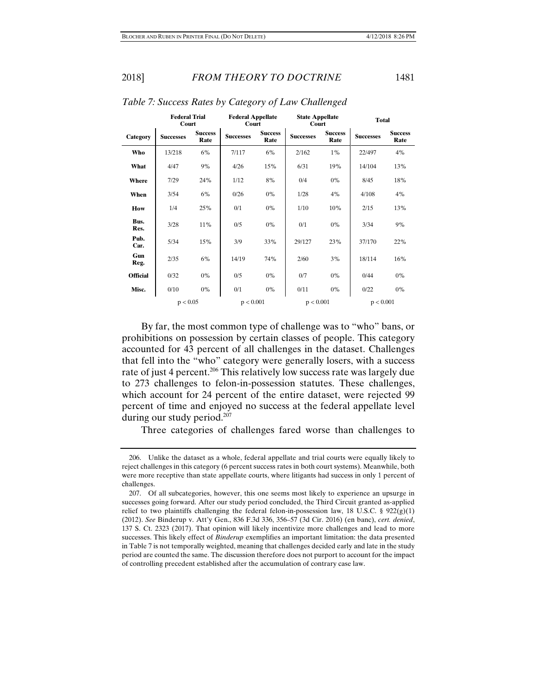|                 | <b>Federal Trial</b><br>Court |                        | <b>Federal Appellate</b><br>Court |                        | <b>State Appellate</b><br>Court |                        | <b>Total</b>     |                        |
|-----------------|-------------------------------|------------------------|-----------------------------------|------------------------|---------------------------------|------------------------|------------------|------------------------|
| Category        | <b>Successes</b>              | <b>Success</b><br>Rate | <b>Successes</b>                  | <b>Success</b><br>Rate | <b>Successes</b>                | <b>Success</b><br>Rate | <b>Successes</b> | <b>Success</b><br>Rate |
| Who             | 13/218                        | 6%                     | 7/117                             | 6%                     | 2/162                           | $1\%$                  | 22/497           | 4%                     |
| What            | 4/47                          | 9%                     | 4/26                              | 15%                    | 6/31                            | 19%                    | 14/104           | 13%                    |
| Where           | 7/29                          | 24%                    | 1/12                              | 8%                     | 0/4                             | $0\%$                  | 8/45             | 18%                    |
| When            | 3/54                          | 6%                     | 0/26                              | $0\%$                  | 1/28                            | 4%                     | 4/108            | 4%                     |
| <b>How</b>      | 1/4                           | 25%                    | 0/1                               | $0\%$                  | 1/10                            | 10%                    | 2/15             | 13%                    |
| Bus.<br>Res.    | 3/28                          | 11%                    | 0/5                               | $0\%$                  | 0/1                             | $0\%$                  | 3/34             | 9%                     |
| Pub.<br>Car.    | 5/34                          | 15%                    | 3/9                               | 33%                    | 29/127                          | 23%                    | 37/170           | 22%                    |
| Gun<br>Reg.     | 2/35                          | 6%                     | 14/19                             | 74%                    | 2/60                            | 3%                     | 18/114           | 16%                    |
| <b>Official</b> | 0/32                          | $0\%$                  | 0/5                               | $0\%$                  | 0/7                             | $0\%$                  | 0/44             | $0\%$                  |
| Misc.           | 0/10                          | $0\%$                  | 0/1                               | $0\%$                  | 0/11                            | $0\%$                  | 0/22             | $0\%$                  |
|                 | p < 0.05                      |                        | p < 0.001                         |                        | p < 0.001                       |                        | p < 0.001        |                        |

*Table 7: Success Rates by Category of Law Challenged* 

By far, the most common type of challenge was to "who" bans, or prohibitions on possession by certain classes of people. This category accounted for 43 percent of all challenges in the dataset. Challenges that fell into the "who" category were generally losers, with a success rate of just 4 percent.<sup>206</sup> This relatively low success rate was largely due to 273 challenges to felon-in-possession statutes. These challenges, which account for 24 percent of the entire dataset, were rejected 99 percent of time and enjoyed no success at the federal appellate level during our study period.<sup>207</sup>

Three categories of challenges fared worse than challenges to

 <sup>206.</sup> Unlike the dataset as a whole, federal appellate and trial courts were equally likely to reject challenges in this category (6 percent success rates in both court systems). Meanwhile, both were more receptive than state appellate courts, where litigants had success in only 1 percent of challenges.

 <sup>207.</sup> Of all subcategories, however, this one seems most likely to experience an upsurge in successes going forward. After our study period concluded, the Third Circuit granted as-applied relief to two plaintiffs challenging the federal felon-in-possession law, 18 U.S.C. § 922(g)(1) (2012). *See* Binderup v. Att'y Gen., 836 F.3d 336, 356–57 (3d Cir. 2016) (en banc), *cert. denied*, 137 S. Ct. 2323 (2017). That opinion will likely incentivize more challenges and lead to more successes. This likely effect of *Binderup* exemplifies an important limitation: the data presented in Table 7 is not temporally weighted, meaning that challenges decided early and late in the study period are counted the same. The discussion therefore does not purport to account for the impact of controlling precedent established after the accumulation of contrary case law.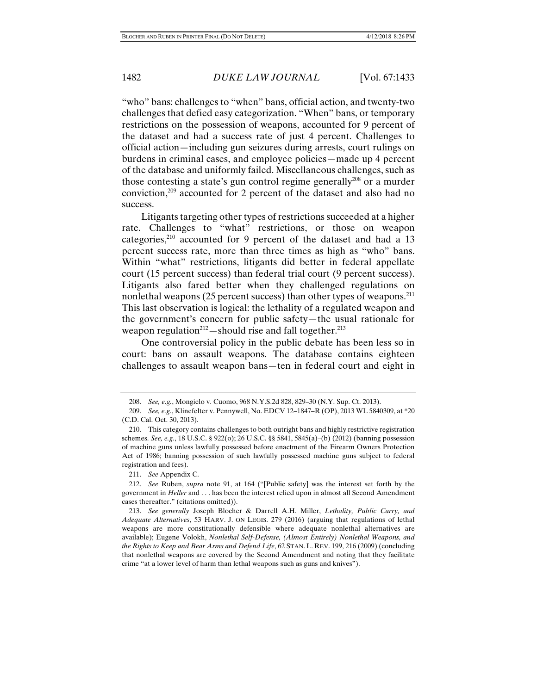"who" bans: challenges to "when" bans, official action, and twenty-two challenges that defied easy categorization. "When" bans, or temporary restrictions on the possession of weapons, accounted for 9 percent of the dataset and had a success rate of just 4 percent. Challenges to official action—including gun seizures during arrests, court rulings on burdens in criminal cases, and employee policies—made up 4 percent of the database and uniformly failed. Miscellaneous challenges, such as those contesting a state's gun control regime generally<sup>208</sup> or a murder conviction,209 accounted for 2 percent of the dataset and also had no success.

Litigants targeting other types of restrictions succeeded at a higher rate. Challenges to "what" restrictions, or those on weapon categories, $2^{10}$  accounted for 9 percent of the dataset and had a 13 percent success rate, more than three times as high as "who" bans. Within "what" restrictions, litigants did better in federal appellate court (15 percent success) than federal trial court (9 percent success). Litigants also fared better when they challenged regulations on nonlethal weapons (25 percent success) than other types of weapons.<sup>211</sup> This last observation is logical: the lethality of a regulated weapon and the government's concern for public safety—the usual rationale for weapon regulation<sup>212</sup> - should rise and fall together.<sup>213</sup>

One controversial policy in the public debate has been less so in court: bans on assault weapons. The database contains eighteen challenges to assault weapon bans—ten in federal court and eight in

 <sup>208.</sup> *See, e.g.*, Mongielo v. Cuomo, 968 N.Y.S.2d 828, 829–30 (N.Y. Sup. Ct. 2013).

 <sup>209.</sup> *See, e.g.*, Klinefelter v. Pennywell, No. EDCV 12–1847–R (OP), 2013 WL 5840309, at \*20 (C.D. Cal. Oct. 30, 2013).

 <sup>210.</sup> This category contains challenges to both outright bans and highly restrictive registration schemes. *See, e.g.*, 18 U.S.C. § 922(o); 26 U.S.C. §§ 5841, 5845(a)–(b) (2012) (banning possession of machine guns unless lawfully possessed before enactment of the Firearm Owners Protection Act of 1986; banning possession of such lawfully possessed machine guns subject to federal registration and fees).

 <sup>211.</sup> *See* Appendix C.

 <sup>212.</sup> *See* Ruben, *supra* note 91, at 164 ("[Public safety] was the interest set forth by the government in *Heller* and . . . has been the interest relied upon in almost all Second Amendment cases thereafter." (citations omitted)).

 <sup>213.</sup> *See generally* Joseph Blocher & Darrell A.H. Miller, *Lethality, Public Carry, and Adequate Alternatives*, 53 HARV. J. ON LEGIS. 279 (2016) (arguing that regulations of lethal weapons are more constitutionally defensible where adequate nonlethal alternatives are available); Eugene Volokh, *Nonlethal Self-Defense, (Almost Entirely) Nonlethal Weapons, and the Rights to Keep and Bear Arms and Defend Life*, 62 STAN. L. REV. 199, 216 (2009) (concluding that nonlethal weapons are covered by the Second Amendment and noting that they facilitate crime "at a lower level of harm than lethal weapons such as guns and knives").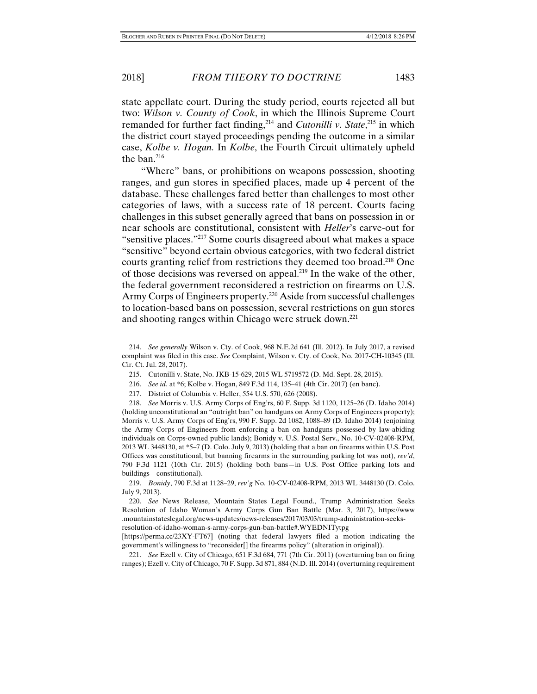state appellate court. During the study period, courts rejected all but two: *Wilson v. County of Cook*, in which the Illinois Supreme Court remanded for further fact finding,<sup>214</sup> and *Cutonilli v. State*,<sup>215</sup> in which the district court stayed proceedings pending the outcome in a similar case, *Kolbe v. Hogan.* In *Kolbe*, the Fourth Circuit ultimately upheld the ban.216

"Where" bans, or prohibitions on weapons possession, shooting ranges, and gun stores in specified places, made up 4 percent of the database. These challenges fared better than challenges to most other categories of laws, with a success rate of 18 percent. Courts facing challenges in this subset generally agreed that bans on possession in or near schools are constitutional, consistent with *Heller*'s carve-out for "sensitive places."217 Some courts disagreed about what makes a space "sensitive" beyond certain obvious categories, with two federal district courts granting relief from restrictions they deemed too broad.<sup>218</sup> One of those decisions was reversed on appeal.219 In the wake of the other, the federal government reconsidered a restriction on firearms on U.S. Army Corps of Engineers property.<sup>220</sup> Aside from successful challenges to location-based bans on possession, several restrictions on gun stores and shooting ranges within Chicago were struck down.221

 <sup>214.</sup> *See generally* Wilson v. Cty. of Cook, 968 N.E.2d 641 (Ill. 2012). In July 2017, a revised complaint was filed in this case. *See* Complaint, Wilson v. Cty. of Cook, No. 2017-CH-10345 (Ill. Cir. Ct. Jul. 28, 2017).

 <sup>215.</sup> Cutonilli v. State, No. JKB-15-629, 2015 WL 5719572 (D. Md. Sept. 28, 2015).

 <sup>216.</sup> *See id.* at \*6; Kolbe v. Hogan, 849 F.3d 114, 135–41 (4th Cir. 2017) (en banc).

 <sup>217.</sup> District of Columbia v. Heller, 554 U.S. 570, 626 (2008).

 <sup>218.</sup> *See* Morris v. U.S. Army Corps of Eng'rs, 60 F. Supp. 3d 1120, 1125–26 (D. Idaho 2014) (holding unconstitutional an "outright ban" on handguns on Army Corps of Engineers property); Morris v. U.S. Army Corps of Eng'rs, 990 F. Supp. 2d 1082, 1088–89 (D. Idaho 2014) (enjoining the Army Corps of Engineers from enforcing a ban on handguns possessed by law-abiding individuals on Corps-owned public lands); Bonidy v. U.S. Postal Serv., No. 10-CV-02408-RPM, 2013 WL 3448130, at \*5–7 (D. Colo. July 9, 2013) (holding that a ban on firearms within U.S. Post Offices was constitutional, but banning firearms in the surrounding parking lot was not), *rev'd*, 790 F.3d 1121 (10th Cir. 2015) (holding both bans—in U.S. Post Office parking lots and buildings—constitutional).

 <sup>219.</sup> *Bonidy*, 790 F.3d at 1128–29, *rev'g* No. 10-CV-02408-RPM, 2013 WL 3448130 (D. Colo. July 9, 2013).

 <sup>220.</sup> *See* News Release, Mountain States Legal Found., Trump Administration Seeks Resolution of Idaho Woman's Army Corps Gun Ban Battle (Mar. 3, 2017), https://www .mountainstateslegal.org/news-updates/news-releases/2017/03/03/trump-administration-seeksresolution-of-idaho-woman-s-army-corps-gun-ban-battle#.WYEDNITytpg

<sup>[</sup>https://perma.cc/23XY-FT67] (noting that federal lawyers filed a motion indicating the government's willingness to "reconsider[] the firearms policy" (alteration in original)).

 <sup>221.</sup> *See* Ezell v. City of Chicago, 651 F.3d 684, 771 (7th Cir. 2011) (overturning ban on firing ranges); Ezell v. City of Chicago, 70 F. Supp. 3d 871, 884 (N.D. Ill. 2014) (overturning requirement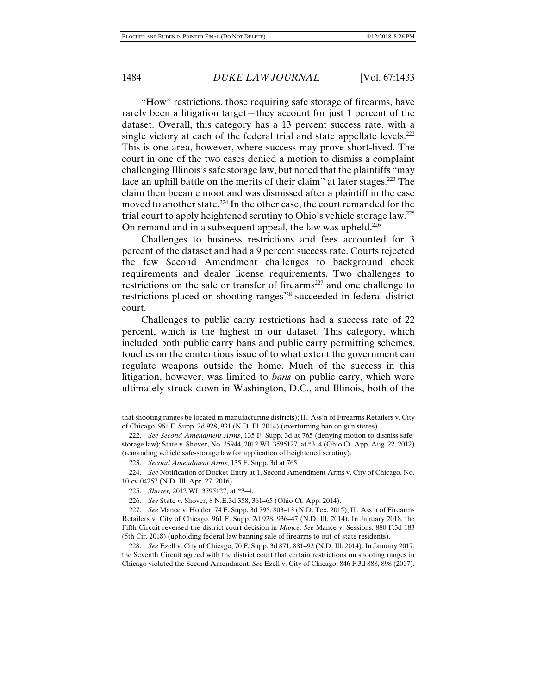"How" restrictions, those requiring safe storage of firearms, have rarely been a litigation target—they account for just 1 percent of the dataset. Overall, this category has a 13 percent success rate, with a single victory at each of the federal trial and state appellate levels.<sup>222</sup> This is one area, however, where success may prove short-lived. The court in one of the two cases denied a motion to dismiss a complaint challenging Illinois's safe storage law, but noted that the plaintiffs "may face an uphill battle on the merits of their claim" at later stages.<sup>223</sup> The claim then became moot and was dismissed after a plaintiff in the case moved to another state.<sup>224</sup> In the other case, the court remanded for the trial court to apply heightened scrutiny to Ohio's vehicle storage law.225 On remand and in a subsequent appeal, the law was upheld.<sup>226</sup>

Challenges to business restrictions and fees accounted for 3 percent of the dataset and had a 9 percent success rate. Courts rejected the few Second Amendment challenges to background check requirements and dealer license requirements. Two challenges to restrictions on the sale or transfer of firearms<sup>227</sup> and one challenge to restrictions placed on shooting ranges<sup>228</sup> succeeded in federal district court.

Challenges to public carry restrictions had a success rate of 22 percent, which is the highest in our dataset. This category, which included both public carry bans and public carry permitting schemes, touches on the contentious issue of to what extent the government can regulate weapons outside the home. Much of the success in this litigation, however, was limited to *bans* on public carry, which were ultimately struck down in Washington, D.C., and Illinois, both of the

that shooting ranges be located in manufacturing districts); Ill. Ass'n of Firearms Retailers v. City of Chicago, 961 F. Supp. 2d 928, 931 (N.D. Ill. 2014) (overturning ban on gun stores).

 <sup>222.</sup> *See Second Amendment Arms*, 135 F. Supp. 3d at 765 (denying motion to dismiss safestorage law); State v. Shover, No. 25944, 2012 WL 3595127, at \*3–4 (Ohio Ct. App. Aug. 22, 2012) (remanding vehicle safe-storage law for application of heightened scrutiny).

 <sup>223.</sup> *Second Amendment Arms*, 135 F. Supp. 3d at 765.

 <sup>224.</sup> *See* Notification of Docket Entry at 1, Second Amendment Arms v. City of Chicago, No. 10-cv-04257 (N.D. Ill. Apr. 27, 2016).

 <sup>225.</sup> *Shover,* 2012 WL 3595127, at \*3–4.

 <sup>226.</sup> *See* State v. Shover, 8 N.E.3d 358, 361–65 (Ohio Ct. App. 2014).

 <sup>227.</sup> *See* Mance v. Holder, 74 F. Supp. 3d 795, 803–13 (N.D. Tex. 2015); Ill. Ass'n of Firearms Retailers v. City of Chicago, 961 F. Supp. 2d 928, 936–47 (N.D. Ill. 2014). In January 2018, the Fifth Circuit reversed the district court decision in *Mance*. *See* Mance v. Sessions, 880 F.3d 183 (5th Cir. 2018) (upholding federal law banning sale of firearms to out-of-state residents).

 <sup>228.</sup> *See* Ezell v. City of Chicago, 70 F. Supp. 3d 871, 881–92 (N.D. Ill. 2014). In January 2017, the Seventh Circuit agreed with the district court that certain restrictions on shooting ranges in Chicago violated the Second Amendment. *See* Ezell v. City of Chicago, 846 F.3d 888, 898 (2017).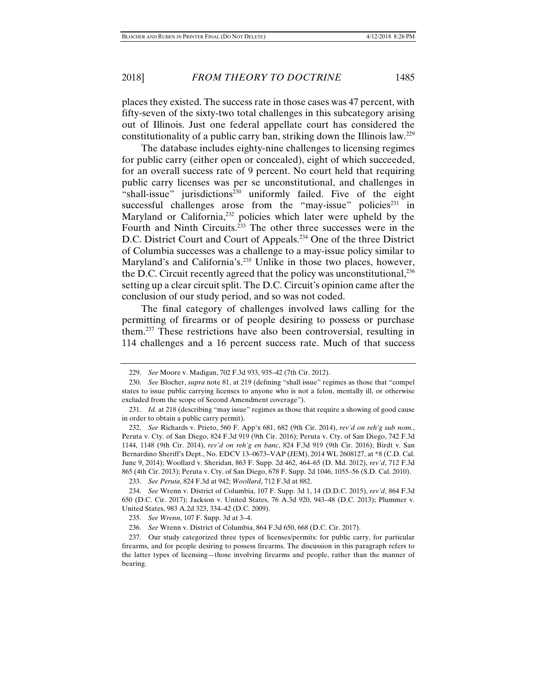places they existed. The success rate in those cases was 47 percent, with fifty-seven of the sixty-two total challenges in this subcategory arising out of Illinois. Just one federal appellate court has considered the constitutionality of a public carry ban, striking down the Illinois law.229

The database includes eighty-nine challenges to licensing regimes for public carry (either open or concealed), eight of which succeeded, for an overall success rate of 9 percent. No court held that requiring public carry licenses was per se unconstitutional, and challenges in "shall-issue" jurisdictions<sup>230</sup> uniformly failed. Five of the eight successful challenges arose from the "may-issue" policies<sup>231</sup> in Maryland or California,<sup>232</sup> policies which later were upheld by the Fourth and Ninth Circuits.<sup>233</sup> The other three successes were in the D.C. District Court and Court of Appeals.<sup>234</sup> One of the three District of Columbia successes was a challenge to a may-issue policy similar to Maryland's and California's.<sup>235</sup> Unlike in those two places, however, the D.C. Circuit recently agreed that the policy was unconstitutional, $^{236}$ setting up a clear circuit split. The D.C. Circuit's opinion came after the conclusion of our study period, and so was not coded.

The final category of challenges involved laws calling for the permitting of firearms or of people desiring to possess or purchase them.237 These restrictions have also been controversial, resulting in 114 challenges and a 16 percent success rate. Much of that success

233. *See Peruta*, 824 F.3d at 942; *Woollard*, 712 F.3d at 882.

 <sup>229.</sup> *See* Moore v. Madigan, 702 F.3d 933, 935–42 (7th Cir. 2012).

 <sup>230.</sup> *See* Blocher, *supra* note 81, at 219 (defining "shall issue" regimes as those that "compel states to issue public carrying licenses to anyone who is not a felon, mentally ill, or otherwise excluded from the scope of Second Amendment coverage").

 <sup>231.</sup> *Id.* at 218 (describing "may issue" regimes as those that require a showing of good cause in order to obtain a public carry permit).

 <sup>232.</sup> *See* Richards v. Prieto, 560 F. App'x 681, 682 (9th Cir. 2014), *rev'd on reh'g sub nom.*, Peruta v. Cty. of San Diego, 824 F.3d 919 (9th Cir. 2016); Peruta v. Cty. of San Diego, 742 F.3d 1144, 1148 (9th Cir. 2014), *rev'd on reh'g en banc*, 824 F.3d 919 (9th Cir. 2016); Birdt v. San Bernardino Sheriff's Dept., No. EDCV 13–0673–VAP (JEM), 2014 WL 2608127, at \*8 (C.D. Cal. June 9, 2014); Woollard v. Sheridan, 863 F. Supp. 2d 462, 464–65 (D. Md. 2012), *rev'd*, 712 F.3d 865 (4th Cir. 2013); Peruta v. Cty. of San Diego, 678 F. Supp. 2d 1046, 1055–56 (S.D. Cal. 2010).

 <sup>234.</sup> *See* Wrenn v. District of Columbia, 107 F. Supp. 3d 1, 14 (D.D.C. 2015), *rev'd*, 864 F.3d 650 (D.C. Cir. 2017); Jackson v. United States, 76 A.3d 920, 943–48 (D.C. 2013); Plummer v. United States, 983 A.2d 323, 334–42 (D.C. 2009).

 <sup>235.</sup> *See Wrenn*, 107 F. Supp. 3d at 3–4.

 <sup>236.</sup> *See* Wrenn v. District of Columbia, 864 F.3d 650, 668 (D.C. Cir. 2017).

 <sup>237.</sup> Our study categorized three types of licenses/permits: for public carry, for particular firearms, and for people desiring to possess firearms. The discussion in this paragraph refers to the latter types of licensing—those involving firearms and people, rather than the manner of bearing.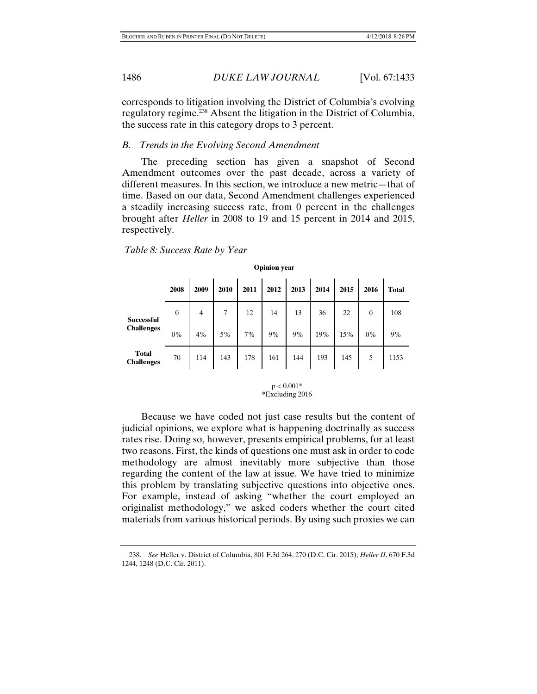corresponds to litigation involving the District of Columbia's evolving regulatory regime.238 Absent the litigation in the District of Columbia, the success rate in this category drops to 3 percent.

# *B. Trends in the Evolving Second Amendment*

The preceding section has given a snapshot of Second Amendment outcomes over the past decade, across a variety of different measures. In this section, we introduce a new metric—that of time. Based on our data, Second Amendment challenges experienced a steadily increasing success rate, from 0 percent in the challenges brought after *Heller* in 2008 to 19 and 15 percent in 2014 and 2015, respectively.

| <b>Opinion</b> year               |                  |                |                 |      |      |      |      |       |                |              |  |
|-----------------------------------|------------------|----------------|-----------------|------|------|------|------|-------|----------------|--------------|--|
|                                   | 2008             | 2009           | 2010            | 2011 | 2012 | 2013 | 2014 | 2015  | 2016           | <b>Total</b> |  |
| <b>Successful</b>                 | $\boldsymbol{0}$ | $\overline{4}$ | $7\overline{ }$ | 12   | 14   | 13   | 36   | 22    | $\overline{0}$ | 108          |  |
| <b>Challenges</b>                 | $0\%$            | 4%             | 5%              | 7%   | 9%   | 9%   | 19%  | 15%   | $0\%$          | 9%           |  |
| <b>Total</b><br><b>Challenges</b> | 70               | 114            | 143 178         |      | 161  | 144  | 193  | 145 5 |                | 1153         |  |

 *Table 8: Success Rate by Year* 

 $p < 0.001*$ \*Excluding 2016

Because we have coded not just case results but the content of judicial opinions, we explore what is happening doctrinally as success rates rise. Doing so, however, presents empirical problems, for at least two reasons. First, the kinds of questions one must ask in order to code methodology are almost inevitably more subjective than those regarding the content of the law at issue. We have tried to minimize this problem by translating subjective questions into objective ones. For example, instead of asking "whether the court employed an originalist methodology," we asked coders whether the court cited materials from various historical periods. By using such proxies we can

 <sup>238.</sup> *See* Heller v. District of Columbia, 801 F.3d 264, 270 (D.C. Cir. 2015); *Heller II*, 670 F.3d 1244, 1248 (D.C. Cir. 2011).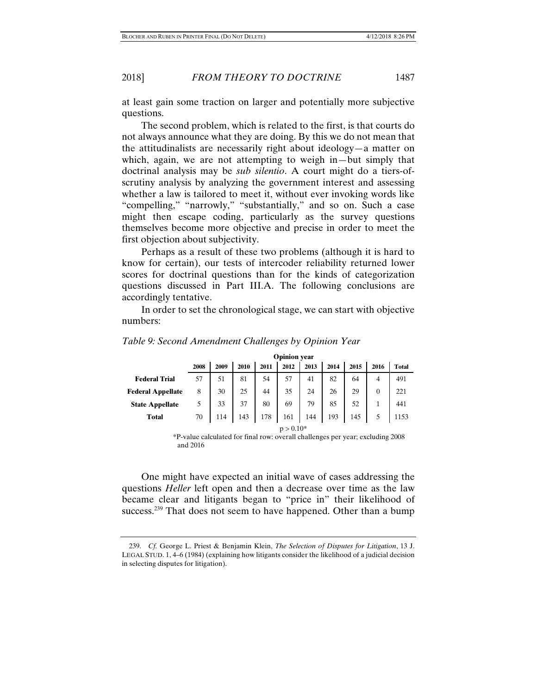at least gain some traction on larger and potentially more subjective questions.

The second problem, which is related to the first, is that courts do not always announce what they are doing. By this we do not mean that the attitudinalists are necessarily right about ideology—a matter on which, again, we are not attempting to weigh in—but simply that doctrinal analysis may be *sub silentio*. A court might do a tiers-ofscrutiny analysis by analyzing the government interest and assessing whether a law is tailored to meet it, without ever invoking words like "compelling," "narrowly," "substantially," and so on. Such a case might then escape coding, particularly as the survey questions themselves become more objective and precise in order to meet the first objection about subjectivity.

Perhaps as a result of these two problems (although it is hard to know for certain), our tests of intercoder reliability returned lower scores for doctrinal questions than for the kinds of categorization questions discussed in Part III.A. The following conclusions are accordingly tentative.

In order to set the chronological stage, we can start with objective numbers:

|                          |             |      |      |      | <b>Opinion</b> year |      |      |      |                |              |
|--------------------------|-------------|------|------|------|---------------------|------|------|------|----------------|--------------|
|                          | 2008        | 2009 | 2010 | 2011 | 2012                | 2013 | 2014 | 2015 | 2016           | <b>Total</b> |
| <b>Federal Trial</b>     | 57          | 51   | 81   | 54   | 57                  | 41   | 82   | 64   | 4              | 491          |
| <b>Federal Appellate</b> | 8           | 30   | 25   | 44   | 35                  | 24   | 26   | 29   | $\overline{0}$ | 221          |
| <b>State Appellate</b>   | 5           | 33   | 37   | 80   | 69                  | 79   | 85   | 52   |                | 441          |
| <b>Total</b>             | 70          | 114  | 143  | 178  | 161                 | 144  | 193  | 145  |                | 1153         |
|                          | $p > 0.10*$ |      |      |      |                     |      |      |      |                |              |

*Table 9: Second Amendment Challenges by Opinion Year* 

 p > 0.10\* \*P-value calculated for final row: overall challenges per year; excluding 2008 and 2016

One might have expected an initial wave of cases addressing the questions *Heller* left open and then a decrease over time as the law became clear and litigants began to "price in" their likelihood of success.<sup>239</sup> That does not seem to have happened. Other than a bump

 <sup>239.</sup> *Cf.* George L. Priest & Benjamin Klein, *The Selection of Disputes for Litigation*, 13 J. LEGAL STUD. 1, 4–6 (1984) (explaining how litigants consider the likelihood of a judicial decision in selecting disputes for litigation).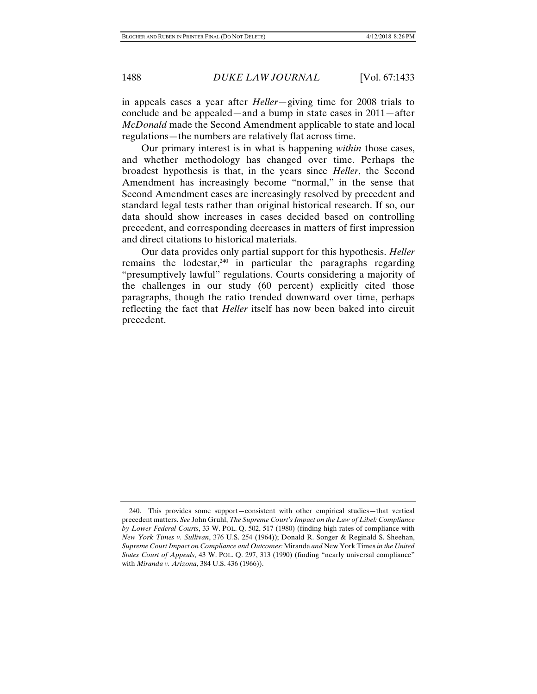in appeals cases a year after *Heller*—giving time for 2008 trials to conclude and be appealed—and a bump in state cases in 2011—after *McDonald* made the Second Amendment applicable to state and local regulations—the numbers are relatively flat across time.

Our primary interest is in what is happening *within* those cases, and whether methodology has changed over time. Perhaps the broadest hypothesis is that, in the years since *Heller*, the Second Amendment has increasingly become "normal," in the sense that Second Amendment cases are increasingly resolved by precedent and standard legal tests rather than original historical research. If so, our data should show increases in cases decided based on controlling precedent, and corresponding decreases in matters of first impression and direct citations to historical materials.

Our data provides only partial support for this hypothesis. *Heller* remains the lodestar, $240$  in particular the paragraphs regarding "presumptively lawful" regulations. Courts considering a majority of the challenges in our study (60 percent) explicitly cited those paragraphs, though the ratio trended downward over time, perhaps reflecting the fact that *Heller* itself has now been baked into circuit precedent.

 <sup>240.</sup> This provides some support—consistent with other empirical studies—that vertical precedent matters. *See* John Gruhl, *The Supreme Court's Impact on the Law of Libel: Compliance by Lower Federal Courts*, 33 W. POL. Q. 502, 517 (1980) (finding high rates of compliance with *New York Times v. Sullivan*, 376 U.S. 254 (1964)); Donald R. Songer & Reginald S. Sheehan, *Supreme Court Impact on Compliance and Outcomes:* Miranda *and* New York Times *in the United States Court of Appeals*, 43 W. POL. Q. 297, 313 (1990) (finding "nearly universal compliance" with *Miranda v. Arizona*, 384 U.S. 436 (1966)).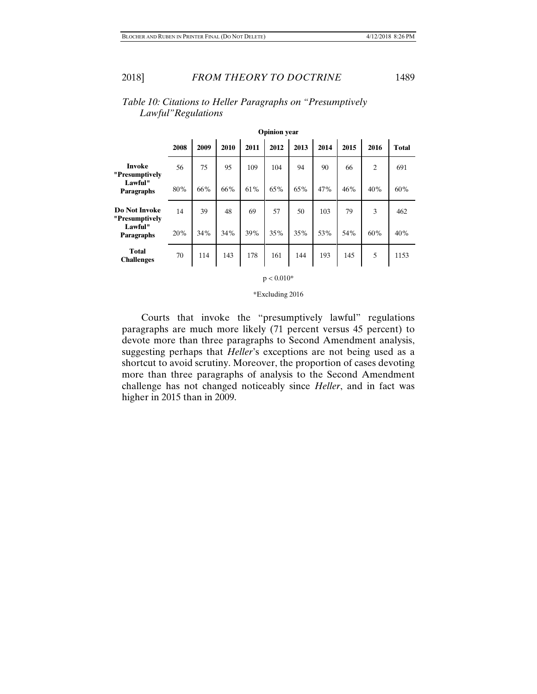|                                        |      |      |      |      | <b>Opinion</b> year |      |      |      |                |              |
|----------------------------------------|------|------|------|------|---------------------|------|------|------|----------------|--------------|
|                                        | 2008 | 2009 | 2010 | 2011 | 2012                | 2013 | 2014 | 2015 | 2016           | <b>Total</b> |
| <b>Invoke</b><br>"Presumptively        | 56   | 75   | 95   | 109  | 104                 | 94   | 90   | 66   | $\overline{2}$ | 691          |
| Lawful"<br><b>Paragraphs</b>           | 80%  | 66%  | 66%  | 61%  | 65%                 | 65%  | 47%  | 46%  | 40%            | 60%          |
| <b>Do Not Invoke</b><br>"Presumptively | 14   | 39   | 48   | 69   | 57                  | 50   | 103  | 79   | 3              | 462          |
| Lawful"<br><b>Paragraphs</b>           | 20%  | 34%  | 34%  | 39%  | 35%                 | 35%  | 53%  | 54%  | 60%            | 40%          |
| <b>Total</b><br><b>Challenges</b>      | 70   | 114  | 143  | 178  | 161                 | 144  | 193  | 145  | 5              | 1153         |

# *Table 10: Citations to Heller Paragraphs on "Presumptively Lawful"Regulations*



\*Excluding 2016

Courts that invoke the "presumptively lawful" regulations paragraphs are much more likely (71 percent versus 45 percent) to devote more than three paragraphs to Second Amendment analysis, suggesting perhaps that *Heller*'s exceptions are not being used as a shortcut to avoid scrutiny. Moreover, the proportion of cases devoting more than three paragraphs of analysis to the Second Amendment challenge has not changed noticeably since *Heller*, and in fact was higher in 2015 than in 2009.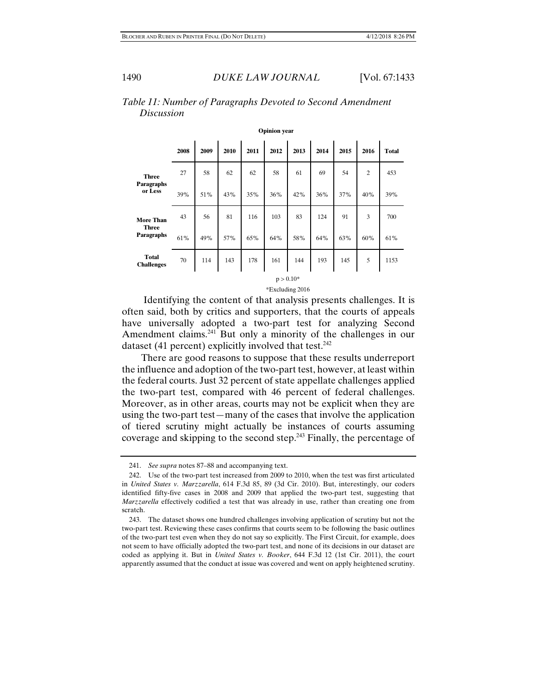|                                   | <b>Opinion</b> year |      |      |      |      |      |      |      |                |              |  |
|-----------------------------------|---------------------|------|------|------|------|------|------|------|----------------|--------------|--|
|                                   | 2008                | 2009 | 2010 | 2011 | 2012 | 2013 | 2014 | 2015 | 2016           | <b>Total</b> |  |
| <b>Three</b>                      | 27                  | 58   | 62   | 62   | 58   | 61   | 69   | 54   | $\overline{2}$ | 453          |  |
| <b>Paragraphs</b><br>or Less      | 39%                 | 51%  | 43%  | 35%  | 36%  | 42%  | 36%  | 37%  | 40%            | 39%          |  |
| <b>More Than</b>                  | 43                  | 56   | 81   | 116  | 103  | 83   | 124  | 91   | 3              | 700          |  |
| <b>Three</b><br><b>Paragraphs</b> | 61%                 | 49%  | 57%  | 65%  | 64%  | 58%  | 64%  | 63%  | 60%            | 61%          |  |
| <b>Total</b><br><b>Challenges</b> | 70                  | 114  | 143  | 178  | 161  | 144  | 193  | 145  | 5              | 1153         |  |
|                                   | $p > 0.10*$         |      |      |      |      |      |      |      |                |              |  |

# *Table 11: Number of Paragraphs Devoted to Second Amendment Discussion*

\*Excluding 2016

 Identifying the content of that analysis presents challenges. It is often said, both by critics and supporters, that the courts of appeals have universally adopted a two-part test for analyzing Second Amendment claims.<sup>241</sup> But only a minority of the challenges in our dataset (41 percent) explicitly involved that test.<sup>242</sup>

There are good reasons to suppose that these results underreport the influence and adoption of the two-part test, however, at least within the federal courts. Just 32 percent of state appellate challenges applied the two-part test, compared with 46 percent of federal challenges. Moreover, as in other areas, courts may not be explicit when they are using the two-part test—many of the cases that involve the application of tiered scrutiny might actually be instances of courts assuming coverage and skipping to the second step.<sup>243</sup> Finally, the percentage of

 <sup>241.</sup> *See supra* notes 87–88 and accompanying text.

 <sup>242.</sup> Use of the two-part test increased from 2009 to 2010, when the test was first articulated in *United States v. Marzzarella*, 614 F.3d 85, 89 (3d Cir. 2010). But, interestingly, our coders identified fifty-five cases in 2008 and 2009 that applied the two-part test, suggesting that *Marzzarella* effectively codified a test that was already in use, rather than creating one from scratch.

 <sup>243.</sup> The dataset shows one hundred challenges involving application of scrutiny but not the two-part test. Reviewing these cases confirms that courts seem to be following the basic outlines of the two-part test even when they do not say so explicitly. The First Circuit, for example, does not seem to have officially adopted the two-part test, and none of its decisions in our dataset are coded as applying it. But in *United States v. Booker*, 644 F.3d 12 (1st Cir. 2011), the court apparently assumed that the conduct at issue was covered and went on apply heightened scrutiny.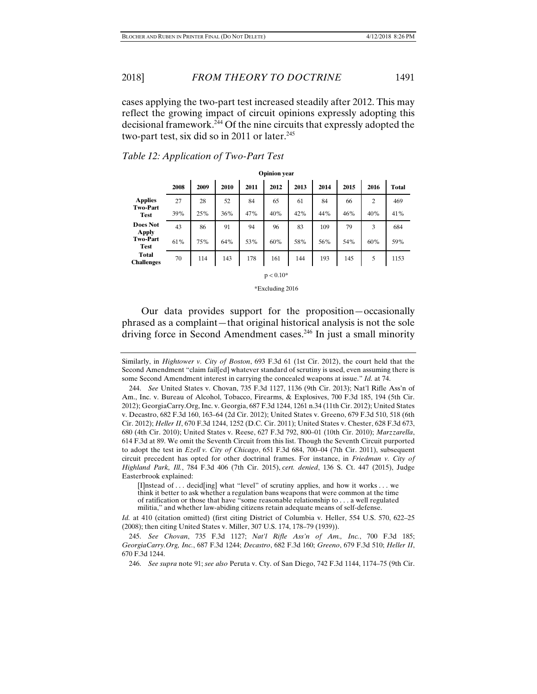cases applying the two-part test increased steadily after 2012. This may reflect the growing impact of circuit opinions expressly adopting this decisional framework.244 Of the nine circuits that expressly adopted the two-part test, six did so in 2011 or later. $245$ 

|                                   | <b>Opinion</b> year |      |      |      |      |      |      |      |      |              |
|-----------------------------------|---------------------|------|------|------|------|------|------|------|------|--------------|
|                                   | 2008                | 2009 | 2010 | 2011 | 2012 | 2013 | 2014 | 2015 | 2016 | <b>Total</b> |
| <b>Applies</b>                    | 27                  | 28   | 52   | 84   | 65   | 61   | 84   | 66   | 2    | 469          |
| <b>Two-Part</b><br><b>Test</b>    | 39%                 | 25%  | 36%  | 47%  | 40%  | 42%  | 44%  | 46%  | 40%  | 41%          |
| Does Not<br><b>Apply</b>          | 43                  | 86   | 91   | 94   | 96   | 83   | 109  | 79   | 3    | 684          |
| <b>Two-Part</b><br><b>Test</b>    | 61%                 | 75%  | 64%  | 53%  | 60%  | 58%  | 56%  | 54%  | 60%  | 59%          |
| <b>Total</b><br><b>Challenges</b> | 70                  | 114  | 143  | 178  | 161  | 144  | 193  | 145  | 5    | 1153         |
|                                   |                     |      |      |      |      |      |      |      |      |              |

 $p < 0.10*$ \*Excluding 2016

#### *Table 12: Application of Two-Part Test*

Our data provides support for the proposition—occasionally phrased as a complaint—that original historical analysis is not the sole driving force in Second Amendment cases.<sup>246</sup> In just a small minority

Similarly, in *Hightower v. City of Boston*, 693 F.3d 61 (1st Cir. 2012), the court held that the Second Amendment "claim fail[ed] whatever standard of scrutiny is used, even assuming there is some Second Amendment interest in carrying the concealed weapons at issue." *Id.* at 74.

[I]nstead of . . . decid[ing] what "level" of scrutiny applies, and how it works . . . we think it better to ask whether a regulation bans weapons that were common at the time of ratification or those that have "some reasonable relationship to . . . a well regulated militia," and whether law-abiding citizens retain adequate means of self-defense.

*Id.* at 410 (citation omitted) (first citing District of Columbia v. Heller, 554 U.S. 570, 622–25 (2008); then citing United States v. Miller, 307 U.S. 174, 178–79 (1939)).

 <sup>244.</sup> *See* United States v. Chovan, 735 F.3d 1127, 1136 (9th Cir. 2013); Nat'l Rifle Ass'n of Am., Inc. v. Bureau of Alcohol, Tobacco, Firearms, & Explosives, 700 F.3d 185, 194 (5th Cir. 2012); GeorgiaCarry.Org, Inc. v. Georgia, 687 F.3d 1244, 1261 n.34 (11th Cir. 2012); United States v. Decastro, 682 F.3d 160, 163–64 (2d Cir. 2012); United States v. Greeno, 679 F.3d 510, 518 (6th Cir. 2012); *Heller II*, 670 F.3d 1244, 1252 (D.C. Cir. 2011); United States v. Chester, 628 F.3d 673, 680 (4th Cir. 2010); United States v. Reese, 627 F.3d 792, 800–01 (10th Cir. 2010); *Marzzarella*, 614 F.3d at 89. We omit the Seventh Circuit from this list. Though the Seventh Circuit purported to adopt the test in *Ezell v. City of Chicago*, 651 F.3d 684, 700–04 (7th Cir. 2011), subsequent circuit precedent has opted for other doctrinal frames. For instance, in *Friedman v. City of Highland Park, Ill.*, 784 F.3d 406 (7th Cir. 2015), *cert. denied*, 136 S. Ct. 447 (2015), Judge Easterbrook explained:

 <sup>245.</sup> *See Chovan*, 735 F.3d 1127; *Nat'l Rifle Ass'n of Am., Inc.*, 700 F.3d 185; *GeorgiaCarry.Org, Inc.*, 687 F.3d 1244; *Decastro*, 682 F.3d 160; *Greeno*, 679 F.3d 510; *Heller II*, 670 F.3d 1244.

 <sup>246.</sup> *See supra* note 91; *see also* Peruta v. Cty. of San Diego, 742 F.3d 1144, 1174–75 (9th Cir.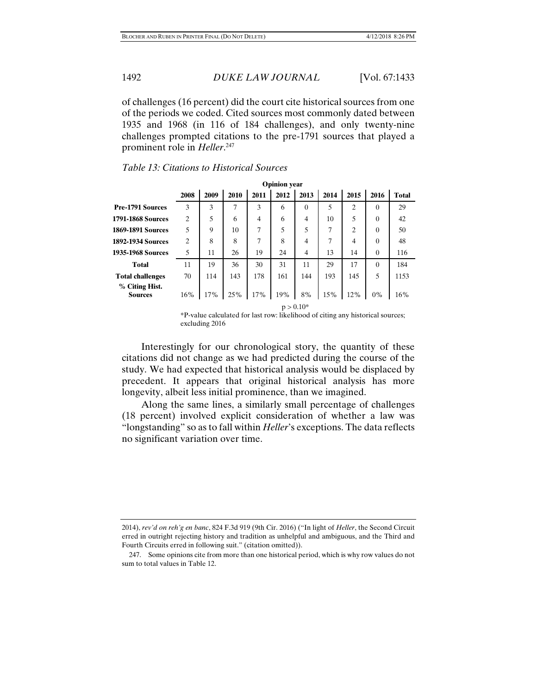of challenges (16 percent) did the court cite historical sources from one of the periods we coded. Cited sources most commonly dated between 1935 and 1968 (in 116 of 184 challenges), and only twenty-nine challenges prompted citations to the pre-1791 sources that played a prominent role in *Heller*. 247

|                                  |                |      |      |      | <b>Opinion</b> year |          |      |                |          |              |
|----------------------------------|----------------|------|------|------|---------------------|----------|------|----------------|----------|--------------|
|                                  | 2008           | 2009 | 2010 | 2011 | 2012                | 2013     | 2014 | 2015           | 2016     | <b>Total</b> |
| <b>Pre-1791 Sources</b>          | 3              | 3    | 7    | 3    | 6                   | $\theta$ | 5    | $\overline{2}$ | $\theta$ | 29           |
| 1791-1868 Sources                | $\overline{2}$ | 5    | 6    | 4    | 6                   | 4        | 10   | 5              | $\theta$ | 42           |
| <b>1869-1891 Sources</b>         | 5              | 9    | 10   | 7    | 5                   | 5        | 7    | $\overline{c}$ | $\theta$ | 50           |
| <b>1892-1934 Sources</b>         | $\overline{2}$ | 8    | 8    | 7    | 8                   | 4        | 7    | $\overline{4}$ | $\Omega$ | 48           |
| 1935-1968 Sources                | 5              | 11   | 26   | 19   | 24                  | 4        | 13   | 14             | $\theta$ | 116          |
| <b>Total</b>                     | 11             | 19   | 36   | 30   | 31                  | 11       | 29   | 17             | $\theta$ | 184          |
| <b>Total challenges</b>          | 70             | 114  | 143  | 178  | 161                 | 144      | 193  | 145            | 5        | 1153         |
| % Citing Hist.<br><b>Sources</b> | 16%            | 17%  | 25%  | 17%  | 19%                 | 8%       | 15%  | 12%            | 0%       | 16%          |
|                                  | $p > 0.10*$    |      |      |      |                     |          |      |                |          |              |

## *Table 13: Citations to Historical Sources*

\*P-value calculated for last row: likelihood of citing any historical sources; excluding 2016

Interestingly for our chronological story, the quantity of these citations did not change as we had predicted during the course of the study. We had expected that historical analysis would be displaced by precedent. It appears that original historical analysis has more longevity, albeit less initial prominence, than we imagined.

Along the same lines, a similarly small percentage of challenges (18 percent) involved explicit consideration of whether a law was "longstanding" so as to fall within *Heller*'s exceptions. The data reflects no significant variation over time.

2014), *rev'd on reh'g en banc*, 824 F.3d 919 (9th Cir. 2016) ("In light of *Heller*, the Second Circuit erred in outright rejecting history and tradition as unhelpful and ambiguous, and the Third and Fourth Circuits erred in following suit." (citation omitted)).

 <sup>247.</sup> Some opinions cite from more than one historical period, which is why row values do not sum to total values in Table 12.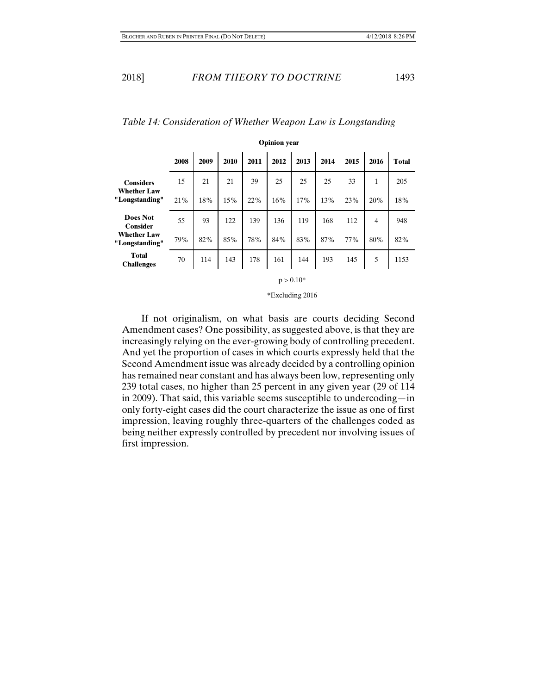|                                        |      | <b>Opinion</b> year |      |      |      |      |      |      |              |              |
|----------------------------------------|------|---------------------|------|------|------|------|------|------|--------------|--------------|
|                                        | 2008 | 2009                | 2010 | 2011 | 2012 | 2013 | 2014 | 2015 | 2016         | <b>Total</b> |
| <b>Considers</b><br><b>Whether Law</b> | 15   | 21                  | 21   | 39   | 25   | 25   | 25   | 33   | $\mathbf{1}$ | 205          |
| "Longstanding"                         | 21%  | 18%                 | 15%  | 22%  | 16%  | 17%  | 13%  | 23%  | 20%          | 18%          |
| <b>Does Not</b><br><b>Consider</b>     | 55   | 93                  | 122  | 139  | 136  | 119  | 168  | 112  | 4            | 948          |
| <b>Whether Law</b><br>"Longstanding"   | 79%  | 82%                 | 85%  | 78%  | 84%  | 83%  | 87%  | 77%  | 80%          | 82%          |
| <b>Total</b><br><b>Challenges</b>      | 70   | 114                 | 143  | 178  | 161  | 144  | 193  | 145  | 5            | 1153         |

# *Table 14: Consideration of Whether Weapon Law is Longstanding*

 $p > 0.10*$ 

\*Excluding 2016

If not originalism, on what basis are courts deciding Second Amendment cases? One possibility, as suggested above, is that they are increasingly relying on the ever-growing body of controlling precedent. And yet the proportion of cases in which courts expressly held that the Second Amendment issue was already decided by a controlling opinion has remained near constant and has always been low, representing only 239 total cases, no higher than 25 percent in any given year (29 of 114 in 2009). That said, this variable seems susceptible to undercoding—in only forty-eight cases did the court characterize the issue as one of first impression, leaving roughly three-quarters of the challenges coded as being neither expressly controlled by precedent nor involving issues of first impression.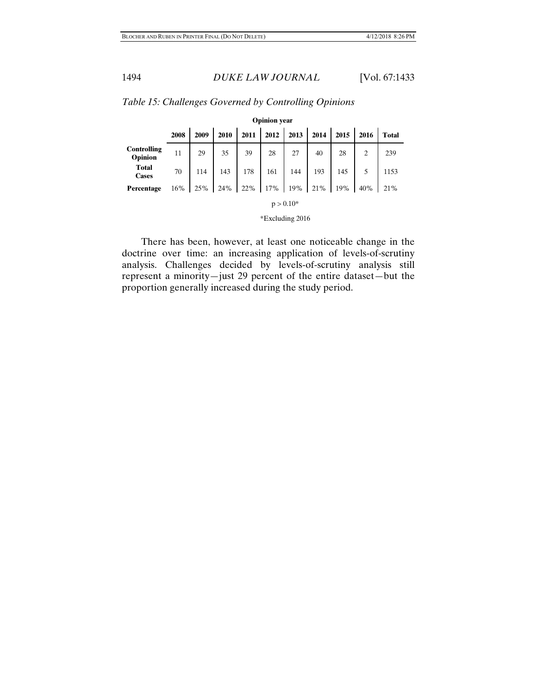|                               | <b>Opinion</b> year |      |      |      |      |      |      |      |      |              |
|-------------------------------|---------------------|------|------|------|------|------|------|------|------|--------------|
|                               | 2008                | 2009 | 2010 | 2011 | 2012 | 2013 | 2014 | 2015 | 2016 | <b>Total</b> |
| <b>Controlling</b><br>Opinion | 11                  |      |      |      |      |      |      |      |      | 239          |
| <b>Total</b><br><b>Cases</b>  | 70                  |      |      |      |      |      |      |      |      | 1153         |
| Percentage                    | 16%                 | 25%  |      |      |      |      |      |      | 40%  | 21%          |
| $p > 0.10*$                   |                     |      |      |      |      |      |      |      |      |              |

*Table 15: Challenges Governed by Controlling Opinions* 

\*Excluding 2016

There has been, however, at least one noticeable change in the doctrine over time: an increasing application of levels-of-scrutiny analysis. Challenges decided by levels-of-scrutiny analysis still represent a minority—just 29 percent of the entire dataset—but the proportion generally increased during the study period.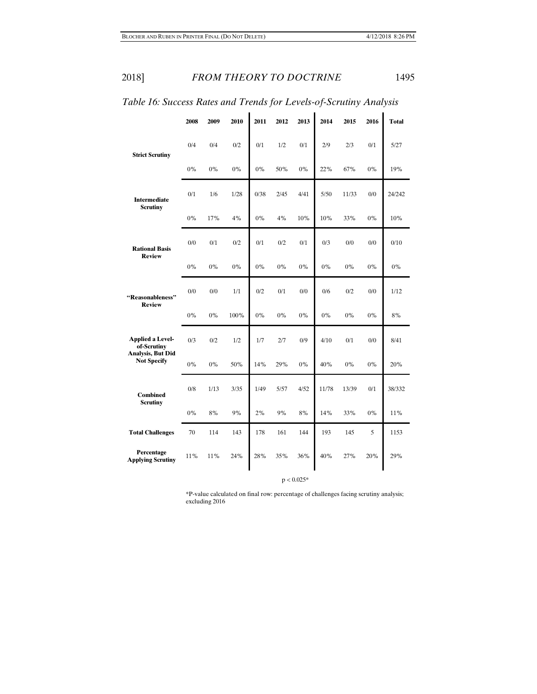|                                                | 2008  | 2009  | 2010  | 2011  | 2012 | 2013  | 2014  | 2015  | 2016  | <b>Total</b> |
|------------------------------------------------|-------|-------|-------|-------|------|-------|-------|-------|-------|--------------|
| <b>Strict Scrutiny</b>                         | 0/4   | 0/4   | 0/2   | 0/1   | 1/2  | 0/1   | 2/9   | 2/3   | 0/1   | 5/27         |
|                                                | 0%    | 0%    | 0%    | 0%    | 50%  | $0\%$ | 22%   | 67%   | 0%    | 19%          |
| <b>Intermediate</b><br><b>Scrutiny</b>         | 0/1   | 1/6   | 1/28  | 0/38  | 2/45 | 4/41  | 5/50  | 11/33 | 0/0   | 24/242       |
|                                                | 0%    | 17%   | 4%    | 0%    | 4%   | 10%   | 10%   | 33%   | 0%    | 10%          |
| <b>Rational Basis</b><br><b>Review</b>         | 0/0   | 0/1   | 0/2   | 0/1   | 0/2  | 0/1   | 0/3   | 0/0   | 0/0   | 0/10         |
|                                                | 0%    | 0%    | $0\%$ | 0%    | 0%   | 0%    | $0\%$ | 0%    | $0\%$ | 0%           |
| "Reasonableness"                               | 0/0   | 0/0   | 1/1   | 0/2   | 0/1  | 0/0   | 0/6   | 0/2   | 0/0   | 1/12         |
| <b>Review</b>                                  | 0%    | 0%    | 100%  | 0%    | 0%   | 0%    | 0%    | 0%    | 0%    | 8%           |
| <b>Applied a Level-</b><br>of-Scrutiny         | 0/3   | 0/2   | 1/2   | 1/7   | 2/7  | 0/9   | 4/10  | 0/1   | 0/0   | 8/41         |
| <b>Analysis, But Did</b><br><b>Not Specify</b> | $0\%$ | $0\%$ | 50%   | 14%   | 29%  | $0\%$ | 40%   | $0\%$ | $0\%$ | 20%          |
| <b>Combined</b>                                | 0/8   | 1/13  | 3/35  | 1/49  | 5/57 | 4/52  | 11/78 | 13/39 | 0/1   | 38/332       |
| <b>Scrutiny</b>                                | $0\%$ | 8%    | 9%    | $2\%$ | 9%   | 8%    | 14%   | 33%   | $0\%$ | 11%          |
| <b>Total Challenges</b>                        | 70    | 114   | 143   | 178   | 161  | 144   | 193   | 145   | 5     | 1153         |
| Percentage<br><b>Applying Scrutiny</b>         | 11%   | 11%   | 24%   | 28%   | 35%  | 36%   | 40%   | 27%   | 20%   | 29%          |

*Table 16: Success Rates and Trends for Levels-of-Scrutiny Analysis* 

 $p < 0.025*$ 

\*P-value calculated on final row: percentage of challenges facing scrutiny analysis; excluding 2016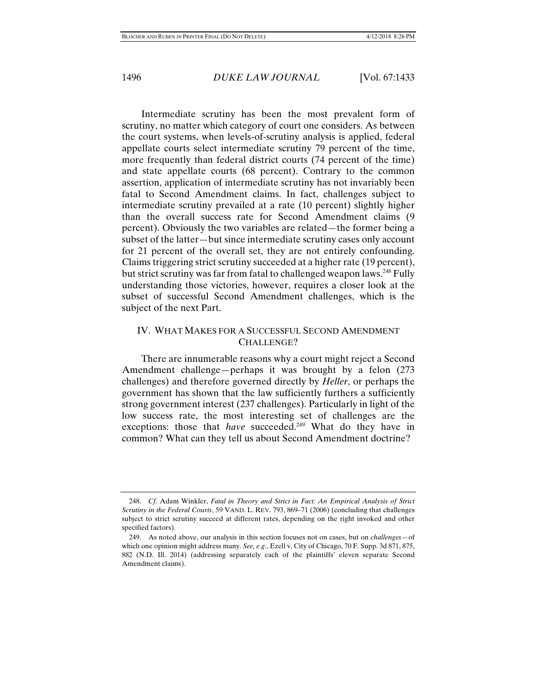Intermediate scrutiny has been the most prevalent form of scrutiny, no matter which category of court one considers. As between the court systems, when levels-of-scrutiny analysis is applied, federal appellate courts select intermediate scrutiny 79 percent of the time, more frequently than federal district courts (74 percent of the time) and state appellate courts (68 percent). Contrary to the common assertion, application of intermediate scrutiny has not invariably been fatal to Second Amendment claims. In fact, challenges subject to intermediate scrutiny prevailed at a rate (10 percent) slightly higher than the overall success rate for Second Amendment claims (9 percent). Obviously the two variables are related—the former being a subset of the latter—but since intermediate scrutiny cases only account for 21 percent of the overall set, they are not entirely confounding. Claims triggering strict scrutiny succeeded at a higher rate (19 percent), but strict scrutiny was far from fatal to challenged weapon laws.<sup>248</sup> Fully understanding those victories, however, requires a closer look at the subset of successful Second Amendment challenges, which is the subject of the next Part.

# IV. WHAT MAKES FOR A SUCCESSFUL SECOND AMENDMENT CHALLENGE?

There are innumerable reasons why a court might reject a Second Amendment challenge—perhaps it was brought by a felon (273 challenges) and therefore governed directly by *Heller*, or perhaps the government has shown that the law sufficiently furthers a sufficiently strong government interest (237 challenges). Particularly in light of the low success rate, the most interesting set of challenges are the exceptions: those that *have* succeeded.<sup>249</sup> What do they have in common? What can they tell us about Second Amendment doctrine?

 <sup>248.</sup> *Cf.* Adam Winkler, *Fatal in Theory and Strict in Fact: An Empirical Analysis of Strict Scrutiny in the Federal Courts*, 59 VAND. L. REV. 793, 869–71 (2006) (concluding that challenges subject to strict scrutiny succeed at different rates, depending on the right invoked and other specified factors).

 <sup>249.</sup> As noted above, our analysis in this section focuses not on cases, but on *challenges*—of which one opinion might address many. *See, e.g.*, Ezell v. City of Chicago, 70 F. Supp. 3d 871, 875, 882 (N.D. Ill. 2014) (addressing separately each of the plaintiffs' eleven separate Second Amendment claims).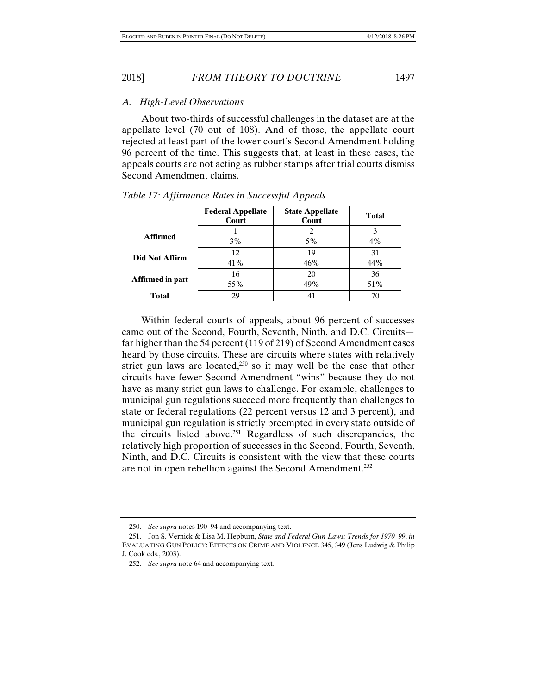2018] *FROM THEORY TO DOCTRINE* 1497

#### *A. High-Level Observations*

About two-thirds of successful challenges in the dataset are at the appellate level (70 out of 108). And of those, the appellate court rejected at least part of the lower court's Second Amendment holding 96 percent of the time. This suggests that, at least in these cases, the appeals courts are not acting as rubber stamps after trial courts dismiss Second Amendment claims.

|                         | <b>Federal Appellate</b><br>Court | <b>State Appellate</b><br>Court | <b>Total</b> |
|-------------------------|-----------------------------------|---------------------------------|--------------|
| <b>Affirmed</b>         | 3%                                | 5%                              | 3<br>4%      |
| <b>Did Not Affirm</b>   | 12.<br>41%                        | 19<br>46%                       | 31<br>44%    |
| <b>Affirmed in part</b> | 16<br>55%                         | 20<br>49%                       | 36<br>51%    |
| Total                   | 29                                | 41                              | 70           |

#### *Table 17: Affirmance Rates in Successful Appeals*

Within federal courts of appeals, about 96 percent of successes came out of the Second, Fourth, Seventh, Ninth, and D.C. Circuits far higher than the 54 percent (119 of 219) of Second Amendment cases heard by those circuits. These are circuits where states with relatively strict gun laws are located,<sup>250</sup> so it may well be the case that other circuits have fewer Second Amendment "wins" because they do not have as many strict gun laws to challenge. For example, challenges to municipal gun regulations succeed more frequently than challenges to state or federal regulations (22 percent versus 12 and 3 percent), and municipal gun regulation is strictly preempted in every state outside of the circuits listed above.251 Regardless of such discrepancies, the relatively high proportion of successes in the Second, Fourth, Seventh, Ninth, and D.C. Circuits is consistent with the view that these courts are not in open rebellion against the Second Amendment.252

 <sup>250.</sup> *See supra* notes 190–94 and accompanying text.

 <sup>251.</sup> Jon S. Vernick & Lisa M. Hepburn, *State and Federal Gun Laws: Trends for 1970–99*, *in* EVALUATING GUN POLICY: EFFECTS ON CRIME AND VIOLENCE 345, 349 (Jens Ludwig & Philip J. Cook eds., 2003).

 <sup>252.</sup> *See supra* note 64 and accompanying text.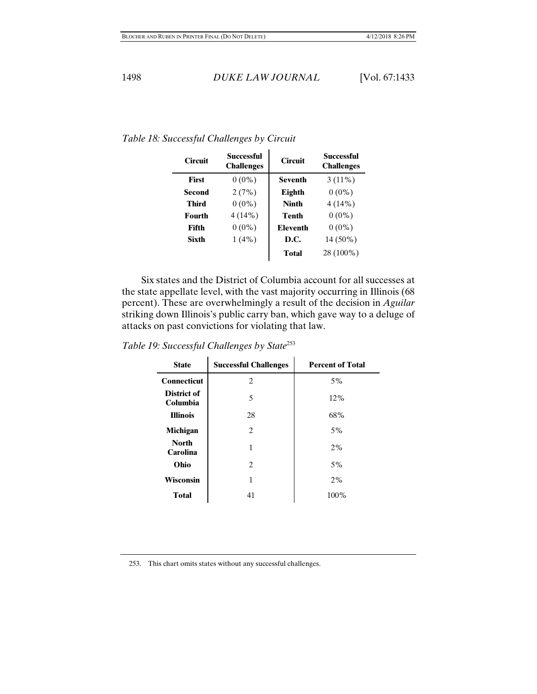| <b>Circuit</b> | Successful<br><b>Challenges</b> | <b>Circuit</b>  | Successful<br><b>Challenges</b> |
|----------------|---------------------------------|-----------------|---------------------------------|
| <b>First</b>   | $0(0\%)$                        | <b>Seventh</b>  | $3(11\%)$                       |
| Second         | 2(7%)                           | Eighth          | $0(0\%)$                        |
| Third          | $0(0\%)$                        | <b>Ninth</b>    | 4(14%)                          |
| Fourth         | 4(14%)                          | Tenth           | $0(0\%)$                        |
| Fifth          | $0(0\%)$                        | <b>Eleventh</b> | $0(0\%)$                        |
| Sixth          | $1(4\%)$                        | D.C.            | 14 (50%)                        |
|                |                                 | <b>Total</b>    | 28 (100%)                       |

*Table 18: Successful Challenges by Circuit* 

Six states and the District of Columbia account for all successes at the state appellate level, with the vast majority occurring in Illinois (68 percent). These are overwhelmingly a result of the decision in *Aguilar* striking down Illinois's public carry ban, which gave way to a deluge of attacks on past convictions for violating that law.

*Table 19: Successful Challenges by State*<sup>253</sup>

| <b>State</b>             | <b>Successful Challenges</b> | <b>Percent of Total</b> |
|--------------------------|------------------------------|-------------------------|
| <b>Connecticut</b>       | 2                            | 5%                      |
| District of<br>Columbia  | 5                            | 12%                     |
| <b>Illinois</b>          | 28                           | 68%                     |
| Michigan                 | 2                            | $5\%$                   |
| <b>North</b><br>Carolina | 1                            | 2%                      |
| Ohio                     | 2                            | 5%                      |
| Wisconsin                | 1                            | 2%                      |
| <b>Total</b>             | 41                           | 100%                    |

253. This chart omits states without any successful challenges.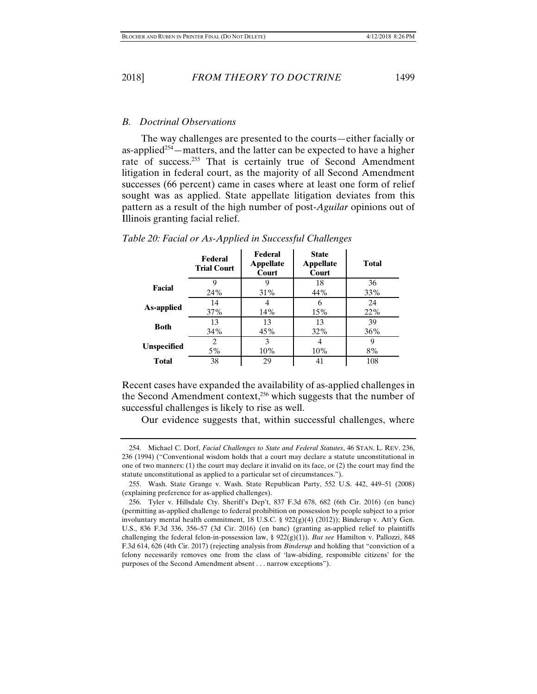#### *B. Doctrinal Observations*

The way challenges are presented to the courts—either facially or as-applied<sup> $254$ </sup>—matters, and the latter can be expected to have a higher rate of success.<sup>255</sup> That is certainly true of Second Amendment litigation in federal court, as the majority of all Second Amendment successes (66 percent) came in cases where at least one form of relief sought was as applied. State appellate litigation deviates from this pattern as a result of the high number of post-*Aguilar* opinions out of Illinois granting facial relief.

|                    | <b>Federal</b><br><b>Trial Court</b> | <b>Federal</b><br><b>Appellate</b><br>Court | <b>State</b><br><b>Appellate</b><br>Court | <b>Total</b> |
|--------------------|--------------------------------------|---------------------------------------------|-------------------------------------------|--------------|
| Facial             | Q                                    | 9                                           | 18                                        | 36           |
|                    | 24 <sup>%</sup>                      | 31%                                         | 44%                                       | 33%          |
| As-applied         | 14                                   | 4                                           | 6                                         | 24           |
|                    | 37%                                  | 14%                                         | 15%                                       | 22%          |
| <b>Both</b>        | 13                                   | 13                                          | 13                                        | 39           |
|                    | 34%                                  | 45%                                         | <b>32%</b>                                | $36\%$       |
|                    | 2                                    | 3                                           | 4                                         | 9            |
| <b>Unspecified</b> | 5%                                   | $10\%$                                      | $10\%$                                    | 8%           |
| <b>Total</b>       | 38                                   | 29                                          | 41                                        | 108          |

*Table 20: Facial or As-Applied in Successful Challenges* 

Recent cases have expanded the availability of as-applied challenges in the Second Amendment context,<sup>256</sup> which suggests that the number of successful challenges is likely to rise as well.

Our evidence suggests that, within successful challenges, where

 <sup>254.</sup> Michael C. Dorf, *Facial Challenges to State and Federal Statutes*, 46 STAN. L. REV. 236, 236 (1994) ("Conventional wisdom holds that a court may declare a statute unconstitutional in one of two manners: (1) the court may declare it invalid on its face, or (2) the court may find the statute unconstitutional as applied to a particular set of circumstances.").

 <sup>255.</sup> Wash. State Grange v. Wash. State Republican Party, 552 U.S. 442, 449–51 (2008) (explaining preference for as-applied challenges).

 <sup>256.</sup> Tyler v. Hillsdale Cty. Sheriff's Dep't, 837 F.3d 678, 682 (6th Cir. 2016) (en banc) (permitting as-applied challenge to federal prohibition on possession by people subject to a prior involuntary mental health commitment, 18 U.S.C. §  $922(g)(4)$  (2012)); Binderup v. Att'y Gen. U.S., 836 F.3d 336, 356–57 (3d Cir. 2016) (en banc) (granting as-applied relief to plaintiffs challenging the federal felon-in-possession law, § 922(g)(1)). *But see* Hamilton v. Pallozzi, 848 F.3d 614, 626 (4th Cir. 2017) (rejecting analysis from *Binderup* and holding that "conviction of a felony necessarily removes one from the class of 'law-abiding, responsible citizens' for the purposes of the Second Amendment absent . . . narrow exceptions").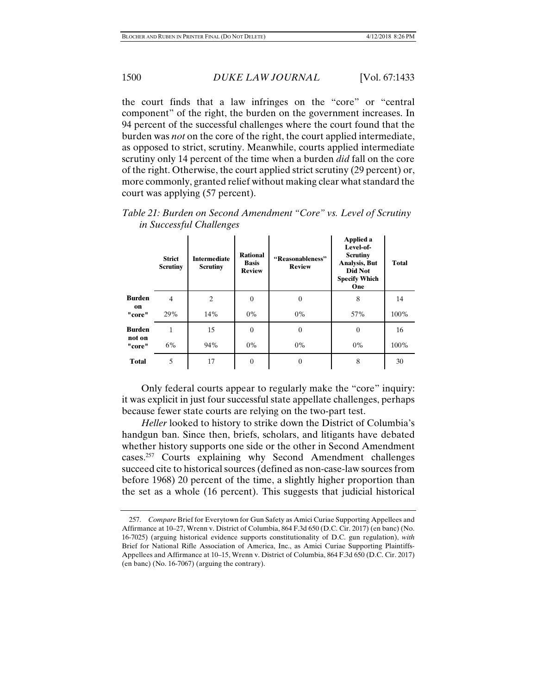the court finds that a law infringes on the "core" or "central component" of the right, the burden on the government increases. In 94 percent of the successful challenges where the court found that the burden was *not* on the core of the right, the court applied intermediate, as opposed to strict, scrutiny. Meanwhile, courts applied intermediate scrutiny only 14 percent of the time when a burden *did* fall on the core of the right. Otherwise, the court applied strict scrutiny (29 percent) or, more commonly, granted relief without making clear what standard the court was applying (57 percent).

|                  | <b>Strict</b><br><b>Scrutiny</b> | <b>Intermediate</b><br><b>Scrutiny</b> | <b>Rational</b><br><b>Basis</b><br><b>Review</b> | "Reasonableness"<br><b>Review</b> | Applied a<br>Level-of-<br><b>Scrutiny</b><br><b>Analysis</b> , But<br>Did Not<br><b>Specify Which</b><br>One | <b>Total</b> |
|------------------|----------------------------------|----------------------------------------|--------------------------------------------------|-----------------------------------|--------------------------------------------------------------------------------------------------------------|--------------|
| <b>Burden</b>    | 4                                | $\overline{2}$                         | $\Omega$                                         | $\theta$                          | 8                                                                                                            | 14           |
| on<br>"core"     | 29%                              | 14%                                    | $0\%$                                            | $0\%$                             | 57%                                                                                                          | 100%         |
| <b>Burden</b>    | 1                                | 15                                     | $\theta$                                         | $\theta$                          | $\overline{0}$                                                                                               | 16           |
| not on<br>"core" | 6%                               | 94%                                    | $0\%$                                            | $0\%$                             | $0\%$                                                                                                        | 100%         |
| <b>Total</b>     | 5                                | 17                                     | $\theta$                                         | $\Omega$                          | 8                                                                                                            | 30           |

*Table 21: Burden on Second Amendment "Core" vs. Level of Scrutiny in Successful Challenges* 

Only federal courts appear to regularly make the "core" inquiry: it was explicit in just four successful state appellate challenges, perhaps because fewer state courts are relying on the two-part test.

*Heller* looked to history to strike down the District of Columbia's handgun ban. Since then, briefs, scholars, and litigants have debated whether history supports one side or the other in Second Amendment cases.257 Courts explaining why Second Amendment challenges succeed cite to historical sources (defined as non-case-law sources from before 1968) 20 percent of the time, a slightly higher proportion than the set as a whole (16 percent). This suggests that judicial historical

 <sup>257.</sup> *Compare* Brief for Everytown for Gun Safety as Amici Curiae Supporting Appellees and Affirmance at 10–27, Wrenn v. District of Columbia, 864 F.3d 650 (D.C. Cir. 2017) (en banc) (No. 16-7025) (arguing historical evidence supports constitutionality of D.C. gun regulation), *with*  Brief for National Rifle Association of America, Inc., as Amici Curiae Supporting Plaintiffs-Appellees and Affirmance at 10–15, Wrenn v. District of Columbia, 864 F.3d 650 (D.C. Cir. 2017) (en banc) (No. 16-7067) (arguing the contrary).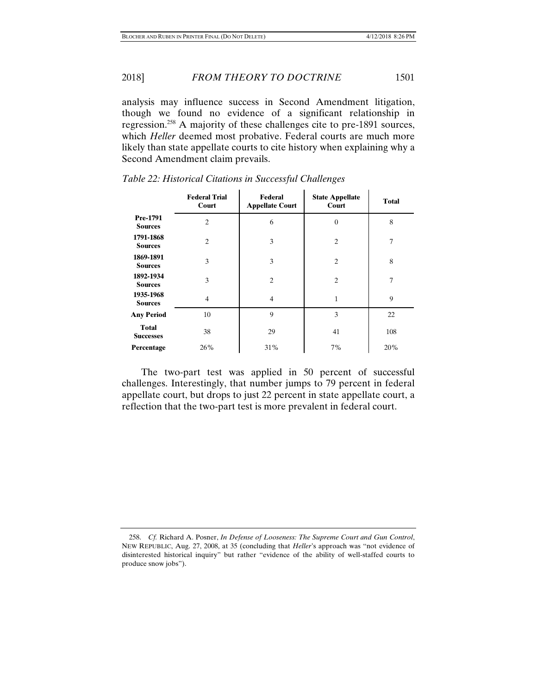2018] *FROM THEORY TO DOCTRINE* 1501

analysis may influence success in Second Amendment litigation, though we found no evidence of a significant relationship in regression.258 A majority of these challenges cite to pre-1891 sources, which *Heller* deemed most probative. Federal courts are much more likely than state appellate courts to cite history when explaining why a Second Amendment claim prevails.

|                                  | <b>Federal Trial</b><br>Court | Federal<br><b>Appellate Court</b> | <b>State Appellate</b><br>Court | <b>Total</b> |
|----------------------------------|-------------------------------|-----------------------------------|---------------------------------|--------------|
| Pre-1791<br><b>Sources</b>       | $\overline{2}$                | 6                                 | $\theta$                        | 8            |
| 1791-1868<br><b>Sources</b>      | $\overline{2}$                | 3                                 | $\overline{2}$                  | 7            |
| 1869-1891<br><b>Sources</b>      | 3                             | 3                                 | $\overline{2}$                  | 8            |
| 1892-1934<br><b>Sources</b>      | 3                             | $\overline{c}$                    | $\overline{2}$                  | 7            |
| 1935-1968<br><b>Sources</b>      | 4                             | $\overline{4}$                    | $\mathbf{1}$                    | 9            |
| <b>Any Period</b>                | 10                            | 9                                 | 3                               | 22           |
| <b>Total</b><br><b>Successes</b> | 38                            | 29                                | 41                              | 108          |
| Percentage                       | 26%                           | 31%                               | 7%                              | 20%          |

*Table 22: Historical Citations in Successful Challenges* 

The two-part test was applied in 50 percent of successful challenges. Interestingly, that number jumps to 79 percent in federal appellate court, but drops to just 22 percent in state appellate court, a reflection that the two-part test is more prevalent in federal court.

 <sup>258.</sup> *Cf.* Richard A. Posner, *In Defense of Looseness: The Supreme Court and Gun Control*, NEW REPUBLIC, Aug. 27, 2008, at 35 (concluding that *Heller*'s approach was "not evidence of disinterested historical inquiry" but rather "evidence of the ability of well-staffed courts to produce snow jobs").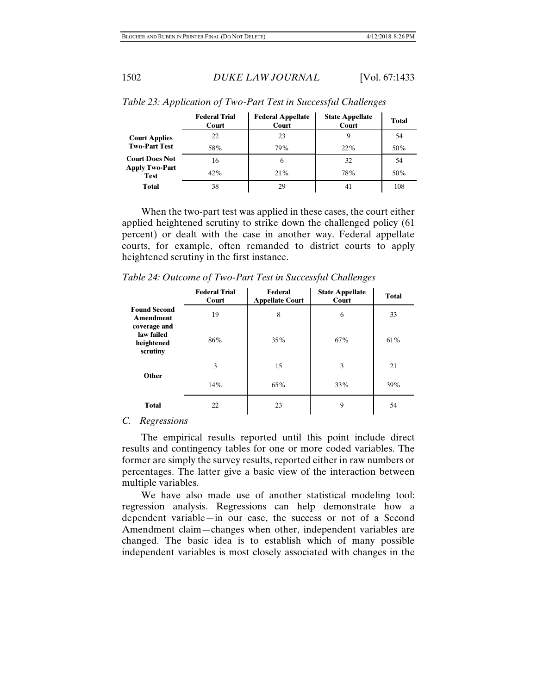|                                      | <b>Federal Trial</b><br>Court | <b>Federal Appellate</b><br>Court | <b>State Appellate</b><br>Court | <b>Total</b> |
|--------------------------------------|-------------------------------|-----------------------------------|---------------------------------|--------------|
| <b>Court Applies</b>                 | 22                            | 23                                |                                 | 54           |
| <b>Two-Part Test</b>                 | 58%                           | 79%                               | 22%                             | 50%          |
| <b>Court Does Not</b>                | 16                            | 6                                 | 32                              | .54          |
| <b>Apply Two-Part</b><br><b>Test</b> | $42\%$                        | 21%                               | 78%                             | 50%          |
| <b>Total</b>                         | 38                            | 29                                | 41                              | 108          |

*Table 23: Application of Two-Part Test in Successful Challenges* 

When the two-part test was applied in these cases, the court either applied heightened scrutiny to strike down the challenged policy (61 percent) or dealt with the case in another way. Federal appellate courts, for example, often remanded to district courts to apply heightened scrutiny in the first instance.

*Table 24: Outcome of Two-Part Test in Successful Challenges* 

|                                                         | <b>Federal Trial</b><br>Court | Federal<br><b>Appellate Court</b> | <b>State Appellate</b><br>Court | <b>Total</b> |
|---------------------------------------------------------|-------------------------------|-----------------------------------|---------------------------------|--------------|
| <b>Found Second</b><br><b>Amendment</b><br>coverage and | 19                            | 8                                 | 6                               | 33           |
| law failed<br>heightened<br>scrutiny                    | 86%                           | 35%                               | 67%                             | 61%          |
| Other                                                   | 3                             | 15                                | 3                               | 21           |
|                                                         | 14%                           | 65%                               | 33%                             | 39%          |
| <b>Total</b>                                            | 22                            | 23                                | 9                               | 54           |

#### *C. Regressions*

The empirical results reported until this point include direct results and contingency tables for one or more coded variables. The former are simply the survey results, reported either in raw numbers or percentages. The latter give a basic view of the interaction between multiple variables.

We have also made use of another statistical modeling tool: regression analysis. Regressions can help demonstrate how a dependent variable—in our case, the success or not of a Second Amendment claim—changes when other, independent variables are changed. The basic idea is to establish which of many possible independent variables is most closely associated with changes in the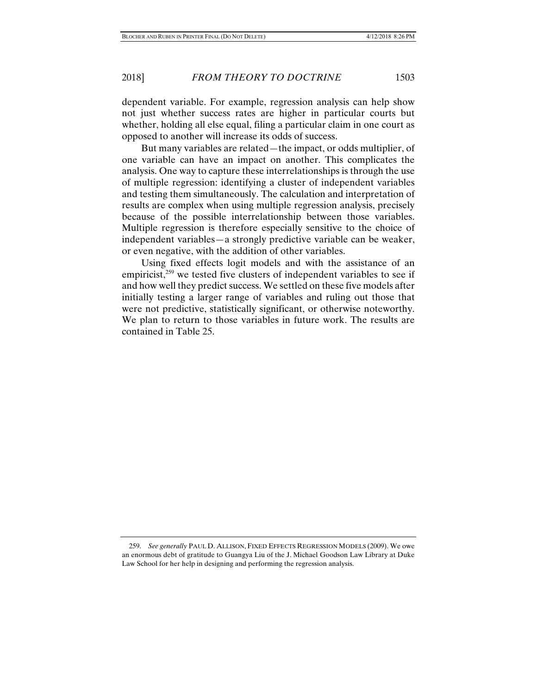dependent variable. For example, regression analysis can help show not just whether success rates are higher in particular courts but whether, holding all else equal, filing a particular claim in one court as opposed to another will increase its odds of success.

But many variables are related—the impact, or odds multiplier, of one variable can have an impact on another. This complicates the analysis. One way to capture these interrelationships is through the use of multiple regression: identifying a cluster of independent variables and testing them simultaneously. The calculation and interpretation of results are complex when using multiple regression analysis, precisely because of the possible interrelationship between those variables. Multiple regression is therefore especially sensitive to the choice of independent variables—a strongly predictive variable can be weaker, or even negative, with the addition of other variables.

Using fixed effects logit models and with the assistance of an empiricist, $259$  we tested five clusters of independent variables to see if and how well they predict success. We settled on these five models after initially testing a larger range of variables and ruling out those that were not predictive, statistically significant, or otherwise noteworthy. We plan to return to those variables in future work. The results are contained in Table 25.

 <sup>259.</sup> *See generally* PAUL D. ALLISON, FIXED EFFECTS REGRESSION MODELS (2009). We owe an enormous debt of gratitude to Guangya Liu of the J. Michael Goodson Law Library at Duke Law School for her help in designing and performing the regression analysis.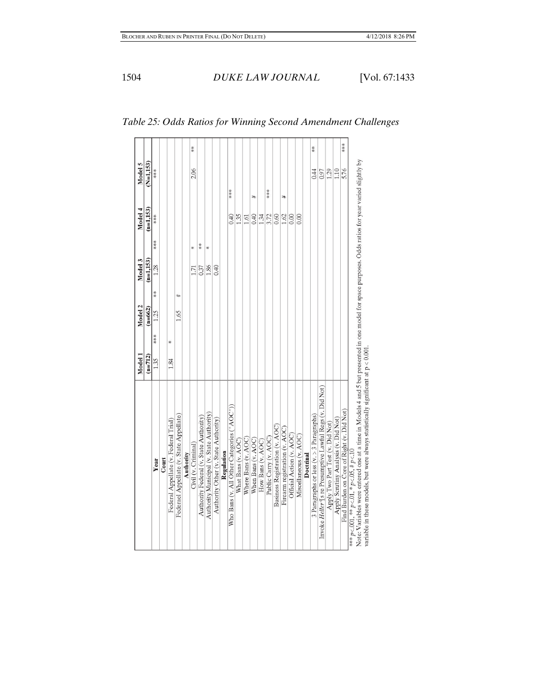|                                                                                                                                                     | Model 1   |     | Model 2   |           | Model 3     |     | Model 4     | Model 5     |     |
|-----------------------------------------------------------------------------------------------------------------------------------------------------|-----------|-----|-----------|-----------|-------------|-----|-------------|-------------|-----|
|                                                                                                                                                     | $(n=712)$ |     | $(n=662)$ |           | $(n=1,153)$ |     | $(n=1,153)$ | $(N=1,153)$ |     |
| Year                                                                                                                                                | 1.35      | *** | 1.25      | 紫米        | 1.28        | *** | ***         | ***         |     |
| $_{\rm Comrt}$                                                                                                                                      |           |     |           |           |             |     |             |             |     |
| Federal Appellate (v. Federal Trial)                                                                                                                | 1.84      | ×   |           |           |             |     |             |             |     |
| Federael Appellate (v. State Appellate)                                                                                                             |           |     | 1.65      | $\ddot{}$ |             |     |             |             |     |
| Authority                                                                                                                                           |           |     |           |           |             |     |             |             |     |
| Civil (v. Criminal)                                                                                                                                 |           |     |           |           | 171         | ₩   |             | 2.06        | **  |
| Authority Federal (v. State Authority)                                                                                                              |           |     |           |           | 0.37        | 米米  |             |             |     |
| Authority Municipal (v. State Authority)                                                                                                            |           |     |           |           | 1.86        | ₩   |             |             |     |
| Authority Other (v. State Authority)                                                                                                                |           |     |           |           | 0.40        |     |             |             |     |
| Regulation                                                                                                                                          |           |     |           |           |             |     |             |             |     |
| Who Bans (v. All Other Categories ("AOC"))                                                                                                          |           |     |           |           |             |     | 0.40        | ***         |     |
| What Bans (v. AOC)                                                                                                                                  |           |     |           |           |             |     | 1.35        |             |     |
| Where Bans (v. AOC)                                                                                                                                 |           |     |           |           |             |     | 1.61        |             |     |
| When Bans (v. AOC)                                                                                                                                  |           |     |           |           |             |     | 0.40        | ₩           |     |
| How Bans (v. AOC)                                                                                                                                   |           |     |           |           |             |     | 1.34        |             |     |
| Public Carry (v. AOC)                                                                                                                               |           |     |           |           |             |     | 3.72        | 未来来         |     |
| Business Registration (v. AOC)                                                                                                                      |           |     |           |           |             |     | 0.60        |             |     |
| Firearm registration (v. AOC)                                                                                                                       |           |     |           |           |             |     | 1.62        | ₩           |     |
| Official Action (v. AOC)                                                                                                                            |           |     |           |           |             |     | 0.00        |             |     |
| Miscellaneous (v. AOC)                                                                                                                              |           |     |           |           |             |     | 6.00        |             |     |
| Doctrinal                                                                                                                                           |           |     |           |           |             |     |             |             |     |
| 3 Paragraphs or less (v. > 3 Paragraphs)                                                                                                            |           |     |           |           |             |     |             | 0.44        | ≸   |
| Invoke Heller ¶s re Presumptive Lawful Regs (v. Did Not)                                                                                            |           |     |           |           |             |     |             | 0.97        |     |
| Apply Two Part Test (v. Did Not)                                                                                                                    |           |     |           |           |             |     |             | 1.29        |     |
| Apply Serutiny Analysis (v. Did Not)                                                                                                                |           |     |           |           |             |     |             | 1.10        |     |
| Find Burden on Core of Right (v. Did Not)                                                                                                           |           |     |           |           |             |     |             | 5.76        | 永永永 |
| *** $p < .001$ , ** $p < .01$ , * $p < .05$ , # $p < .10$                                                                                           |           |     |           |           |             |     |             |             |     |
| Note: Variables were entered one at a time in Models 4 and 5 but presented in one model for space purposes. Odds ratios for year varied slightly by |           |     |           |           |             |     |             |             |     |

*Table 25: Odds Ratios for Winning Second Amendment Challenges* 

variable in these models, but were always statistically significant at  $\mathbf{p} < 0.001.$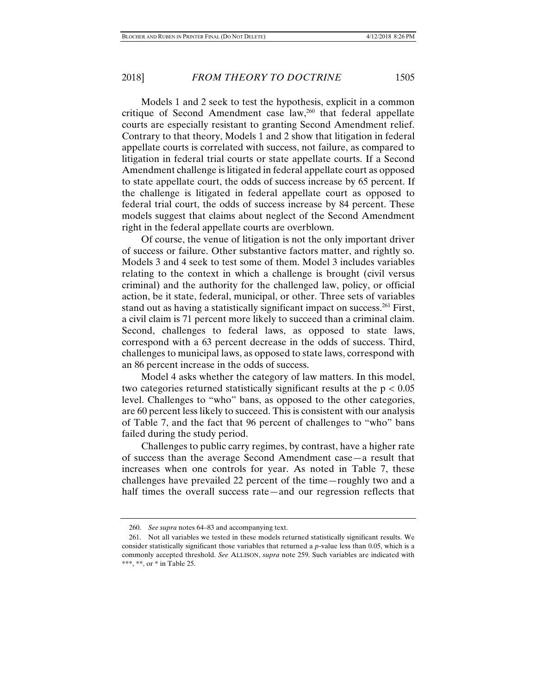Models 1 and 2 seek to test the hypothesis, explicit in a common critique of Second Amendment case law,<sup>260</sup> that federal appellate courts are especially resistant to granting Second Amendment relief. Contrary to that theory, Models 1 and 2 show that litigation in federal appellate courts is correlated with success, not failure, as compared to litigation in federal trial courts or state appellate courts. If a Second Amendment challenge is litigated in federal appellate court as opposed to state appellate court, the odds of success increase by 65 percent. If the challenge is litigated in federal appellate court as opposed to federal trial court, the odds of success increase by 84 percent. These models suggest that claims about neglect of the Second Amendment right in the federal appellate courts are overblown.

Of course, the venue of litigation is not the only important driver of success or failure. Other substantive factors matter, and rightly so. Models 3 and 4 seek to test some of them. Model 3 includes variables relating to the context in which a challenge is brought (civil versus criminal) and the authority for the challenged law, policy, or official action, be it state, federal, municipal, or other. Three sets of variables stand out as having a statistically significant impact on success.<sup>261</sup> First, a civil claim is 71 percent more likely to succeed than a criminal claim. Second, challenges to federal laws, as opposed to state laws, correspond with a 63 percent decrease in the odds of success. Third, challenges to municipal laws, as opposed to state laws, correspond with an 86 percent increase in the odds of success.

Model 4 asks whether the category of law matters. In this model, two categories returned statistically significant results at the  $p < 0.05$ level. Challenges to "who" bans, as opposed to the other categories, are 60 percent less likely to succeed. This is consistent with our analysis of Table 7, and the fact that 96 percent of challenges to "who" bans failed during the study period.

Challenges to public carry regimes, by contrast, have a higher rate of success than the average Second Amendment case—a result that increases when one controls for year. As noted in Table 7, these challenges have prevailed 22 percent of the time—roughly two and a half times the overall success rate—and our regression reflects that

 <sup>260.</sup> *See supra* notes 64–83 and accompanying text.

 <sup>261.</sup> Not all variables we tested in these models returned statistically significant results. We consider statistically significant those variables that returned a *p*-value less than 0.05, which is a commonly accepted threshold. *See* ALLISON, *supra* note 259. Such variables are indicated with \*\*\*, \*\*, or  $*$  in Table 25.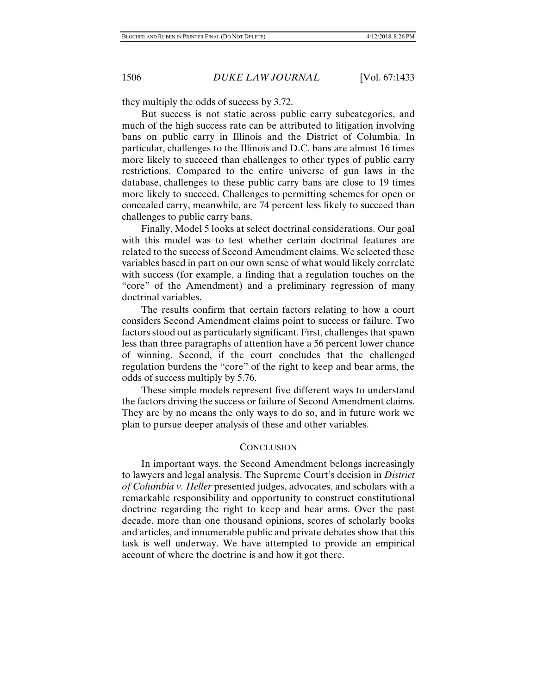they multiply the odds of success by 3.72.

But success is not static across public carry subcategories, and much of the high success rate can be attributed to litigation involving bans on public carry in Illinois and the District of Columbia. In particular, challenges to the Illinois and D.C. bans are almost 16 times more likely to succeed than challenges to other types of public carry restrictions. Compared to the entire universe of gun laws in the database, challenges to these public carry bans are close to 19 times more likely to succeed. Challenges to permitting schemes for open or concealed carry, meanwhile, are 74 percent less likely to succeed than challenges to public carry bans.

Finally, Model 5 looks at select doctrinal considerations. Our goal with this model was to test whether certain doctrinal features are related to the success of Second Amendment claims. We selected these variables based in part on our own sense of what would likely correlate with success (for example, a finding that a regulation touches on the "core" of the Amendment) and a preliminary regression of many doctrinal variables.

The results confirm that certain factors relating to how a court considers Second Amendment claims point to success or failure. Two factors stood out as particularly significant. First, challenges that spawn less than three paragraphs of attention have a 56 percent lower chance of winning. Second, if the court concludes that the challenged regulation burdens the "core" of the right to keep and bear arms, the odds of success multiply by 5.76.

These simple models represent five different ways to understand the factors driving the success or failure of Second Amendment claims. They are by no means the only ways to do so, and in future work we plan to pursue deeper analysis of these and other variables.

## **CONCLUSION**

In important ways, the Second Amendment belongs increasingly to lawyers and legal analysis. The Supreme Court's decision in *District of Columbia v. Heller* presented judges, advocates, and scholars with a remarkable responsibility and opportunity to construct constitutional doctrine regarding the right to keep and bear arms. Over the past decade, more than one thousand opinions, scores of scholarly books and articles, and innumerable public and private debates show that this task is well underway. We have attempted to provide an empirical account of where the doctrine is and how it got there.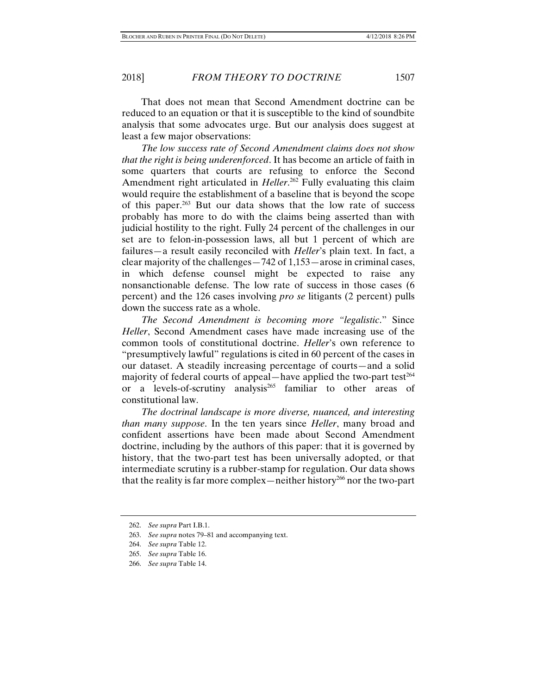That does not mean that Second Amendment doctrine can be reduced to an equation or that it is susceptible to the kind of soundbite analysis that some advocates urge. But our analysis does suggest at least a few major observations:

*The low success rate of Second Amendment claims does not show that the right is being underenforced*. It has become an article of faith in some quarters that courts are refusing to enforce the Second Amendment right articulated in *Heller*. 262 Fully evaluating this claim would require the establishment of a baseline that is beyond the scope of this paper.263 But our data shows that the low rate of success probably has more to do with the claims being asserted than with judicial hostility to the right. Fully 24 percent of the challenges in our set are to felon-in-possession laws, all but 1 percent of which are failures—a result easily reconciled with *Heller*'s plain text. In fact, a clear majority of the challenges—742 of 1,153—arose in criminal cases, in which defense counsel might be expected to raise any nonsanctionable defense. The low rate of success in those cases (6 percent) and the 126 cases involving *pro se* litigants (2 percent) pulls down the success rate as a whole.

*The Second Amendment is becoming more "legalistic*." Since *Heller*, Second Amendment cases have made increasing use of the common tools of constitutional doctrine. *Heller*'s own reference to "presumptively lawful" regulations is cited in 60 percent of the cases in our dataset. A steadily increasing percentage of courts—and a solid majority of federal courts of appeal—have applied the two-part test $264$ or a levels-of-scrutiny analysis<sup>265</sup> familiar to other areas of constitutional law.

*The doctrinal landscape is more diverse, nuanced, and interesting than many suppose*. In the ten years since *Heller*, many broad and confident assertions have been made about Second Amendment doctrine, including by the authors of this paper: that it is governed by history, that the two-part test has been universally adopted, or that intermediate scrutiny is a rubber-stamp for regulation. Our data shows that the reality is far more complex—neither history<sup>266</sup> nor the two-part

 <sup>262.</sup> *See supra* Part I.B.1.

 <sup>263.</sup> *See supra* notes 79–81 and accompanying text.

 <sup>264.</sup> *See supra* Table 12.

 <sup>265.</sup> *See supra* Table 16.

 <sup>266.</sup> *See supra* Table 14.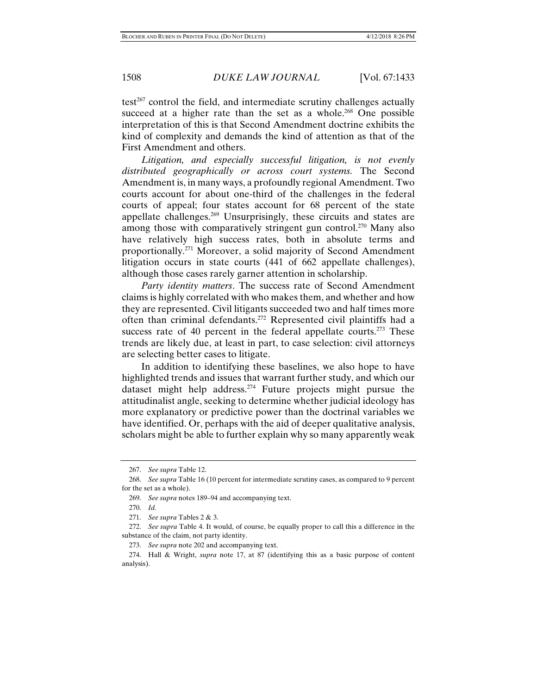$test^{267}$  control the field, and intermediate scrutiny challenges actually succeed at a higher rate than the set as a whole.<sup>268</sup> One possible interpretation of this is that Second Amendment doctrine exhibits the kind of complexity and demands the kind of attention as that of the First Amendment and others.

*Litigation, and especially successful litigation, is not evenly distributed geographically or across court systems.* The Second Amendment is, in many ways, a profoundly regional Amendment. Two courts account for about one-third of the challenges in the federal courts of appeal; four states account for 68 percent of the state appellate challenges.269 Unsurprisingly, these circuits and states are among those with comparatively stringent gun control.<sup>270</sup> Many also have relatively high success rates, both in absolute terms and proportionally.271 Moreover, a solid majority of Second Amendment litigation occurs in state courts (441 of 662 appellate challenges), although those cases rarely garner attention in scholarship.

*Party identity matters*. The success rate of Second Amendment claims is highly correlated with who makes them, and whether and how they are represented. Civil litigants succeeded two and half times more often than criminal defendants.272 Represented civil plaintiffs had a success rate of 40 percent in the federal appellate courts.<sup>273</sup> These trends are likely due, at least in part, to case selection: civil attorneys are selecting better cases to litigate.

In addition to identifying these baselines, we also hope to have highlighted trends and issues that warrant further study, and which our dataset might help address.274 Future projects might pursue the attitudinalist angle, seeking to determine whether judicial ideology has more explanatory or predictive power than the doctrinal variables we have identified. Or, perhaps with the aid of deeper qualitative analysis, scholars might be able to further explain why so many apparently weak

 <sup>267.</sup> *See supra* Table 12.

 <sup>268.</sup> *See supra* Table 16 (10 percent for intermediate scrutiny cases, as compared to 9 percent for the set as a whole).

 <sup>269.</sup> *See supra* notes 189–94 and accompanying text.

 <sup>270.</sup> *Id.*

 <sup>271.</sup> *See supra* Tables 2 & 3.

 <sup>272.</sup> *See supra* Table 4. It would, of course, be equally proper to call this a difference in the substance of the claim, not party identity.

 <sup>273.</sup> *See supra* note 202 and accompanying text.

 <sup>274.</sup> Hall & Wright, *supra* note 17, at 87 (identifying this as a basic purpose of content analysis).